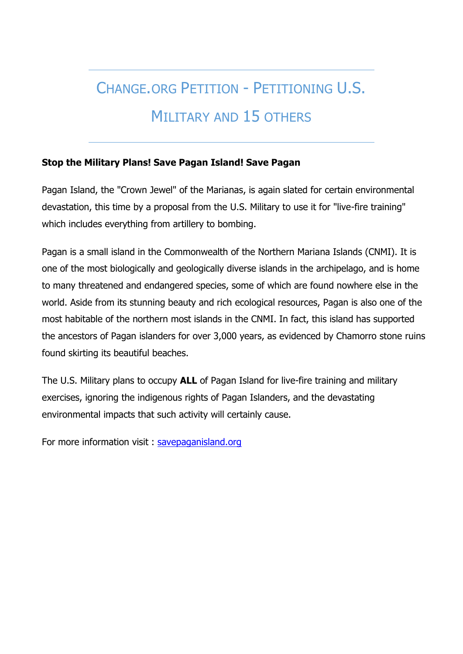# CHANGE.ORG PETITION - PETITIONING U.S.

## MILITARY AND 15 OTHERS

#### **Stop the Military Plans! Save Pagan Island! Save Pagan**

Pagan Island, the "Crown Jewel" of the Marianas, is again slated for certain environmental devastation, this time by a proposal from the U.S. Military to use it for "live-fire training" which includes everything from artillery to bombing.

Pagan is a small island in the Commonwealth of the Northern Mariana Islands (CNMI). It is one of the most biologically and geologically diverse islands in the archipelago, and is home to many threatened and endangered species, some of which are found nowhere else in the world. Aside from its stunning beauty and rich ecological resources, Pagan is also one of the most habitable of the northern most islands in the CNMI. In fact, this island has supported the ancestors of Pagan islanders for over 3,000 years, as evidenced by Chamorro stone ruins found skirting its beautiful beaches.

The U.S. Military plans to occupy **ALL** of Pagan Island for live-fire training and military exercises, ignoring the indigenous rights of Pagan Islanders, and the devastating environmental impacts that such activity will certainly cause.

For more information visit : [savepaganisland.org](http://savepaganisland.org/)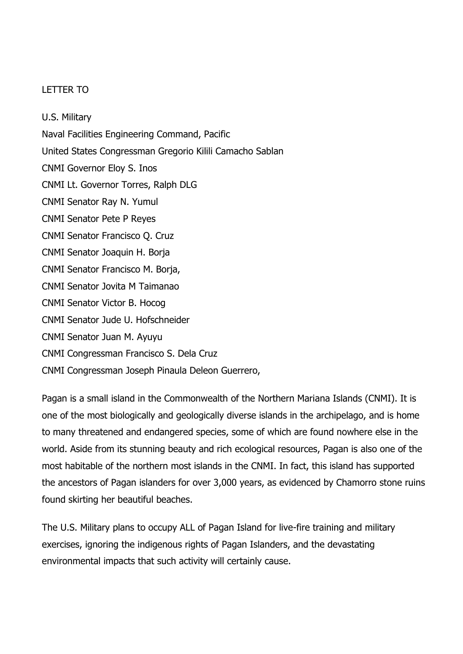#### LETTER TO

U.S. Military Naval Facilities Engineering Command, Pacific United States Congressman Gregorio Kilili Camacho Sablan CNMI Governor Eloy S. Inos CNMI Lt. Governor Torres, Ralph DLG CNMI Senator Ray N. Yumul CNMI Senator Pete P Reyes CNMI Senator Francisco Q. Cruz CNMI Senator Joaquin H. Borja CNMI Senator Francisco M. Borja, CNMI Senator Jovita M Taimanao CNMI Senator Victor B. Hocog CNMI Senator Jude U. Hofschneider CNMI Senator Juan M. Ayuyu CNMI Congressman Francisco S. Dela Cruz CNMI Congressman Joseph Pinaula Deleon Guerrero,

Pagan is a small island in the Commonwealth of the Northern Mariana Islands (CNMI). It is one of the most biologically and geologically diverse islands in the archipelago, and is home to many threatened and endangered species, some of which are found nowhere else in the world. Aside from its stunning beauty and rich ecological resources, Pagan is also one of the most habitable of the northern most islands in the CNMI. In fact, this island has supported the ancestors of Pagan islanders for over 3,000 years, as evidenced by Chamorro stone ruins found skirting her beautiful beaches.

The U.S. Military plans to occupy ALL of Pagan Island for live-fire training and military exercises, ignoring the indigenous rights of Pagan Islanders, and the devastating environmental impacts that such activity will certainly cause.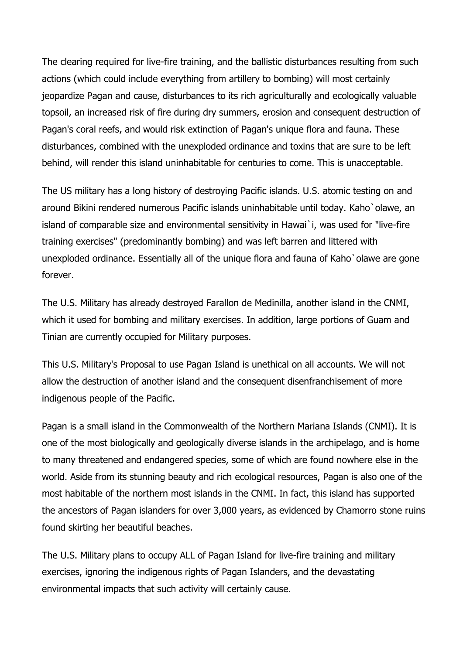The clearing required for live-fire training, and the ballistic disturbances resulting from such actions (which could include everything from artillery to bombing) will most certainly jeopardize Pagan and cause, disturbances to its rich agriculturally and ecologically valuable topsoil, an increased risk of fire during dry summers, erosion and consequent destruction of Pagan's coral reefs, and would risk extinction of Pagan's unique flora and fauna. These disturbances, combined with the unexploded ordinance and toxins that are sure to be left behind, will render this island uninhabitable for centuries to come. This is unacceptable.

The US military has a long history of destroying Pacific islands. U.S. atomic testing on and around Bikini rendered numerous Pacific islands uninhabitable until today. Kaho`olawe, an island of comparable size and environmental sensitivity in Hawai`i, was used for "live-fire training exercises" (predominantly bombing) and was left barren and littered with unexploded ordinance. Essentially all of the unique flora and fauna of Kaho`olawe are gone forever.

The U.S. Military has already destroyed Farallon de Medinilla, another island in the CNMI, which it used for bombing and military exercises. In addition, large portions of Guam and Tinian are currently occupied for Military purposes.

This U.S. Military's Proposal to use Pagan Island is unethical on all accounts. We will not allow the destruction of another island and the consequent disenfranchisement of more indigenous people of the Pacific.

Pagan is a small island in the Commonwealth of the Northern Mariana Islands (CNMI). It is one of the most biologically and geologically diverse islands in the archipelago, and is home to many threatened and endangered species, some of which are found nowhere else in the world. Aside from its stunning beauty and rich ecological resources, Pagan is also one of the most habitable of the northern most islands in the CNMI. In fact, this island has supported the ancestors of Pagan islanders for over 3,000 years, as evidenced by Chamorro stone ruins found skirting her beautiful beaches.

The U.S. Military plans to occupy ALL of Pagan Island for live-fire training and military exercises, ignoring the indigenous rights of Pagan Islanders, and the devastating environmental impacts that such activity will certainly cause.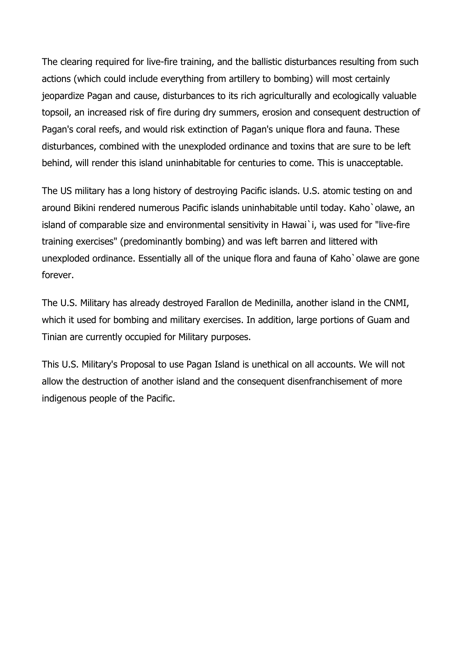The clearing required for live-fire training, and the ballistic disturbances resulting from such actions (which could include everything from artillery to bombing) will most certainly jeopardize Pagan and cause, disturbances to its rich agriculturally and ecologically valuable topsoil, an increased risk of fire during dry summers, erosion and consequent destruction of Pagan's coral reefs, and would risk extinction of Pagan's unique flora and fauna. These disturbances, combined with the unexploded ordinance and toxins that are sure to be left behind, will render this island uninhabitable for centuries to come. This is unacceptable.

The US military has a long history of destroying Pacific islands. U.S. atomic testing on and around Bikini rendered numerous Pacific islands uninhabitable until today. Kaho`olawe, an island of comparable size and environmental sensitivity in Hawai`i, was used for "live-fire training exercises" (predominantly bombing) and was left barren and littered with unexploded ordinance. Essentially all of the unique flora and fauna of Kaho`olawe are gone forever.

The U.S. Military has already destroyed Farallon de Medinilla, another island in the CNMI, which it used for bombing and military exercises. In addition, large portions of Guam and Tinian are currently occupied for Military purposes.

This U.S. Military's Proposal to use Pagan Island is unethical on all accounts. We will not allow the destruction of another island and the consequent disenfranchisement of more indigenous people of the Pacific.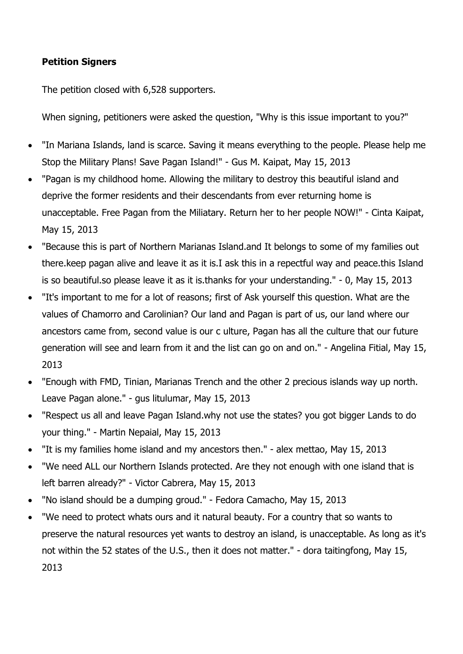### **Petition Signers**

The petition closed with 6,528 supporters.

When signing, petitioners were asked the question, "Why is this issue important to you?"

- "In Mariana Islands, land is scarce. Saving it means everything to the people. Please help me Stop the Military Plans! Save Pagan Island!" - Gus M. Kaipat, May 15, 2013
- "Pagan is my childhood home. Allowing the military to destroy this beautiful island and deprive the former residents and their descendants from ever returning home is unacceptable. Free Pagan from the Miliatary. Return her to her people NOW!" - Cinta Kaipat, May 15, 2013
- "Because this is part of Northern Marianas Island.and It belongs to some of my families out there.keep pagan alive and leave it as it is.I ask this in a repectful way and peace.this Island is so beautiful.so please leave it as it is.thanks for your understanding." - 0, May 15, 2013
- "It's important to me for a lot of reasons; first of Ask yourself this question. What are the values of Chamorro and Carolinian? Our land and Pagan is part of us, our land where our ancestors came from, second value is our c ulture, Pagan has all the culture that our future generation will see and learn from it and the list can go on and on." - Angelina Fitial, May 15, 2013
- "Enough with FMD, Tinian, Marianas Trench and the other 2 precious islands way up north. Leave Pagan alone." - gus litulumar, May 15, 2013
- "Respect us all and leave Pagan Island.why not use the states? you got bigger Lands to do your thing." - Martin Nepaial, May 15, 2013
- "It is my families home island and my ancestors then." alex mettao, May 15, 2013
- "We need ALL our Northern Islands protected. Are they not enough with one island that is left barren already?" - Victor Cabrera, May 15, 2013
- "No island should be a dumping groud." Fedora Camacho, May 15, 2013
- "We need to protect whats ours and it natural beauty. For a country that so wants to preserve the natural resources yet wants to destroy an island, is unacceptable. As long as it's not within the 52 states of the U.S., then it does not matter." - dora taitingfong, May 15, 2013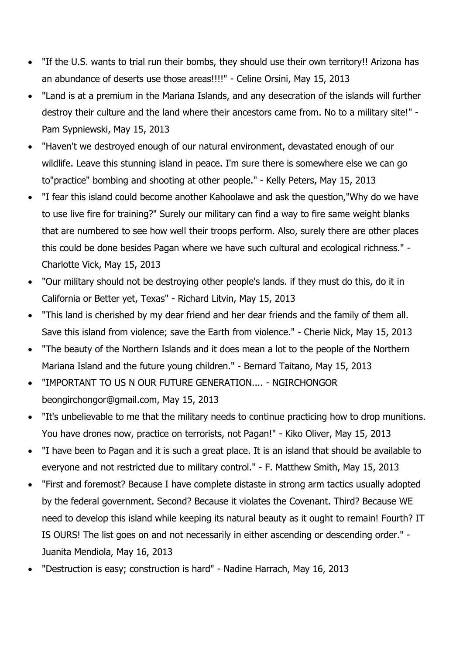- "If the U.S. wants to trial run their bombs, they should use their own territory!! Arizona has an abundance of deserts use those areas!!!!" - Celine Orsini, May 15, 2013
- "Land is at a premium in the Mariana Islands, and any desecration of the islands will further destroy their culture and the land where their ancestors came from. No to a military site!" - Pam Sypniewski, May 15, 2013
- "Haven't we destroyed enough of our natural environment, devastated enough of our wildlife. Leave this stunning island in peace. I'm sure there is somewhere else we can go to"practice" bombing and shooting at other people." - Kelly Peters, May 15, 2013
- "I fear this island could become another Kahoolawe and ask the question,"Why do we have to use live fire for training?" Surely our military can find a way to fire same weight blanks that are numbered to see how well their troops perform. Also, surely there are other places this could be done besides Pagan where we have such cultural and ecological richness." - Charlotte Vick, May 15, 2013
- "Our military should not be destroying other people's lands. if they must do this, do it in California or Better yet, Texas" - Richard Litvin, May 15, 2013
- "This land is cherished by my dear friend and her dear friends and the family of them all. Save this island from violence; save the Earth from violence." - Cherie Nick, May 15, 2013
- "The beauty of the Northern Islands and it does mean a lot to the people of the Northern Mariana Island and the future young children." - Bernard Taitano, May 15, 2013
- "IMPORTANT TO US N OUR FUTURE GENERATION.... NGIRCHONGOR beongirchongor@gmail.com, May 15, 2013
- "It's unbelievable to me that the military needs to continue practicing how to drop munitions. You have drones now, practice on terrorists, not Pagan!" - Kiko Oliver, May 15, 2013
- "I have been to Pagan and it is such a great place. It is an island that should be available to everyone and not restricted due to military control." - F. Matthew Smith, May 15, 2013
- "First and foremost? Because I have complete distaste in strong arm tactics usually adopted by the federal government. Second? Because it violates the Covenant. Third? Because WE need to develop this island while keeping its natural beauty as it ought to remain! Fourth? IT IS OURS! The list goes on and not necessarily in either ascending or descending order." - Juanita Mendiola, May 16, 2013
- "Destruction is easy; construction is hard" Nadine Harrach, May 16, 2013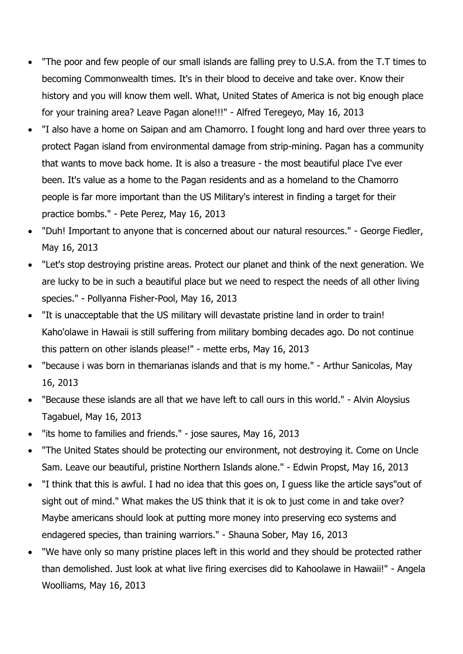- "The poor and few people of our small islands are falling prey to U.S.A. from the T.T times to becoming Commonwealth times. It's in their blood to deceive and take over. Know their history and you will know them well. What, United States of America is not big enough place for your training area? Leave Pagan alone!!!" - Alfred Teregeyo, May 16, 2013
- "I also have a home on Saipan and am Chamorro. I fought long and hard over three years to protect Pagan island from environmental damage from strip-mining. Pagan has a community that wants to move back home. It is also a treasure - the most beautiful place I've ever been. It's value as a home to the Pagan residents and as a homeland to the Chamorro people is far more important than the US Military's interest in finding a target for their practice bombs." - Pete Perez, May 16, 2013
- "Duh! Important to anyone that is concerned about our natural resources." George Fiedler, May 16, 2013
- "Let's stop destroying pristine areas. Protect our planet and think of the next generation. We are lucky to be in such a beautiful place but we need to respect the needs of all other living species." - Pollyanna Fisher-Pool, May 16, 2013
- "It is unacceptable that the US military will devastate pristine land in order to train! Kaho'olawe in Hawaii is still suffering from military bombing decades ago. Do not continue this pattern on other islands please!" - mette erbs, May 16, 2013
- "because i was born in themarianas islands and that is my home." Arthur Sanicolas, May 16, 2013
- "Because these islands are all that we have left to call ours in this world." Alvin Aloysius Tagabuel, May 16, 2013
- "its home to families and friends." jose saures, May 16, 2013
- "The United States should be protecting our environment, not destroying it. Come on Uncle Sam. Leave our beautiful, pristine Northern Islands alone." - Edwin Propst, May 16, 2013
- "I think that this is awful. I had no idea that this goes on, I guess like the article says"out of sight out of mind." What makes the US think that it is ok to just come in and take over? Maybe americans should look at putting more money into preserving eco systems and endagered species, than training warriors." - Shauna Sober, May 16, 2013
- "We have only so many pristine places left in this world and they should be protected rather than demolished. Just look at what live firing exercises did to Kahoolawe in Hawaii!" - Angela Woolliams, May 16, 2013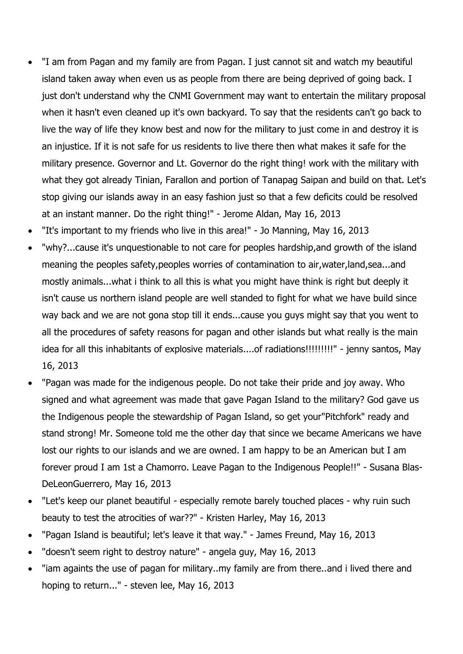- "I am from Pagan and my family are from Pagan. I just cannot sit and watch my beautiful island taken away when even us as people from there are being deprived of going back. I just don't understand why the CNMI Government may want to entertain the military proposal when it hasn't even cleaned up it's own backyard. To say that the residents can't go back to live the way of life they know best and now for the military to just come in and destroy it is an injustice. If it is not safe for us residents to live there then what makes it safe for the military presence. Governor and Lt. Governor do the right thing! work with the military with what they got already Tinian, Farallon and portion of Tanapag Saipan and build on that. Let's stop giving our islands away in an easy fashion just so that a few deficits could be resolved at an instant manner. Do the right thing!" - Jerome Aldan, May 16, 2013
- "It's important to my friends who live in this area!" Jo Manning, May 16, 2013
- "why?...cause it's unquestionable to not care for peoples hardship,and growth of the island meaning the peoples safety,peoples worries of contamination to air,water,land,sea...and mostly animals...what i think to all this is what you might have think is right but deeply it isn't cause us northern island people are well standed to fight for what we have build since way back and we are not gona stop till it ends...cause you guys might say that you went to all the procedures of safety reasons for pagan and other islands but what really is the main idea for all this inhabitants of explosive materials....of radiations!!!!!!!!!" - jenny santos, May 16, 2013
- "Pagan was made for the indigenous people. Do not take their pride and joy away. Who signed and what agreement was made that gave Pagan Island to the military? God gave us the Indigenous people the stewardship of Pagan Island, so get your"Pitchfork" ready and stand strong! Mr. Someone told me the other day that since we became Americans we have lost our rights to our islands and we are owned. I am happy to be an American but I am forever proud I am 1st a Chamorro. Leave Pagan to the Indigenous People!!" - Susana Blas-DeLeonGuerrero, May 16, 2013
- "Let's keep our planet beautiful especially remote barely touched places why ruin such beauty to test the atrocities of war??" - Kristen Harley, May 16, 2013
- "Pagan Island is beautiful; let's leave it that way." James Freund, May 16, 2013
- "doesn't seem right to destroy nature" angela guy, May 16, 2013
- "iam againts the use of pagan for military..my family are from there..and i lived there and hoping to return..." - steven lee, May 16, 2013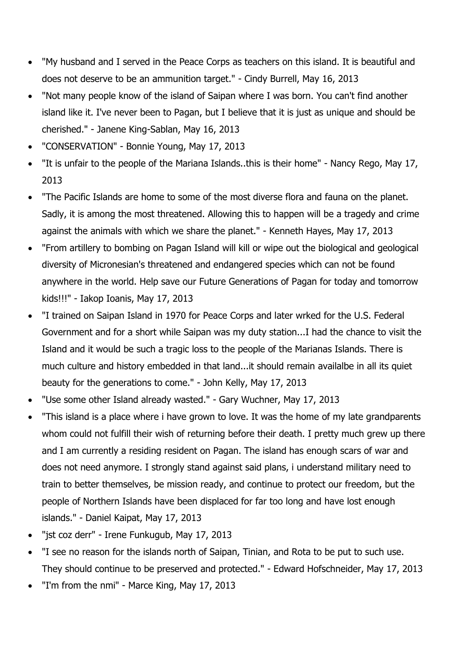- "My husband and I served in the Peace Corps as teachers on this island. It is beautiful and does not deserve to be an ammunition target." - Cindy Burrell, May 16, 2013
- "Not many people know of the island of Saipan where I was born. You can't find another island like it. I've never been to Pagan, but I believe that it is just as unique and should be cherished." - Janene King-Sablan, May 16, 2013
- "CONSERVATION" Bonnie Young, May 17, 2013
- "It is unfair to the people of the Mariana Islands..this is their home" Nancy Rego, May 17, 2013
- "The Pacific Islands are home to some of the most diverse flora and fauna on the planet. Sadly, it is among the most threatened. Allowing this to happen will be a tragedy and crime against the animals with which we share the planet." - Kenneth Hayes, May 17, 2013
- "From artillery to bombing on Pagan Island will kill or wipe out the biological and geological diversity of Micronesian's threatened and endangered species which can not be found anywhere in the world. Help save our Future Generations of Pagan for today and tomorrow kids!!!" - Iakop Ioanis, May 17, 2013
- "I trained on Saipan Island in 1970 for Peace Corps and later wrked for the U.S. Federal Government and for a short while Saipan was my duty station...I had the chance to visit the Island and it would be such a tragic loss to the people of the Marianas Islands. There is much culture and history embedded in that land...it should remain availalbe in all its quiet beauty for the generations to come." - John Kelly, May 17, 2013
- "Use some other Island already wasted." Gary Wuchner, May 17, 2013
- "This island is a place where i have grown to love. It was the home of my late grandparents whom could not fulfill their wish of returning before their death. I pretty much grew up there and I am currently a residing resident on Pagan. The island has enough scars of war and does not need anymore. I strongly stand against said plans, i understand military need to train to better themselves, be mission ready, and continue to protect our freedom, but the people of Northern Islands have been displaced for far too long and have lost enough islands." - Daniel Kaipat, May 17, 2013
- "jst coz derr" Irene Funkugub, May 17, 2013
- "I see no reason for the islands north of Saipan, Tinian, and Rota to be put to such use. They should continue to be preserved and protected." - Edward Hofschneider, May 17, 2013
- "I'm from the nmi" Marce King, May 17, 2013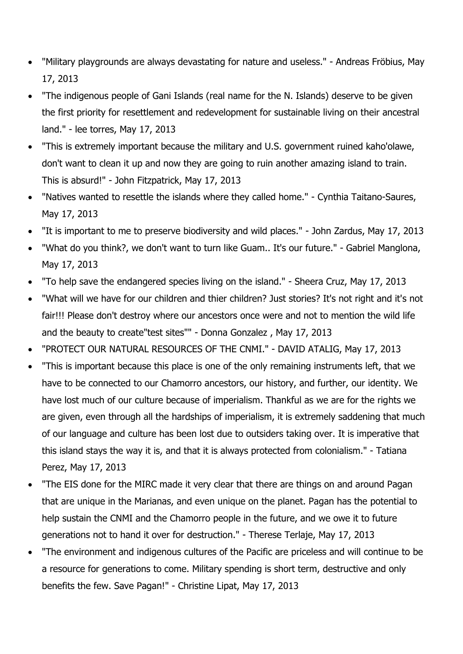- "Military playgrounds are always devastating for nature and useless." Andreas Fröbius, May 17, 2013
- "The indigenous people of Gani Islands (real name for the N. Islands) deserve to be given the first priority for resettlement and redevelopment for sustainable living on their ancestral land." - lee torres, May 17, 2013
- "This is extremely important because the military and U.S. government ruined kaho'olawe, don't want to clean it up and now they are going to ruin another amazing island to train. This is absurd!" - John Fitzpatrick, May 17, 2013
- "Natives wanted to resettle the islands where they called home." Cynthia Taitano-Saures, May 17, 2013
- "It is important to me to preserve biodiversity and wild places." John Zardus, May 17, 2013
- "What do you think?, we don't want to turn like Guam.. It's our future." Gabriel Manglona, May 17, 2013
- "To help save the endangered species living on the island." Sheera Cruz, May 17, 2013
- "What will we have for our children and thier children? Just stories? It's not right and it's not fair!!! Please don't destroy where our ancestors once were and not to mention the wild life and the beauty to create"test sites"" - Donna Gonzalez , May 17, 2013
- "PROTECT OUR NATURAL RESOURCES OF THE CNMI." DAVID ATALIG, May 17, 2013
- "This is important because this place is one of the only remaining instruments left, that we have to be connected to our Chamorro ancestors, our history, and further, our identity. We have lost much of our culture because of imperialism. Thankful as we are for the rights we are given, even through all the hardships of imperialism, it is extremely saddening that much of our language and culture has been lost due to outsiders taking over. It is imperative that this island stays the way it is, and that it is always protected from colonialism." - Tatiana Perez, May 17, 2013
- "The EIS done for the MIRC made it very clear that there are things on and around Pagan that are unique in the Marianas, and even unique on the planet. Pagan has the potential to help sustain the CNMI and the Chamorro people in the future, and we owe it to future generations not to hand it over for destruction." - Therese Terlaje, May 17, 2013
- "The environment and indigenous cultures of the Pacific are priceless and will continue to be a resource for generations to come. Military spending is short term, destructive and only benefits the few. Save Pagan!" - Christine Lipat, May 17, 2013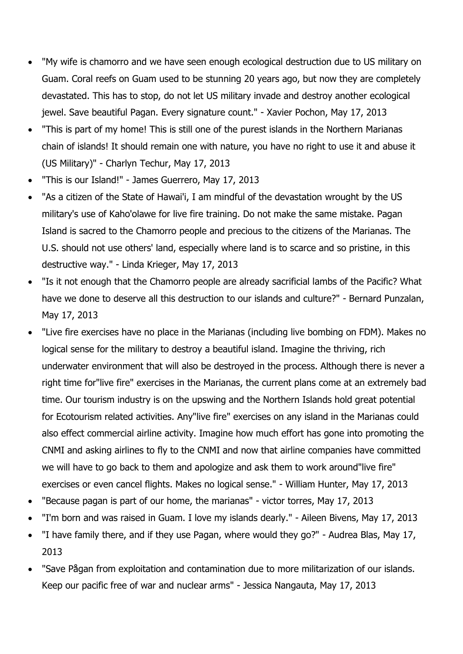- "My wife is chamorro and we have seen enough ecological destruction due to US military on Guam. Coral reefs on Guam used to be stunning 20 years ago, but now they are completely devastated. This has to stop, do not let US military invade and destroy another ecological jewel. Save beautiful Pagan. Every signature count." - Xavier Pochon, May 17, 2013
- "This is part of my home! This is still one of the purest islands in the Northern Marianas chain of islands! It should remain one with nature, you have no right to use it and abuse it (US Military)" - Charlyn Techur, May 17, 2013
- "This is our Island!" James Guerrero, May 17, 2013
- "As a citizen of the State of Hawai'i, I am mindful of the devastation wrought by the US military's use of Kaho'olawe for live fire training. Do not make the same mistake. Pagan Island is sacred to the Chamorro people and precious to the citizens of the Marianas. The U.S. should not use others' land, especially where land is to scarce and so pristine, in this destructive way." - Linda Krieger, May 17, 2013
- "Is it not enough that the Chamorro people are already sacrificial lambs of the Pacific? What have we done to deserve all this destruction to our islands and culture?" - Bernard Punzalan, May 17, 2013
- "Live fire exercises have no place in the Marianas (including live bombing on FDM). Makes no logical sense for the military to destroy a beautiful island. Imagine the thriving, rich underwater environment that will also be destroyed in the process. Although there is never a right time for"live fire" exercises in the Marianas, the current plans come at an extremely bad time. Our tourism industry is on the upswing and the Northern Islands hold great potential for Ecotourism related activities. Any"live fire" exercises on any island in the Marianas could also effect commercial airline activity. Imagine how much effort has gone into promoting the CNMI and asking airlines to fly to the CNMI and now that airline companies have committed we will have to go back to them and apologize and ask them to work around"live fire" exercises or even cancel flights. Makes no logical sense." - William Hunter, May 17, 2013
- "Because pagan is part of our home, the marianas" victor torres, May 17, 2013
- "I'm born and was raised in Guam. I love my islands dearly." Aileen Bivens, May 17, 2013
- "I have family there, and if they use Pagan, where would they go?" Audrea Blas, May 17, 2013
- "Save Pågan from exploitation and contamination due to more militarization of our islands. Keep our pacific free of war and nuclear arms" - Jessica Nangauta, May 17, 2013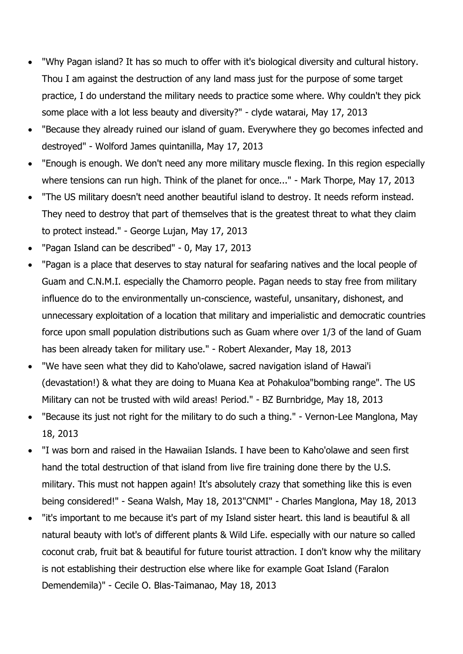- "Why Pagan island? It has so much to offer with it's biological diversity and cultural history. Thou I am against the destruction of any land mass just for the purpose of some target practice, I do understand the military needs to practice some where. Why couldn't they pick some place with a lot less beauty and diversity?" - clyde watarai, May 17, 2013
- "Because they already ruined our island of guam. Everywhere they go becomes infected and destroyed" - Wolford James quintanilla, May 17, 2013
- "Enough is enough. We don't need any more military muscle flexing. In this region especially where tensions can run high. Think of the planet for once..." - Mark Thorpe, May 17, 2013
- "The US military doesn't need another beautiful island to destroy. It needs reform instead. They need to destroy that part of themselves that is the greatest threat to what they claim to protect instead." - George Lujan, May 17, 2013
- "Pagan Island can be described" 0, May 17, 2013
- "Pagan is a place that deserves to stay natural for seafaring natives and the local people of Guam and C.N.M.I. especially the Chamorro people. Pagan needs to stay free from military influence do to the environmentally un-conscience, wasteful, unsanitary, dishonest, and unnecessary exploitation of a location that military and imperialistic and democratic countries force upon small population distributions such as Guam where over 1/3 of the land of Guam has been already taken for military use." - Robert Alexander, May 18, 2013
- "We have seen what they did to Kaho'olawe, sacred navigation island of Hawai'i (devastation!) & what they are doing to Muana Kea at Pohakuloa"bombing range". The US Military can not be trusted with wild areas! Period." - BZ Burnbridge, May 18, 2013
- "Because its just not right for the military to do such a thing." Vernon-Lee Manglona, May 18, 2013
- "I was born and raised in the Hawaiian Islands. I have been to Kaho'olawe and seen first hand the total destruction of that island from live fire training done there by the U.S. military. This must not happen again! It's absolutely crazy that something like this is even being considered!" - Seana Walsh, May 18, 2013"CNMI" - Charles Manglona, May 18, 2013
- "it's important to me because it's part of my Island sister heart. this land is beautiful & all natural beauty with lot's of different plants & Wild Life. especially with our nature so called coconut crab, fruit bat & beautiful for future tourist attraction. I don't know why the military is not establishing their destruction else where like for example Goat Island (Faralon Demendemila)" - Cecile O. Blas-Taimanao, May 18, 2013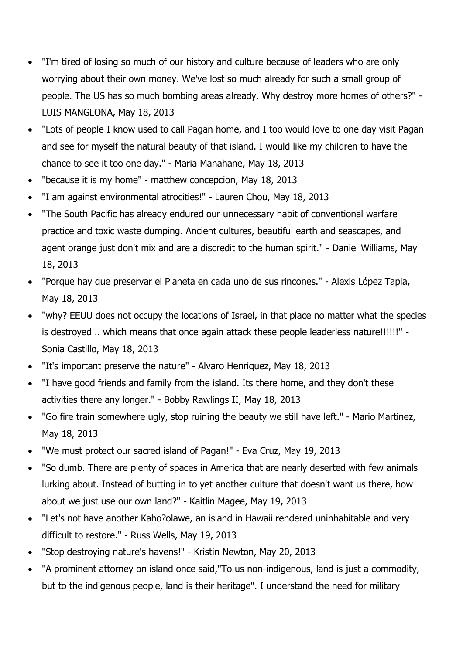- "I'm tired of losing so much of our history and culture because of leaders who are only worrying about their own money. We've lost so much already for such a small group of people. The US has so much bombing areas already. Why destroy more homes of others?" - LUIS MANGLONA, May 18, 2013
- "Lots of people I know used to call Pagan home, and I too would love to one day visit Pagan and see for myself the natural beauty of that island. I would like my children to have the chance to see it too one day." - Maria Manahane, May 18, 2013
- "because it is my home" matthew concepcion, May 18, 2013
- "I am against environmental atrocities!" Lauren Chou, May 18, 2013
- "The South Pacific has already endured our unnecessary habit of conventional warfare practice and toxic waste dumping. Ancient cultures, beautiful earth and seascapes, and agent orange just don't mix and are a discredit to the human spirit." - Daniel Williams, May 18, 2013
- "Porque hay que preservar el Planeta en cada uno de sus rincones." Alexis López Tapia, May 18, 2013
- "why? EEUU does not occupy the locations of Israel, in that place no matter what the species is destroyed .. which means that once again attack these people leaderless nature!!!!!!" - Sonia Castillo, May 18, 2013
- "It's important preserve the nature" Alvaro Henriquez, May 18, 2013
- "I have good friends and family from the island. Its there home, and they don't these activities there any longer." - Bobby Rawlings II, May 18, 2013
- "Go fire train somewhere ugly, stop ruining the beauty we still have left." Mario Martinez, May 18, 2013
- "We must protect our sacred island of Pagan!" Eva Cruz, May 19, 2013
- "So dumb. There are plenty of spaces in America that are nearly deserted with few animals lurking about. Instead of butting in to yet another culture that doesn't want us there, how about we just use our own land?" - Kaitlin Magee, May 19, 2013
- "Let's not have another Kaho?olawe, an island in Hawaii rendered uninhabitable and very difficult to restore." - Russ Wells, May 19, 2013
- "Stop destroying nature's havens!" Kristin Newton, May 20, 2013
- "A prominent attorney on island once said,"To us non-indigenous, land is just a commodity, but to the indigenous people, land is their heritage". I understand the need for military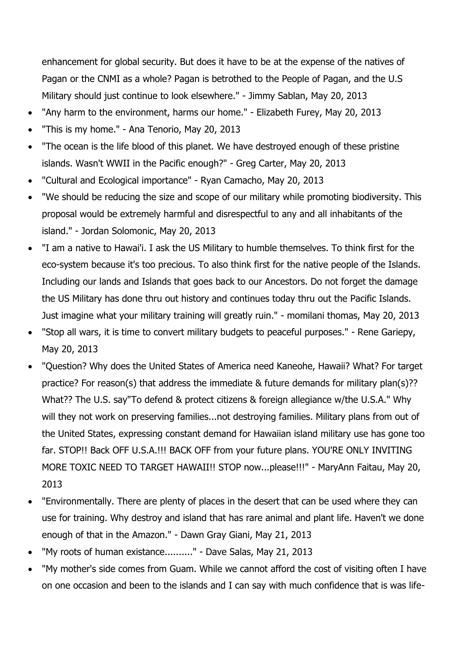enhancement for global security. But does it have to be at the expense of the natives of Pagan or the CNMI as a whole? Pagan is betrothed to the People of Pagan, and the U.S Military should just continue to look elsewhere." - Jimmy Sablan, May 20, 2013

- "Any harm to the environment, harms our home." Elizabeth Furey, May 20, 2013
- "This is my home." Ana Tenorio, May 20, 2013
- "The ocean is the life blood of this planet. We have destroyed enough of these pristine islands. Wasn't WWII in the Pacific enough?" - Greg Carter, May 20, 2013
- "Cultural and Ecological importance" Ryan Camacho, May 20, 2013
- "We should be reducing the size and scope of our military while promoting biodiversity. This proposal would be extremely harmful and disrespectful to any and all inhabitants of the island." - Jordan Solomonic, May 20, 2013
- "I am a native to Hawai'i. I ask the US Military to humble themselves. To think first for the eco-system because it's too precious. To also think first for the native people of the Islands. Including our lands and Islands that goes back to our Ancestors. Do not forget the damage the US Military has done thru out history and continues today thru out the Pacific Islands. Just imagine what your military training will greatly ruin." - momilani thomas, May 20, 2013
- "Stop all wars, it is time to convert military budgets to peaceful purposes." Rene Gariepy, May 20, 2013
- "Question? Why does the United States of America need Kaneohe, Hawaii? What? For target practice? For reason(s) that address the immediate & future demands for military plan(s)?? What?? The U.S. say"To defend & protect citizens & foreign allegiance w/the U.S.A." Why will they not work on preserving families...not destroying families. Military plans from out of the United States, expressing constant demand for Hawaiian island military use has gone too far. STOP!! Back OFF U.S.A.!!! BACK OFF from your future plans. YOU'RE ONLY INVITING MORE TOXIC NEED TO TARGET HAWAII!! STOP now...please!!!" - MaryAnn Faitau, May 20, 2013
- "Environmentally. There are plenty of places in the desert that can be used where they can use for training. Why destroy and island that has rare animal and plant life. Haven't we done enough of that in the Amazon." - Dawn Gray Giani, May 21, 2013
- "My roots of human existance.........." Dave Salas, May 21, 2013
- "My mother's side comes from Guam. While we cannot afford the cost of visiting often I have on one occasion and been to the islands and I can say with much confidence that is was life-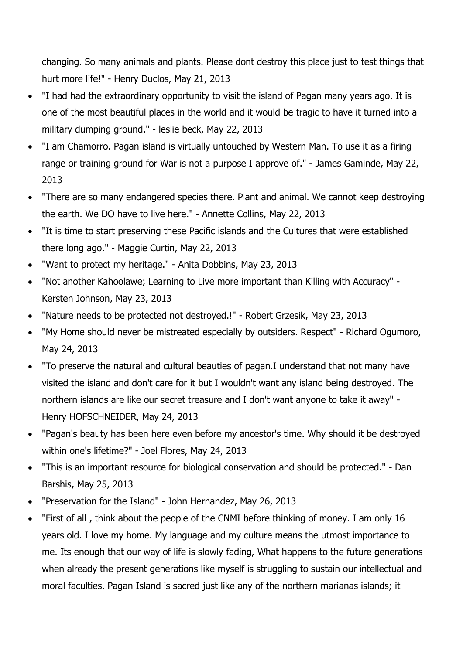changing. So many animals and plants. Please dont destroy this place just to test things that hurt more life!" - Henry Duclos, May 21, 2013

- "I had had the extraordinary opportunity to visit the island of Pagan many years ago. It is one of the most beautiful places in the world and it would be tragic to have it turned into a military dumping ground." - leslie beck, May 22, 2013
- "I am Chamorro. Pagan island is virtually untouched by Western Man. To use it as a firing range or training ground for War is not a purpose I approve of." - James Gaminde, May 22, 2013
- "There are so many endangered species there. Plant and animal. We cannot keep destroying the earth. We DO have to live here." - Annette Collins, May 22, 2013
- "It is time to start preserving these Pacific islands and the Cultures that were established there long ago." - Maggie Curtin, May 22, 2013
- "Want to protect my heritage." Anita Dobbins, May 23, 2013
- "Not another Kahoolawe; Learning to Live more important than Killing with Accuracy" Kersten Johnson, May 23, 2013
- "Nature needs to be protected not destroyed.!" Robert Grzesik, May 23, 2013
- "My Home should never be mistreated especially by outsiders. Respect" Richard Ogumoro, May 24, 2013
- "To preserve the natural and cultural beauties of pagan.I understand that not many have visited the island and don't care for it but I wouldn't want any island being destroyed. The northern islands are like our secret treasure and I don't want anyone to take it away" - Henry HOFSCHNEIDER, May 24, 2013
- "Pagan's beauty has been here even before my ancestor's time. Why should it be destroyed within one's lifetime?" - Joel Flores, May 24, 2013
- "This is an important resource for biological conservation and should be protected." Dan Barshis, May 25, 2013
- "Preservation for the Island" John Hernandez, May 26, 2013
- "First of all , think about the people of the CNMI before thinking of money. I am only 16 years old. I love my home. My language and my culture means the utmost importance to me. Its enough that our way of life is slowly fading, What happens to the future generations when already the present generations like myself is struggling to sustain our intellectual and moral faculties. Pagan Island is sacred just like any of the northern marianas islands; it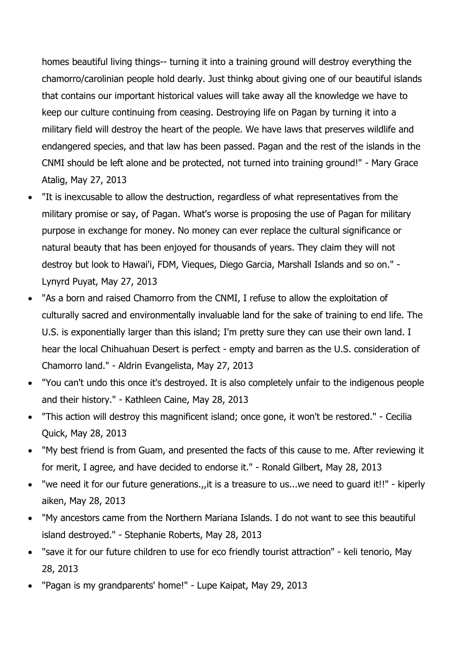homes beautiful living things-- turning it into a training ground will destroy everything the chamorro/carolinian people hold dearly. Just thinkg about giving one of our beautiful islands that contains our important historical values will take away all the knowledge we have to keep our culture continuing from ceasing. Destroying life on Pagan by turning it into a military field will destroy the heart of the people. We have laws that preserves wildlife and endangered species, and that law has been passed. Pagan and the rest of the islands in the CNMI should be left alone and be protected, not turned into training ground!" - Mary Grace Atalig, May 27, 2013

- "It is inexcusable to allow the destruction, regardless of what representatives from the military promise or say, of Pagan. What's worse is proposing the use of Pagan for military purpose in exchange for money. No money can ever replace the cultural significance or natural beauty that has been enjoyed for thousands of years. They claim they will not destroy but look to Hawai'i, FDM, Vieques, Diego Garcia, Marshall Islands and so on." - Lynyrd Puyat, May 27, 2013
- "As a born and raised Chamorro from the CNMI, I refuse to allow the exploitation of culturally sacred and environmentally invaluable land for the sake of training to end life. The U.S. is exponentially larger than this island; I'm pretty sure they can use their own land. I hear the local Chihuahuan Desert is perfect - empty and barren as the U.S. consideration of Chamorro land." - Aldrin Evangelista, May 27, 2013
- "You can't undo this once it's destroyed. It is also completely unfair to the indigenous people and their history." - Kathleen Caine, May 28, 2013
- "This action will destroy this magnificent island; once gone, it won't be restored." Cecilia Quick, May 28, 2013
- "My best friend is from Guam, and presented the facts of this cause to me. After reviewing it for merit, I agree, and have decided to endorse it." - Ronald Gilbert, May 28, 2013
- "we need it for our future generations.,,it is a treasure to us...we need to guard it!!" kiperly aiken, May 28, 2013
- "My ancestors came from the Northern Mariana Islands. I do not want to see this beautiful island destroyed." - Stephanie Roberts, May 28, 2013
- "save it for our future children to use for eco friendly tourist attraction" keli tenorio, May 28, 2013
- "Pagan is my grandparents' home!" Lupe Kaipat, May 29, 2013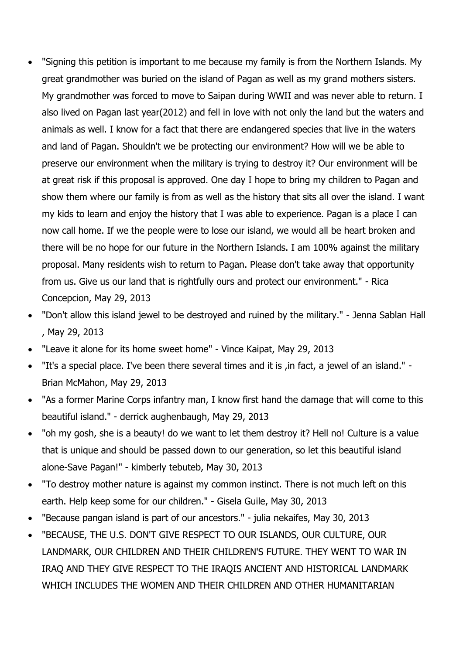- "Signing this petition is important to me because my family is from the Northern Islands. My great grandmother was buried on the island of Pagan as well as my grand mothers sisters. My grandmother was forced to move to Saipan during WWII and was never able to return. I also lived on Pagan last year(2012) and fell in love with not only the land but the waters and animals as well. I know for a fact that there are endangered species that live in the waters and land of Pagan. Shouldn't we be protecting our environment? How will we be able to preserve our environment when the military is trying to destroy it? Our environment will be at great risk if this proposal is approved. One day I hope to bring my children to Pagan and show them where our family is from as well as the history that sits all over the island. I want my kids to learn and enjoy the history that I was able to experience. Pagan is a place I can now call home. If we the people were to lose our island, we would all be heart broken and there will be no hope for our future in the Northern Islands. I am 100% against the military proposal. Many residents wish to return to Pagan. Please don't take away that opportunity from us. Give us our land that is rightfully ours and protect our environment." - Rica Concepcion, May 29, 2013
- "Don't allow this island jewel to be destroyed and ruined by the military." Jenna Sablan Hall , May 29, 2013
- "Leave it alone for its home sweet home" Vince Kaipat, May 29, 2013
- "It's a special place. I've been there several times and it is ,in fact, a jewel of an island." Brian McMahon, May 29, 2013
- "As a former Marine Corps infantry man, I know first hand the damage that will come to this beautiful island." - derrick aughenbaugh, May 29, 2013
- "oh my gosh, she is a beauty! do we want to let them destroy it? Hell no! Culture is a value that is unique and should be passed down to our generation, so let this beautiful island alone-Save Pagan!" - kimberly tebuteb, May 30, 2013
- "To destroy mother nature is against my common instinct. There is not much left on this earth. Help keep some for our children." - Gisela Guile, May 30, 2013
- "Because pangan island is part of our ancestors." julia nekaifes, May 30, 2013
- "BECAUSE, THE U.S. DON'T GIVE RESPECT TO OUR ISLANDS, OUR CULTURE, OUR LANDMARK, OUR CHILDREN AND THEIR CHILDREN'S FUTURE. THEY WENT TO WAR IN IRAQ AND THEY GIVE RESPECT TO THE IRAQIS ANCIENT AND HISTORICAL LANDMARK WHICH INCLUDES THE WOMEN AND THEIR CHILDREN AND OTHER HUMANITARIAN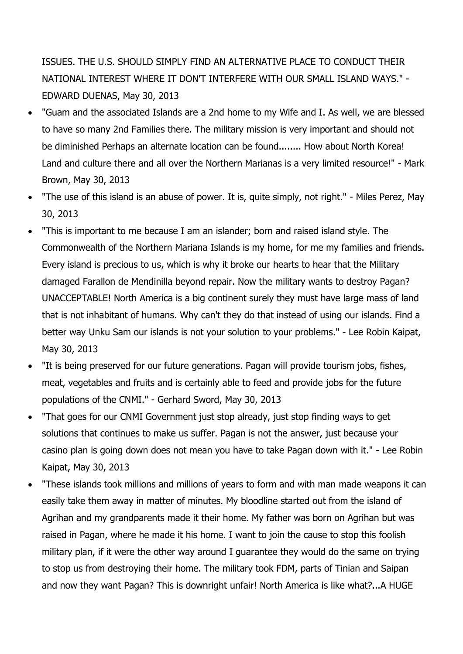ISSUES. THE U.S. SHOULD SIMPLY FIND AN ALTERNATIVE PLACE TO CONDUCT THEIR NATIONAL INTEREST WHERE IT DON'T INTERFERE WITH OUR SMALL ISLAND WAYS." - EDWARD DUENAS, May 30, 2013

- "Guam and the associated Islands are a 2nd home to my Wife and I. As well, we are blessed to have so many 2nd Families there. The military mission is very important and should not be diminished Perhaps an alternate location can be found........ How about North Korea! Land and culture there and all over the Northern Marianas is a very limited resource!" - Mark Brown, May 30, 2013
- "The use of this island is an abuse of power. It is, quite simply, not right." Miles Perez, May 30, 2013
- "This is important to me because I am an islander; born and raised island style. The Commonwealth of the Northern Mariana Islands is my home, for me my families and friends. Every island is precious to us, which is why it broke our hearts to hear that the Military damaged Farallon de Mendinilla beyond repair. Now the military wants to destroy Pagan? UNACCEPTABLE! North America is a big continent surely they must have large mass of land that is not inhabitant of humans. Why can't they do that instead of using our islands. Find a better way Unku Sam our islands is not your solution to your problems." - Lee Robin Kaipat, May 30, 2013
- "It is being preserved for our future generations. Pagan will provide tourism jobs, fishes, meat, vegetables and fruits and is certainly able to feed and provide jobs for the future populations of the CNMI." - Gerhard Sword, May 30, 2013
- "That goes for our CNMI Government just stop already, just stop finding ways to get solutions that continues to make us suffer. Pagan is not the answer, just because your casino plan is going down does not mean you have to take Pagan down with it." - Lee Robin Kaipat, May 30, 2013
- "These islands took millions and millions of years to form and with man made weapons it can easily take them away in matter of minutes. My bloodline started out from the island of Agrihan and my grandparents made it their home. My father was born on Agrihan but was raised in Pagan, where he made it his home. I want to join the cause to stop this foolish military plan, if it were the other way around I guarantee they would do the same on trying to stop us from destroying their home. The military took FDM, parts of Tinian and Saipan and now they want Pagan? This is downright unfair! North America is like what?...A HUGE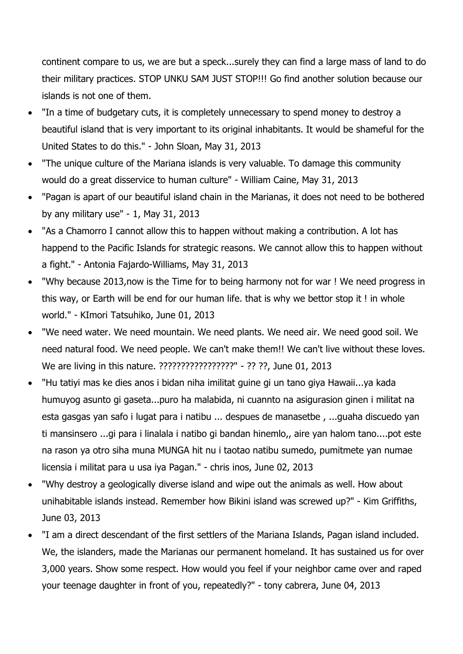continent compare to us, we are but a speck...surely they can find a large mass of land to do their military practices. STOP UNKU SAM JUST STOP!!! Go find another solution because our islands is not one of them.

- "In a time of budgetary cuts, it is completely unnecessary to spend money to destroy a beautiful island that is very important to its original inhabitants. It would be shameful for the United States to do this." - John Sloan, May 31, 2013
- "The unique culture of the Mariana islands is very valuable. To damage this community would do a great disservice to human culture" - William Caine, May 31, 2013
- "Pagan is apart of our beautiful island chain in the Marianas, it does not need to be bothered by any military use" - 1, May 31, 2013
- "As a Chamorro I cannot allow this to happen without making a contribution. A lot has happend to the Pacific Islands for strategic reasons. We cannot allow this to happen without a fight." - Antonia Fajardo-Williams, May 31, 2013
- "Why because 2013,now is the Time for to being harmony not for war ! We need progress in this way, or Earth will be end for our human life. that is why we bettor stop it ! in whole world." - KImori Tatsuhiko, June 01, 2013
- "We need water. We need mountain. We need plants. We need air. We need good soil. We need natural food. We need people. We can't make them!! We can't live without these loves. We are living in this nature. ?????????????????" - ?? ??, June 01, 2013
- "Hu tatiyi mas ke dies anos i bidan niha imilitat guine gi un tano giya Hawaii...ya kada humuyog asunto gi gaseta...puro ha malabida, ni cuannto na asigurasion ginen i militat na esta gasgas yan safo i lugat para i natibu ... despues de manasetbe , ...guaha discuedo yan ti mansinsero ...gi para i linalala i natibo gi bandan hinemlo,, aire yan halom tano....pot este na rason ya otro siha muna MUNGA hit nu i taotao natibu sumedo, pumitmete yan numae licensia i militat para u usa iya Pagan." - chris inos, June 02, 2013
- "Why destroy a geologically diverse island and wipe out the animals as well. How about unihabitable islands instead. Remember how Bikini island was screwed up?" - Kim Griffiths, June 03, 2013
- "I am a direct descendant of the first settlers of the Mariana Islands, Pagan island included. We, the islanders, made the Marianas our permanent homeland. It has sustained us for over 3,000 years. Show some respect. How would you feel if your neighbor came over and raped your teenage daughter in front of you, repeatedly?" - tony cabrera, June 04, 2013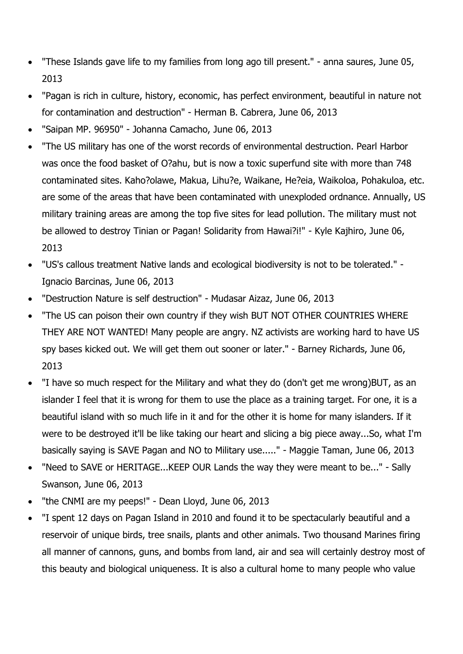- "These Islands gave life to my families from long ago till present." anna saures, June 05, 2013
- "Pagan is rich in culture, history, economic, has perfect environment, beautiful in nature not for contamination and destruction" - Herman B. Cabrera, June 06, 2013
- "Saipan MP. 96950" Johanna Camacho, June 06, 2013
- "The US military has one of the worst records of environmental destruction. Pearl Harbor was once the food basket of O?ahu, but is now a toxic superfund site with more than 748 contaminated sites. Kaho?olawe, Makua, Lihu?e, Waikane, He?eia, Waikoloa, Pohakuloa, etc. are some of the areas that have been contaminated with unexploded ordnance. Annually, US military training areas are among the top five sites for lead pollution. The military must not be allowed to destroy Tinian or Pagan! Solidarity from Hawai?i!" - Kyle Kajhiro, June 06, 2013
- "US's callous treatment Native lands and ecological biodiversity is not to be tolerated." Ignacio Barcinas, June 06, 2013
- "Destruction Nature is self destruction" Mudasar Aizaz, June 06, 2013
- "The US can poison their own country if they wish BUT NOT OTHER COUNTRIES WHERE THEY ARE NOT WANTED! Many people are angry. NZ activists are working hard to have US spy bases kicked out. We will get them out sooner or later." - Barney Richards, June 06, 2013
- "I have so much respect for the Military and what they do (don't get me wrong)BUT, as an islander I feel that it is wrong for them to use the place as a training target. For one, it is a beautiful island with so much life in it and for the other it is home for many islanders. If it were to be destroyed it'll be like taking our heart and slicing a big piece away...So, what I'm basically saying is SAVE Pagan and NO to Military use....." - Maggie Taman, June 06, 2013
- "Need to SAVE or HERITAGE...KEEP OUR Lands the way they were meant to be..." Sally Swanson, June 06, 2013
- "the CNMI are my peeps!" Dean Lloyd, June 06, 2013
- "I spent 12 days on Pagan Island in 2010 and found it to be spectacularly beautiful and a reservoir of unique birds, tree snails, plants and other animals. Two thousand Marines firing all manner of cannons, guns, and bombs from land, air and sea will certainly destroy most of this beauty and biological uniqueness. It is also a cultural home to many people who value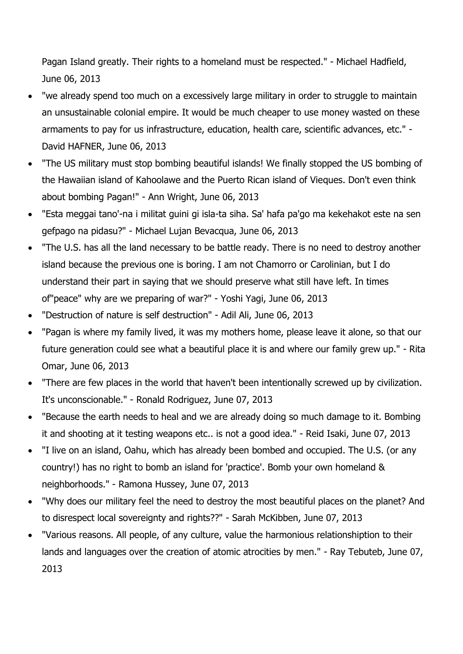Pagan Island greatly. Their rights to a homeland must be respected." - Michael Hadfield, June 06, 2013

- "we already spend too much on a excessively large military in order to struggle to maintain an unsustainable colonial empire. It would be much cheaper to use money wasted on these armaments to pay for us infrastructure, education, health care, scientific advances, etc." - David HAFNER, June 06, 2013
- "The US military must stop bombing beautiful islands! We finally stopped the US bombing of the Hawaiian island of Kahoolawe and the Puerto Rican island of Vieques. Don't even think about bombing Pagan!" - Ann Wright, June 06, 2013
- "Esta meggai tano'-na i militat guini gi isla-ta siha. Sa' hafa pa'go ma kekehakot este na sen gefpago na pidasu?" - Michael Lujan Bevacqua, June 06, 2013
- "The U.S. has all the land necessary to be battle ready. There is no need to destroy another island because the previous one is boring. I am not Chamorro or Carolinian, but I do understand their part in saying that we should preserve what still have left. In times of"peace" why are we preparing of war?" - Yoshi Yagi, June 06, 2013
- "Destruction of nature is self destruction" Adil Ali, June 06, 2013
- "Pagan is where my family lived, it was my mothers home, please leave it alone, so that our future generation could see what a beautiful place it is and where our family grew up." - Rita Omar, June 06, 2013
- "There are few places in the world that haven't been intentionally screwed up by civilization. It's unconscionable." - Ronald Rodriguez, June 07, 2013
- "Because the earth needs to heal and we are already doing so much damage to it. Bombing it and shooting at it testing weapons etc.. is not a good idea." - Reid Isaki, June 07, 2013
- "I live on an island, Oahu, which has already been bombed and occupied. The U.S. (or any country!) has no right to bomb an island for 'practice'. Bomb your own homeland & neighborhoods." - Ramona Hussey, June 07, 2013
- "Why does our military feel the need to destroy the most beautiful places on the planet? And to disrespect local sovereignty and rights??" - Sarah McKibben, June 07, 2013
- "Various reasons. All people, of any culture, value the harmonious relationshiption to their lands and languages over the creation of atomic atrocities by men." - Ray Tebuteb, June 07, 2013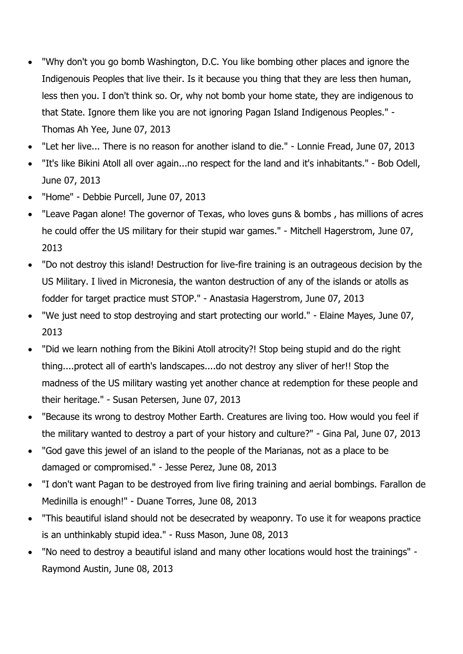- "Why don't you go bomb Washington, D.C. You like bombing other places and ignore the Indigenouis Peoples that live their. Is it because you thing that they are less then human, less then you. I don't think so. Or, why not bomb your home state, they are indigenous to that State. Ignore them like you are not ignoring Pagan Island Indigenous Peoples." - Thomas Ah Yee, June 07, 2013
- "Let her live... There is no reason for another island to die." Lonnie Fread, June 07, 2013
- "It's like Bikini Atoll all over again...no respect for the land and it's inhabitants." Bob Odell, June 07, 2013
- "Home" Debbie Purcell, June 07, 2013
- "Leave Pagan alone! The governor of Texas, who loves guns & bombs , has millions of acres he could offer the US military for their stupid war games." - Mitchell Hagerstrom, June 07, 2013
- "Do not destroy this island! Destruction for live-fire training is an outrageous decision by the US Military. I lived in Micronesia, the wanton destruction of any of the islands or atolls as fodder for target practice must STOP." - Anastasia Hagerstrom, June 07, 2013
- "We just need to stop destroying and start protecting our world." Elaine Mayes, June 07, 2013
- "Did we learn nothing from the Bikini Atoll atrocity?! Stop being stupid and do the right thing....protect all of earth's landscapes....do not destroy any sliver of her!! Stop the madness of the US military wasting yet another chance at redemption for these people and their heritage." - Susan Petersen, June 07, 2013
- "Because its wrong to destroy Mother Earth. Creatures are living too. How would you feel if the military wanted to destroy a part of your history and culture?" - Gina Pal, June 07, 2013
- "God gave this jewel of an island to the people of the Marianas, not as a place to be damaged or compromised." - Jesse Perez, June 08, 2013
- "I don't want Pagan to be destroyed from live firing training and aerial bombings. Farallon de Medinilla is enough!" - Duane Torres, June 08, 2013
- "This beautiful island should not be desecrated by weaponry. To use it for weapons practice is an unthinkably stupid idea." - Russ Mason, June 08, 2013
- "No need to destroy a beautiful island and many other locations would host the trainings" Raymond Austin, June 08, 2013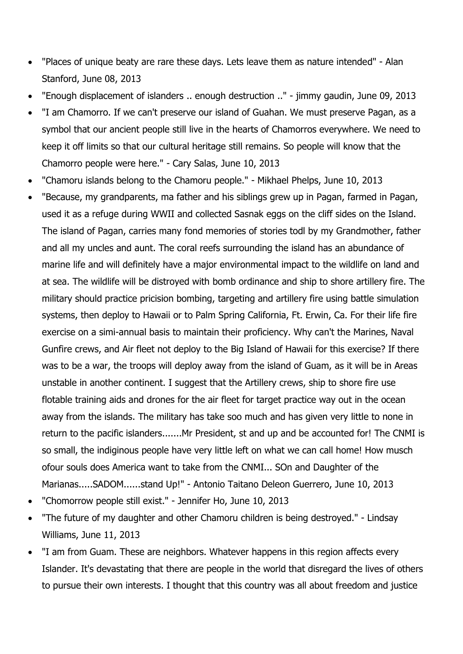- "Places of unique beaty are rare these days. Lets leave them as nature intended" Alan Stanford, June 08, 2013
- "Enough displacement of islanders .. enough destruction .." jimmy gaudin, June 09, 2013
- "I am Chamorro. If we can't preserve our island of Guahan. We must preserve Pagan, as a symbol that our ancient people still live in the hearts of Chamorros everywhere. We need to keep it off limits so that our cultural heritage still remains. So people will know that the Chamorro people were here." - Cary Salas, June 10, 2013
- "Chamoru islands belong to the Chamoru people." Mikhael Phelps, June 10, 2013
- "Because, my grandparents, ma father and his siblings grew up in Pagan, farmed in Pagan, used it as a refuge during WWII and collected Sasnak eggs on the cliff sides on the Island. The island of Pagan, carries many fond memories of stories todl by my Grandmother, father and all my uncles and aunt. The coral reefs surrounding the island has an abundance of marine life and will definitely have a major environmental impact to the wildlife on land and at sea. The wildlife will be distroyed with bomb ordinance and ship to shore artillery fire. The military should practice pricision bombing, targeting and artillery fire using battle simulation systems, then deploy to Hawaii or to Palm Spring California, Ft. Erwin, Ca. For their life fire exercise on a simi-annual basis to maintain their proficiency. Why can't the Marines, Naval Gunfire crews, and Air fleet not deploy to the Big Island of Hawaii for this exercise? If there was to be a war, the troops will deploy away from the island of Guam, as it will be in Areas unstable in another continent. I suggest that the Artillery crews, ship to shore fire use flotable training aids and drones for the air fleet for target practice way out in the ocean away from the islands. The military has take soo much and has given very little to none in return to the pacific islanders.......Mr President, st and up and be accounted for! The CNMI is so small, the indiginous people have very little left on what we can call home! How musch ofour souls does America want to take from the CNMI... SOn and Daughter of the Marianas.....SADOM......stand Up!" - Antonio Taitano Deleon Guerrero, June 10, 2013
- "Chomorrow people still exist." Jennifer Ho, June 10, 2013
- "The future of my daughter and other Chamoru children is being destroyed." Lindsay Williams, June 11, 2013
- "I am from Guam. These are neighbors. Whatever happens in this region affects every Islander. It's devastating that there are people in the world that disregard the lives of others to pursue their own interests. I thought that this country was all about freedom and justice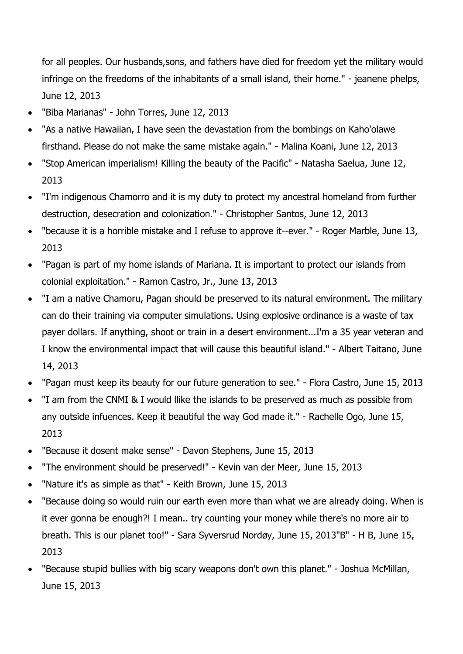for all peoples. Our husbands,sons, and fathers have died for freedom yet the military would infringe on the freedoms of the inhabitants of a small island, their home." - jeanene phelps, June 12, 2013

- "Biba Marianas" John Torres, June 12, 2013
- "As a native Hawaiian, I have seen the devastation from the bombings on Kaho'olawe firsthand. Please do not make the same mistake again." - Malina Koani, June 12, 2013
- "Stop American imperialism! Killing the beauty of the Pacific" Natasha Saelua, June 12, 2013
- "I'm indigenous Chamorro and it is my duty to protect my ancestral homeland from further destruction, desecration and colonization." - Christopher Santos, June 12, 2013
- "because it is a horrible mistake and I refuse to approve it--ever." Roger Marble, June 13, 2013
- "Pagan is part of my home islands of Mariana. It is important to protect our islands from colonial exploitation." - Ramon Castro, Jr., June 13, 2013
- "I am a native Chamoru, Pagan should be preserved to its natural environment. The military can do their training via computer simulations. Using explosive ordinance is a waste of tax payer dollars. If anything, shoot or train in a desert environment...I'm a 35 year veteran and I know the environmental impact that will cause this beautiful island." - Albert Taitano, June 14, 2013
- "Pagan must keep its beauty for our future generation to see." Flora Castro, June 15, 2013
- "I am from the CNMI & I would llike the islands to be preserved as much as possible from any outside infuences. Keep it beautiful the way God made it." - Rachelle Ogo, June 15, 2013
- "Because it dosent make sense" Davon Stephens, June 15, 2013
- "The environment should be preserved!" Kevin van der Meer, June 15, 2013
- "Nature it's as simple as that" Keith Brown, June 15, 2013
- "Because doing so would ruin our earth even more than what we are already doing. When is it ever gonna be enough?! I mean.. try counting your money while there's no more air to breath. This is our planet too!" - Sara Syversrud Nordøy, June 15, 2013"B" - H B, June 15, 2013
- "Because stupid bullies with big scary weapons don't own this planet." Joshua McMillan, June 15, 2013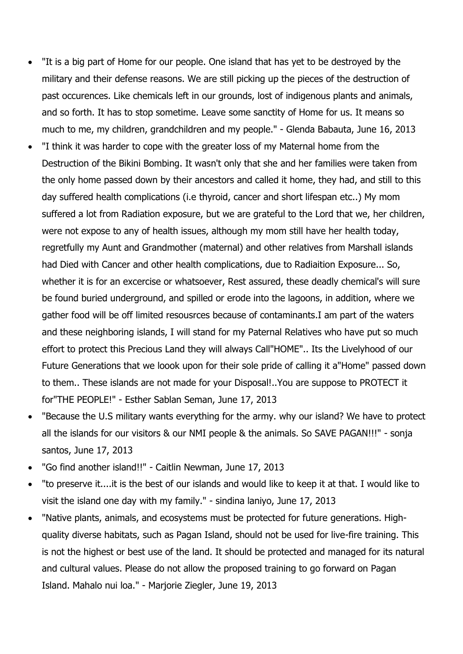- "It is a big part of Home for our people. One island that has yet to be destroyed by the military and their defense reasons. We are still picking up the pieces of the destruction of past occurences. Like chemicals left in our grounds, lost of indigenous plants and animals, and so forth. It has to stop sometime. Leave some sanctity of Home for us. It means so much to me, my children, grandchildren and my people." - Glenda Babauta, June 16, 2013
- "I think it was harder to cope with the greater loss of my Maternal home from the Destruction of the Bikini Bombing. It wasn't only that she and her families were taken from the only home passed down by their ancestors and called it home, they had, and still to this day suffered health complications (i.e thyroid, cancer and short lifespan etc..) My mom suffered a lot from Radiation exposure, but we are grateful to the Lord that we, her children, were not expose to any of health issues, although my mom still have her health today, regretfully my Aunt and Grandmother (maternal) and other relatives from Marshall islands had Died with Cancer and other health complications, due to Radiaition Exposure... So, whether it is for an excercise or whatsoever, Rest assured, these deadly chemical's will sure be found buried underground, and spilled or erode into the lagoons, in addition, where we gather food will be off limited resousrces because of contaminants.I am part of the waters and these neighboring islands, I will stand for my Paternal Relatives who have put so much effort to protect this Precious Land they will always Call"HOME".. Its the Livelyhood of our Future Generations that we loook upon for their sole pride of calling it a"Home" passed down to them.. These islands are not made for your Disposal!..You are suppose to PROTECT it for"THE PEOPLE!" - Esther Sablan Seman, June 17, 2013
- "Because the U.S military wants everything for the army. why our island? We have to protect all the islands for our visitors & our NMI people & the animals. So SAVE PAGAN!!!" - sonja santos, June 17, 2013
- "Go find another island!!" Caitlin Newman, June 17, 2013
- "to preserve it....it is the best of our islands and would like to keep it at that. I would like to visit the island one day with my family." - sindina laniyo, June 17, 2013
- "Native plants, animals, and ecosystems must be protected for future generations. Highquality diverse habitats, such as Pagan Island, should not be used for live-fire training. This is not the highest or best use of the land. It should be protected and managed for its natural and cultural values. Please do not allow the proposed training to go forward on Pagan Island. Mahalo nui loa." - Marjorie Ziegler, June 19, 2013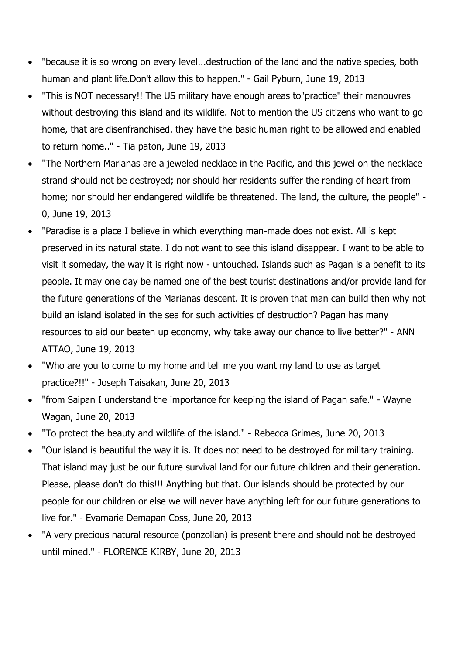- "because it is so wrong on every level...destruction of the land and the native species, both human and plant life.Don't allow this to happen." - Gail Pyburn, June 19, 2013
- "This is NOT necessary!! The US military have enough areas to"practice" their manouvres without destroying this island and its wildlife. Not to mention the US citizens who want to go home, that are disenfranchised. they have the basic human right to be allowed and enabled to return home.." - Tia paton, June 19, 2013
- "The Northern Marianas are a jeweled necklace in the Pacific, and this jewel on the necklace strand should not be destroyed; nor should her residents suffer the rending of heart from home; nor should her endangered wildlife be threatened. The land, the culture, the people" - 0, June 19, 2013
- "Paradise is a place I believe in which everything man-made does not exist. All is kept preserved in its natural state. I do not want to see this island disappear. I want to be able to visit it someday, the way it is right now - untouched. Islands such as Pagan is a benefit to its people. It may one day be named one of the best tourist destinations and/or provide land for the future generations of the Marianas descent. It is proven that man can build then why not build an island isolated in the sea for such activities of destruction? Pagan has many resources to aid our beaten up economy, why take away our chance to live better?" - ANN ATTAO, June 19, 2013
- "Who are you to come to my home and tell me you want my land to use as target practice?!!" - Joseph Taisakan, June 20, 2013
- "from Saipan I understand the importance for keeping the island of Pagan safe." Wayne Wagan, June 20, 2013
- "To protect the beauty and wildlife of the island." Rebecca Grimes, June 20, 2013
- "Our island is beautiful the way it is. It does not need to be destroyed for military training. That island may just be our future survival land for our future children and their generation. Please, please don't do this!!! Anything but that. Our islands should be protected by our people for our children or else we will never have anything left for our future generations to live for." - Evamarie Demapan Coss, June 20, 2013
- "A very precious natural resource (ponzollan) is present there and should not be destroyed until mined." - FLORENCE KIRBY, June 20, 2013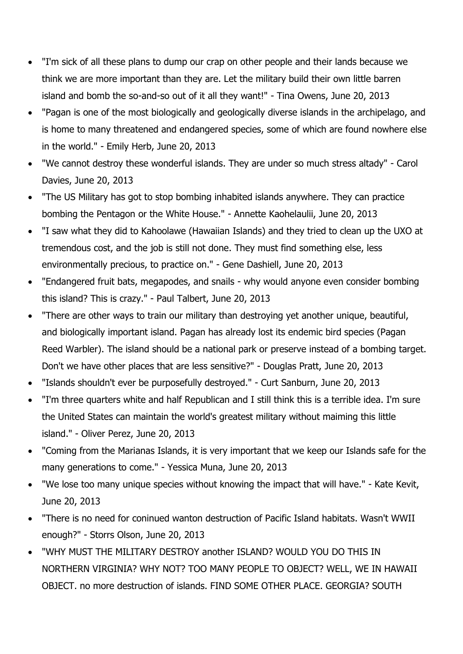- "I'm sick of all these plans to dump our crap on other people and their lands because we think we are more important than they are. Let the military build their own little barren island and bomb the so-and-so out of it all they want!" - Tina Owens, June 20, 2013
- "Pagan is one of the most biologically and geologically diverse islands in the archipelago, and is home to many threatened and endangered species, some of which are found nowhere else in the world." - Emily Herb, June 20, 2013
- "We cannot destroy these wonderful islands. They are under so much stress altady" Carol Davies, June 20, 2013
- "The US Military has got to stop bombing inhabited islands anywhere. They can practice bombing the Pentagon or the White House." - Annette Kaohelaulii, June 20, 2013
- "I saw what they did to Kahoolawe (Hawaiian Islands) and they tried to clean up the UXO at tremendous cost, and the job is still not done. They must find something else, less environmentally precious, to practice on." - Gene Dashiell, June 20, 2013
- "Endangered fruit bats, megapodes, and snails why would anyone even consider bombing this island? This is crazy." - Paul Talbert, June 20, 2013
- "There are other ways to train our military than destroying yet another unique, beautiful, and biologically important island. Pagan has already lost its endemic bird species (Pagan Reed Warbler). The island should be a national park or preserve instead of a bombing target. Don't we have other places that are less sensitive?" - Douglas Pratt, June 20, 2013
- "Islands shouldn't ever be purposefully destroyed." Curt Sanburn, June 20, 2013
- "I'm three quarters white and half Republican and I still think this is a terrible idea. I'm sure the United States can maintain the world's greatest military without maiming this little island." - Oliver Perez, June 20, 2013
- "Coming from the Marianas Islands, it is very important that we keep our Islands safe for the many generations to come." - Yessica Muna, June 20, 2013
- "We lose too many unique species without knowing the impact that will have." Kate Kevit, June 20, 2013
- "There is no need for coninued wanton destruction of Pacific Island habitats. Wasn't WWII enough?" - Storrs Olson, June 20, 2013
- "WHY MUST THE MILITARY DESTROY another ISLAND? WOULD YOU DO THIS IN NORTHERN VIRGINIA? WHY NOT? TOO MANY PEOPLE TO OBJECT? WELL, WE IN HAWAII OBJECT. no more destruction of islands. FIND SOME OTHER PLACE. GEORGIA? SOUTH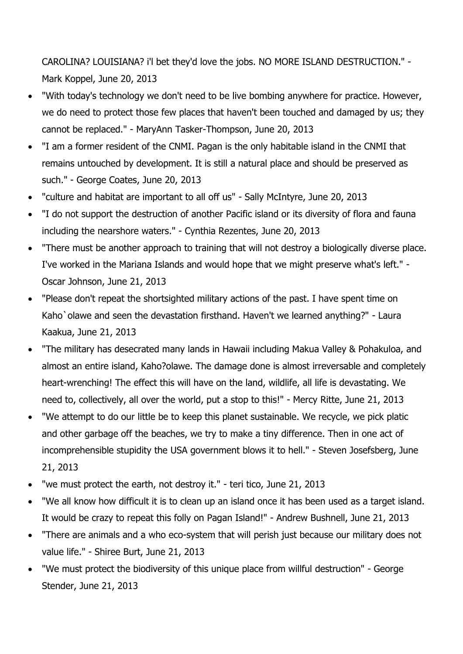CAROLINA? LOUISIANA? i'l bet they'd love the jobs. NO MORE ISLAND DESTRUCTION." - Mark Koppel, June 20, 2013

- "With today's technology we don't need to be live bombing anywhere for practice. However, we do need to protect those few places that haven't been touched and damaged by us; they cannot be replaced." - MaryAnn Tasker-Thompson, June 20, 2013
- "I am a former resident of the CNMI. Pagan is the only habitable island in the CNMI that remains untouched by development. It is still a natural place and should be preserved as such." - George Coates, June 20, 2013
- "culture and habitat are important to all off us" Sally McIntyre, June 20, 2013
- "I do not support the destruction of another Pacific island or its diversity of flora and fauna including the nearshore waters." - Cynthia Rezentes, June 20, 2013
- "There must be another approach to training that will not destroy a biologically diverse place. I've worked in the Mariana Islands and would hope that we might preserve what's left." - Oscar Johnson, June 21, 2013
- "Please don't repeat the shortsighted military actions of the past. I have spent time on Kaho'olawe and seen the devastation firsthand. Haven't we learned anything?" - Laura Kaakua, June 21, 2013
- "The military has desecrated many lands in Hawaii including Makua Valley & Pohakuloa, and almost an entire island, Kaho?olawe. The damage done is almost irreversable and completely heart-wrenching! The effect this will have on the land, wildlife, all life is devastating. We need to, collectively, all over the world, put a stop to this!" - Mercy Ritte, June 21, 2013
- "We attempt to do our little be to keep this planet sustainable. We recycle, we pick platic and other garbage off the beaches, we try to make a tiny difference. Then in one act of incomprehensible stupidity the USA government blows it to hell." - Steven Josefsberg, June 21, 2013
- "we must protect the earth, not destroy it." teri tico, June 21, 2013
- "We all know how difficult it is to clean up an island once it has been used as a target island. It would be crazy to repeat this folly on Pagan Island!" - Andrew Bushnell, June 21, 2013
- "There are animals and a who eco-system that will perish just because our military does not value life." - Shiree Burt, June 21, 2013
- "We must protect the biodiversity of this unique place from willful destruction" George Stender, June 21, 2013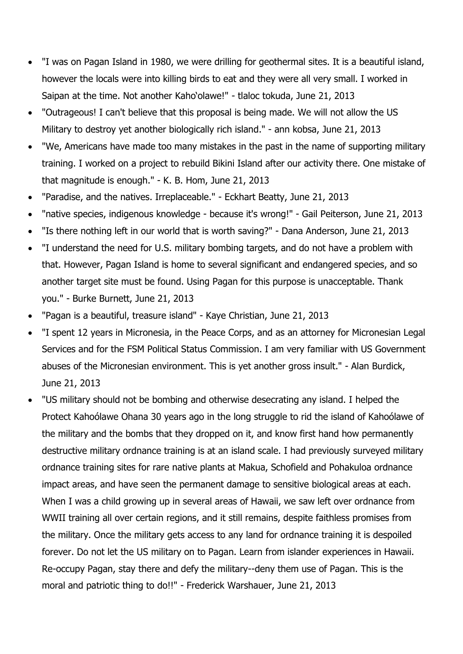- "I was on Pagan Island in 1980, we were drilling for geothermal sites. It is a beautiful island, however the locals were into killing birds to eat and they were all very small. I worked in Saipan at the time. Not another Kaho'olawe!" - tlaloc tokuda, June 21, 2013
- "Outrageous! I can't believe that this proposal is being made. We will not allow the US Military to destroy yet another biologically rich island." - ann kobsa, June 21, 2013
- "We, Americans have made too many mistakes in the past in the name of supporting military training. I worked on a project to rebuild Bikini Island after our activity there. One mistake of that magnitude is enough." - K. B. Hom, June 21, 2013
- "Paradise, and the natives. Irreplaceable." Eckhart Beatty, June 21, 2013
- "native species, indigenous knowledge because it's wrong!" Gail Peiterson, June 21, 2013
- "Is there nothing left in our world that is worth saving?" Dana Anderson, June 21, 2013
- "I understand the need for U.S. military bombing targets, and do not have a problem with that. However, Pagan Island is home to several significant and endangered species, and so another target site must be found. Using Pagan for this purpose is unacceptable. Thank you." - Burke Burnett, June 21, 2013
- "Pagan is a beautiful, treasure island" Kaye Christian, June 21, 2013
- "I spent 12 years in Micronesia, in the Peace Corps, and as an attorney for Micronesian Legal Services and for the FSM Political Status Commission. I am very familiar with US Government abuses of the Micronesian environment. This is yet another gross insult." - Alan Burdick, June 21, 2013
- "US military should not be bombing and otherwise desecrating any island. I helped the Protect Kahoólawe Ohana 30 years ago in the long struggle to rid the island of Kahoólawe of the military and the bombs that they dropped on it, and know first hand how permanently destructive military ordnance training is at an island scale. I had previously surveyed military ordnance training sites for rare native plants at Makua, Schofield and Pohakuloa ordnance impact areas, and have seen the permanent damage to sensitive biological areas at each. When I was a child growing up in several areas of Hawaii, we saw left over ordnance from WWII training all over certain regions, and it still remains, despite faithless promises from the military. Once the military gets access to any land for ordnance training it is despoiled forever. Do not let the US military on to Pagan. Learn from islander experiences in Hawaii. Re-occupy Pagan, stay there and defy the military--deny them use of Pagan. This is the moral and patriotic thing to do!!" - Frederick Warshauer, June 21, 2013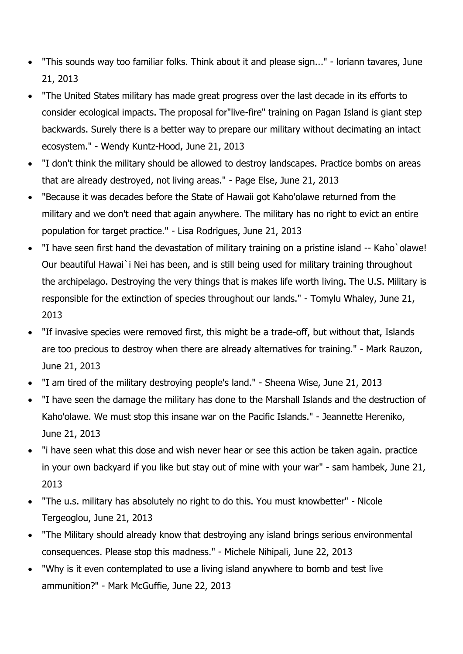- "This sounds way too familiar folks. Think about it and please sign..." loriann tavares, June 21, 2013
- "The United States military has made great progress over the last decade in its efforts to consider ecological impacts. The proposal for"live-fire" training on Pagan Island is giant step backwards. Surely there is a better way to prepare our military without decimating an intact ecosystem." - Wendy Kuntz-Hood, June 21, 2013
- "I don't think the military should be allowed to destroy landscapes. Practice bombs on areas that are already destroyed, not living areas." - Page Else, June 21, 2013
- "Because it was decades before the State of Hawaii got Kaho'olawe returned from the military and we don't need that again anywhere. The military has no right to evict an entire population for target practice." - Lisa Rodrigues, June 21, 2013
- "I have seen first hand the devastation of military training on a pristine island -- Kaho`olawe! Our beautiful Hawai`i Nei has been, and is still being used for military training throughout the archipelago. Destroying the very things that is makes life worth living. The U.S. Military is responsible for the extinction of species throughout our lands." - Tomylu Whaley, June 21, 2013
- "If invasive species were removed first, this might be a trade-off, but without that, Islands are too precious to destroy when there are already alternatives for training." - Mark Rauzon, June 21, 2013
- "I am tired of the military destroying people's land." Sheena Wise, June 21, 2013
- "I have seen the damage the military has done to the Marshall Islands and the destruction of Kaho'olawe. We must stop this insane war on the Pacific Islands." - Jeannette Hereniko, June 21, 2013
- "i have seen what this dose and wish never hear or see this action be taken again. practice in your own backyard if you like but stay out of mine with your war" - sam hambek, June 21, 2013
- "The u.s. military has absolutely no right to do this. You must knowbetter" Nicole Tergeoglou, June 21, 2013
- "The Military should already know that destroying any island brings serious environmental consequences. Please stop this madness." - Michele Nihipali, June 22, 2013
- "Why is it even contemplated to use a living island anywhere to bomb and test live ammunition?" - Mark McGuffie, June 22, 2013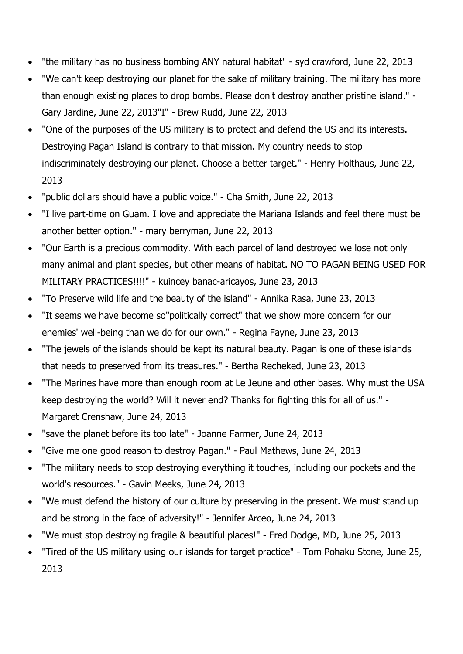- "the military has no business bombing ANY natural habitat" syd crawford, June 22, 2013
- "We can't keep destroying our planet for the sake of military training. The military has more than enough existing places to drop bombs. Please don't destroy another pristine island." - Gary Jardine, June 22, 2013"I" - Brew Rudd, June 22, 2013
- "One of the purposes of the US military is to protect and defend the US and its interests. Destroying Pagan Island is contrary to that mission. My country needs to stop indiscriminately destroying our planet. Choose a better target." - Henry Holthaus, June 22, 2013
- "public dollars should have a public voice." Cha Smith, June 22, 2013
- "I live part-time on Guam. I love and appreciate the Mariana Islands and feel there must be another better option." - mary berryman, June 22, 2013
- "Our Earth is a precious commodity. With each parcel of land destroyed we lose not only many animal and plant species, but other means of habitat. NO TO PAGAN BEING USED FOR MILITARY PRACTICES!!!!" - kuincey banac-aricayos, June 23, 2013
- "To Preserve wild life and the beauty of the island" Annika Rasa, June 23, 2013
- "It seems we have become so"politically correct" that we show more concern for our enemies' well-being than we do for our own." - Regina Fayne, June 23, 2013
- "The jewels of the islands should be kept its natural beauty. Pagan is one of these islands that needs to preserved from its treasures." - Bertha Recheked, June 23, 2013
- "The Marines have more than enough room at Le Jeune and other bases. Why must the USA keep destroying the world? Will it never end? Thanks for fighting this for all of us." - Margaret Crenshaw, June 24, 2013
- "save the planet before its too late" Joanne Farmer, June 24, 2013
- "Give me one good reason to destroy Pagan." Paul Mathews, June 24, 2013
- "The military needs to stop destroying everything it touches, including our pockets and the world's resources." - Gavin Meeks, June 24, 2013
- "We must defend the history of our culture by preserving in the present. We must stand up and be strong in the face of adversity!" - Jennifer Arceo, June 24, 2013
- "We must stop destroying fragile & beautiful places!" Fred Dodge, MD, June 25, 2013
- "Tired of the US military using our islands for target practice" Tom Pohaku Stone, June 25, 2013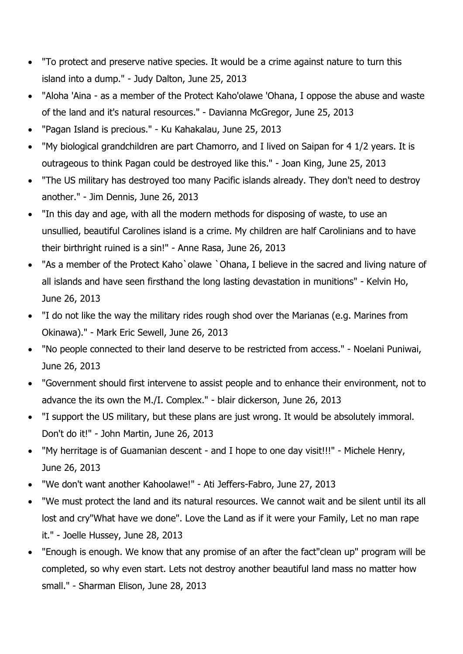- "To protect and preserve native species. It would be a crime against nature to turn this island into a dump." - Judy Dalton, June 25, 2013
- "Aloha 'Aina as a member of the Protect Kaho'olawe 'Ohana, I oppose the abuse and waste of the land and it's natural resources." - Davianna McGregor, June 25, 2013
- "Pagan Island is precious." Ku Kahakalau, June 25, 2013
- "My biological grandchildren are part Chamorro, and I lived on Saipan for 4 1/2 years. It is outrageous to think Pagan could be destroyed like this." - Joan King, June 25, 2013
- "The US military has destroyed too many Pacific islands already. They don't need to destroy another." - Jim Dennis, June 26, 2013
- "In this day and age, with all the modern methods for disposing of waste, to use an unsullied, beautiful Carolines island is a crime. My children are half Carolinians and to have their birthright ruined is a sin!" - Anne Rasa, June 26, 2013
- "As a member of the Protect Kaho`olawe `Ohana, I believe in the sacred and living nature of all islands and have seen firsthand the long lasting devastation in munitions" - Kelvin Ho, June 26, 2013
- "I do not like the way the military rides rough shod over the Marianas (e.g. Marines from Okinawa)." - Mark Eric Sewell, June 26, 2013
- "No people connected to their land deserve to be restricted from access." Noelani Puniwai, June 26, 2013
- "Government should first intervene to assist people and to enhance their environment, not to advance the its own the M./I. Complex." - blair dickerson, June 26, 2013
- "I support the US military, but these plans are just wrong. It would be absolutely immoral. Don't do it!" - John Martin, June 26, 2013
- "My herritage is of Guamanian descent and I hope to one day visit!!!" Michele Henry, June 26, 2013
- "We don't want another Kahoolawe!" Ati Jeffers-Fabro, June 27, 2013
- "We must protect the land and its natural resources. We cannot wait and be silent until its all lost and cry"What have we done". Love the Land as if it were your Family, Let no man rape it." - Joelle Hussey, June 28, 2013
- "Enough is enough. We know that any promise of an after the fact"clean up" program will be completed, so why even start. Lets not destroy another beautiful land mass no matter how small." - Sharman Elison, June 28, 2013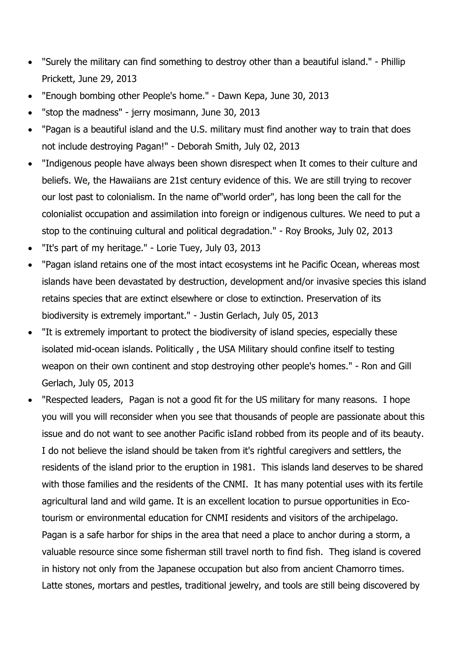- "Surely the military can find something to destroy other than a beautiful island." Phillip Prickett, June 29, 2013
- "Enough bombing other People's home." Dawn Kepa, June 30, 2013
- "stop the madness" jerry mosimann, June 30, 2013
- "Pagan is a beautiful island and the U.S. military must find another way to train that does not include destroying Pagan!" - Deborah Smith, July 02, 2013
- "Indigenous people have always been shown disrespect when It comes to their culture and beliefs. We, the Hawaiians are 21st century evidence of this. We are still trying to recover our lost past to colonialism. In the name of"world order", has long been the call for the colonialist occupation and assimilation into foreign or indigenous cultures. We need to put a stop to the continuing cultural and political degradation." - Roy Brooks, July 02, 2013
- "It's part of my heritage." Lorie Tuey, July 03, 2013
- "Pagan island retains one of the most intact ecosystems int he Pacific Ocean, whereas most islands have been devastated by destruction, development and/or invasive species this island retains species that are extinct elsewhere or close to extinction. Preservation of its biodiversity is extremely important." - Justin Gerlach, July 05, 2013
- "It is extremely important to protect the biodiversity of island species, especially these isolated mid-ocean islands. Politically , the USA Military should confine itself to testing weapon on their own continent and stop destroying other people's homes." - Ron and Gill Gerlach, July 05, 2013
- "Respected leaders, Pagan is not a good fit for the US military for many reasons. I hope you will you will reconsider when you see that thousands of people are passionate about this issue and do not want to see another Pacific isIand robbed from its people and of its beauty. I do not believe the island should be taken from it's rightful caregivers and settlers, the residents of the island prior to the eruption in 1981. This islands land deserves to be shared with those families and the residents of the CNMI. It has many potential uses with its fertile agricultural land and wild game. It is an excellent location to pursue opportunities in Ecotourism or environmental education for CNMI residents and visitors of the archipelago. Pagan is a safe harbor for ships in the area that need a place to anchor during a storm, a valuable resource since some fisherman still travel north to find fish. Theg island is covered in history not only from the Japanese occupation but also from ancient Chamorro times. Latte stones, mortars and pestles, traditional jewelry, and tools are still being discovered by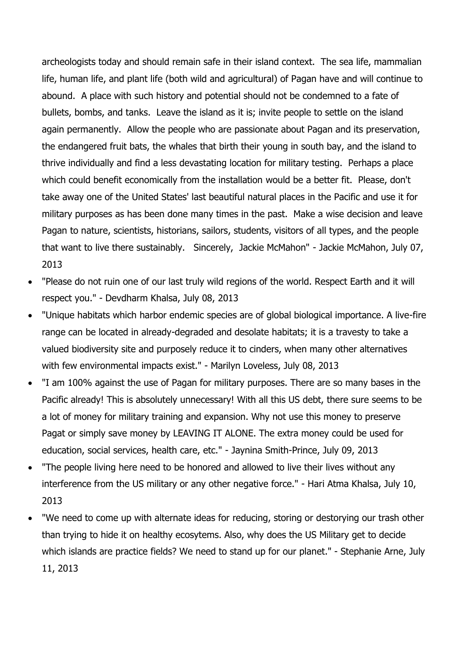archeologists today and should remain safe in their island context. The sea life, mammalian life, human life, and plant life (both wild and agricultural) of Pagan have and will continue to abound. A place with such history and potential should not be condemned to a fate of bullets, bombs, and tanks. Leave the island as it is; invite people to settle on the island again permanently. Allow the people who are passionate about Pagan and its preservation, the endangered fruit bats, the whales that birth their young in south bay, and the island to thrive individually and find a less devastating location for military testing. Perhaps a place which could benefit economically from the installation would be a better fit. Please, don't take away one of the United States' last beautiful natural places in the Pacific and use it for military purposes as has been done many times in the past. Make a wise decision and leave Pagan to nature, scientists, historians, sailors, students, visitors of all types, and the people that want to live there sustainably. Sincerely, Jackie McMahon" - Jackie McMahon, July 07, 2013

- "Please do not ruin one of our last truly wild regions of the world. Respect Earth and it will respect you." - Devdharm Khalsa, July 08, 2013
- "Unique habitats which harbor endemic species are of global biological importance. A live-fire range can be located in already-degraded and desolate habitats; it is a travesty to take a valued biodiversity site and purposely reduce it to cinders, when many other alternatives with few environmental impacts exist." - Marilyn Loveless, July 08, 2013
- "I am 100% against the use of Pagan for military purposes. There are so many bases in the Pacific already! This is absolutely unnecessary! With all this US debt, there sure seems to be a lot of money for military training and expansion. Why not use this money to preserve Pagat or simply save money by LEAVING IT ALONE. The extra money could be used for education, social services, health care, etc." - Jaynina Smith-Prince, July 09, 2013
- "The people living here need to be honored and allowed to live their lives without any interference from the US military or any other negative force." - Hari Atma Khalsa, July 10, 2013
- "We need to come up with alternate ideas for reducing, storing or destorying our trash other than trying to hide it on healthy ecosytems. Also, why does the US Military get to decide which islands are practice fields? We need to stand up for our planet." - Stephanie Arne, July 11, 2013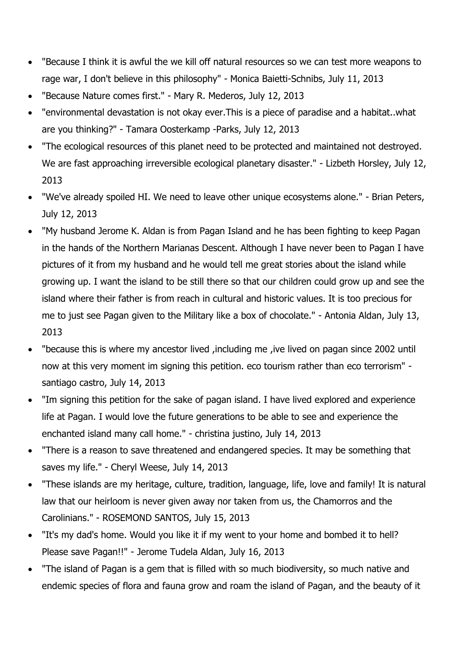- "Because I think it is awful the we kill off natural resources so we can test more weapons to rage war, I don't believe in this philosophy" - Monica Baietti-Schnibs, July 11, 2013
- "Because Nature comes first." Mary R. Mederos, July 12, 2013
- "environmental devastation is not okay ever.This is a piece of paradise and a habitat..what are you thinking?" - Tamara Oosterkamp -Parks, July 12, 2013
- "The ecological resources of this planet need to be protected and maintained not destroyed. We are fast approaching irreversible ecological planetary disaster." - Lizbeth Horsley, July 12, 2013
- "We've already spoiled HI. We need to leave other unique ecosystems alone." Brian Peters, July 12, 2013
- "My husband Jerome K. Aldan is from Pagan Island and he has been fighting to keep Pagan in the hands of the Northern Marianas Descent. Although I have never been to Pagan I have pictures of it from my husband and he would tell me great stories about the island while growing up. I want the island to be still there so that our children could grow up and see the island where their father is from reach in cultural and historic values. It is too precious for me to just see Pagan given to the Military like a box of chocolate." - Antonia Aldan, July 13, 2013
- "because this is where my ancestor lived ,including me ,ive lived on pagan since 2002 until now at this very moment im signing this petition. eco tourism rather than eco terrorism" santiago castro, July 14, 2013
- "Im signing this petition for the sake of pagan island. I have lived explored and experience life at Pagan. I would love the future generations to be able to see and experience the enchanted island many call home." - christina justino, July 14, 2013
- "There is a reason to save threatened and endangered species. It may be something that saves my life." - Cheryl Weese, July 14, 2013
- "These islands are my heritage, culture, tradition, language, life, love and family! It is natural law that our heirloom is never given away nor taken from us, the Chamorros and the Carolinians." - ROSEMOND SANTOS, July 15, 2013
- "It's my dad's home. Would you like it if my went to your home and bombed it to hell? Please save Pagan!!" - Jerome Tudela Aldan, July 16, 2013
- "The island of Pagan is a gem that is filled with so much biodiversity, so much native and endemic species of flora and fauna grow and roam the island of Pagan, and the beauty of it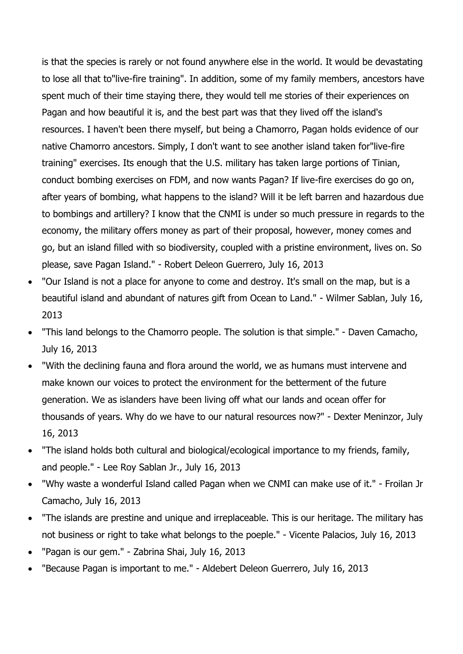is that the species is rarely or not found anywhere else in the world. It would be devastating to lose all that to"live-fire training". In addition, some of my family members, ancestors have spent much of their time staying there, they would tell me stories of their experiences on Pagan and how beautiful it is, and the best part was that they lived off the island's resources. I haven't been there myself, but being a Chamorro, Pagan holds evidence of our native Chamorro ancestors. Simply, I don't want to see another island taken for"live-fire training" exercises. Its enough that the U.S. military has taken large portions of Tinian, conduct bombing exercises on FDM, and now wants Pagan? If live-fire exercises do go on, after years of bombing, what happens to the island? Will it be left barren and hazardous due to bombings and artillery? I know that the CNMI is under so much pressure in regards to the economy, the military offers money as part of their proposal, however, money comes and go, but an island filled with so biodiversity, coupled with a pristine environment, lives on. So please, save Pagan Island." - Robert Deleon Guerrero, July 16, 2013

- "Our Island is not a place for anyone to come and destroy. It's small on the map, but is a beautiful island and abundant of natures gift from Ocean to Land." - Wilmer Sablan, July 16, 2013
- "This land belongs to the Chamorro people. The solution is that simple." Daven Camacho, July 16, 2013
- "With the declining fauna and flora around the world, we as humans must intervene and make known our voices to protect the environment for the betterment of the future generation. We as islanders have been living off what our lands and ocean offer for thousands of years. Why do we have to our natural resources now?" - Dexter Meninzor, July 16, 2013
- "The island holds both cultural and biological/ecological importance to my friends, family, and people." - Lee Roy Sablan Jr., July 16, 2013
- "Why waste a wonderful Island called Pagan when we CNMI can make use of it." Froilan Jr Camacho, July 16, 2013
- "The islands are prestine and unique and irreplaceable. This is our heritage. The military has not business or right to take what belongs to the poeple." - Vicente Palacios, July 16, 2013
- "Pagan is our gem." Zabrina Shai, July 16, 2013
- "Because Pagan is important to me." Aldebert Deleon Guerrero, July 16, 2013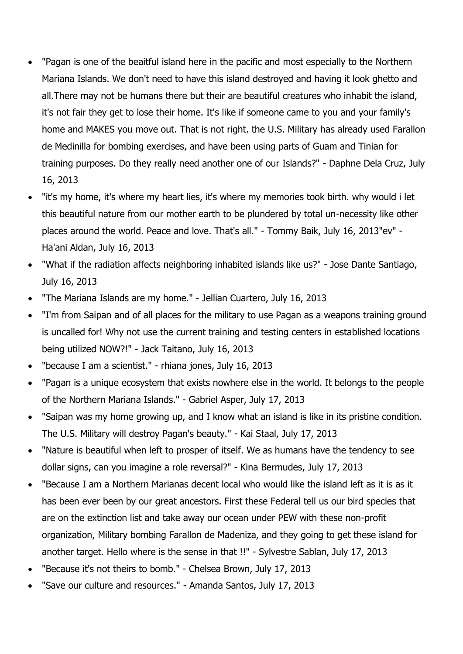- "Pagan is one of the beaitful island here in the pacific and most especially to the Northern Mariana Islands. We don't need to have this island destroyed and having it look ghetto and all.There may not be humans there but their are beautiful creatures who inhabit the island, it's not fair they get to lose their home. It's like if someone came to you and your family's home and MAKES you move out. That is not right. the U.S. Military has already used Farallon de Medinilla for bombing exercises, and have been using parts of Guam and Tinian for training purposes. Do they really need another one of our Islands?" - Daphne Dela Cruz, July 16, 2013
- "it's my home, it's where my heart lies, it's where my memories took birth. why would i let this beautiful nature from our mother earth to be plundered by total un-necessity like other places around the world. Peace and love. That's all." - Tommy Baik, July 16, 2013"ev" - Ha'ani Aldan, July 16, 2013
- "What if the radiation affects neighboring inhabited islands like us?" Jose Dante Santiago, July 16, 2013
- "The Mariana Islands are my home." Jellian Cuartero, July 16, 2013
- "I'm from Saipan and of all places for the military to use Pagan as a weapons training ground is uncalled for! Why not use the current training and testing centers in established locations being utilized NOW?!" - Jack Taitano, July 16, 2013
- "because I am a scientist." rhiana jones, July 16, 2013
- "Pagan is a unique ecosystem that exists nowhere else in the world. It belongs to the people of the Northern Mariana Islands." - Gabriel Asper, July 17, 2013
- "Saipan was my home growing up, and I know what an island is like in its pristine condition. The U.S. Military will destroy Pagan's beauty." - Kai Staal, July 17, 2013
- "Nature is beautiful when left to prosper of itself. We as humans have the tendency to see dollar signs, can you imagine a role reversal?" - Kina Bermudes, July 17, 2013
- "Because I am a Northern Marianas decent local who would like the island left as it is as it has been ever been by our great ancestors. First these Federal tell us our bird species that are on the extinction list and take away our ocean under PEW with these non-profit organization, Military bombing Farallon de Madeniza, and they going to get these island for another target. Hello where is the sense in that !!" - Sylvestre Sablan, July 17, 2013
- "Because it's not theirs to bomb." Chelsea Brown, July 17, 2013
- "Save our culture and resources." Amanda Santos, July 17, 2013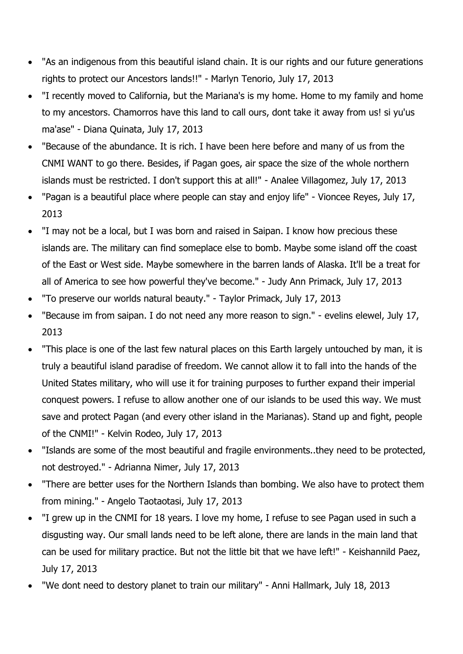- "As an indigenous from this beautiful island chain. It is our rights and our future generations rights to protect our Ancestors lands!!" - Marlyn Tenorio, July 17, 2013
- "I recently moved to California, but the Mariana's is my home. Home to my family and home to my ancestors. Chamorros have this land to call ours, dont take it away from us! si yu'us ma'ase" - Diana Quinata, July 17, 2013
- "Because of the abundance. It is rich. I have been here before and many of us from the CNMI WANT to go there. Besides, if Pagan goes, air space the size of the whole northern islands must be restricted. I don't support this at all!" - Analee Villagomez, July 17, 2013
- "Pagan is a beautiful place where people can stay and enjoy life" Vioncee Reyes, July 17, 2013
- "I may not be a local, but I was born and raised in Saipan. I know how precious these islands are. The military can find someplace else to bomb. Maybe some island off the coast of the East or West side. Maybe somewhere in the barren lands of Alaska. It'll be a treat for all of America to see how powerful they've become." - Judy Ann Primack, July 17, 2013
- "To preserve our worlds natural beauty." Taylor Primack, July 17, 2013
- "Because im from saipan. I do not need any more reason to sign." evelins elewel, July 17, 2013
- "This place is one of the last few natural places on this Earth largely untouched by man, it is truly a beautiful island paradise of freedom. We cannot allow it to fall into the hands of the United States military, who will use it for training purposes to further expand their imperial conquest powers. I refuse to allow another one of our islands to be used this way. We must save and protect Pagan (and every other island in the Marianas). Stand up and fight, people of the CNMI!" - Kelvin Rodeo, July 17, 2013
- "Islands are some of the most beautiful and fragile environments..they need to be protected, not destroyed." - Adrianna Nimer, July 17, 2013
- "There are better uses for the Northern Islands than bombing. We also have to protect them from mining." - Angelo Taotaotasi, July 17, 2013
- "I grew up in the CNMI for 18 years. I love my home, I refuse to see Pagan used in such a disgusting way. Our small lands need to be left alone, there are lands in the main land that can be used for military practice. But not the little bit that we have left!" - Keishannild Paez, July 17, 2013
- "We dont need to destory planet to train our military" Anni Hallmark, July 18, 2013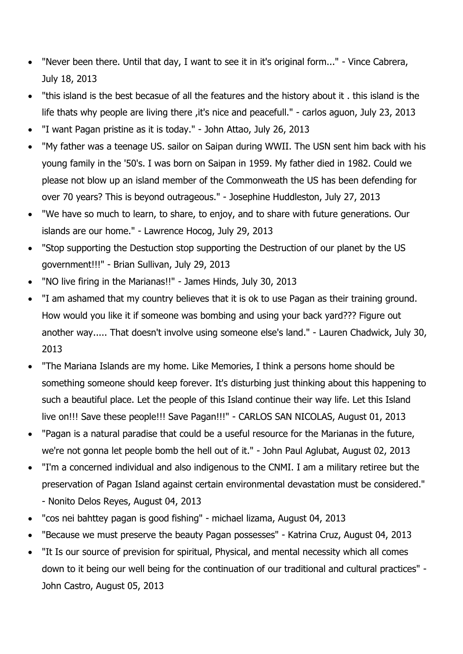- "Never been there. Until that day, I want to see it in it's original form..." Vince Cabrera, July 18, 2013
- "this island is the best becasue of all the features and the history about it . this island is the life thats why people are living there ,it's nice and peacefull." - carlos aguon, July 23, 2013
- "I want Pagan pristine as it is today." John Attao, July 26, 2013
- "My father was a teenage US. sailor on Saipan during WWII. The USN sent him back with his young family in the '50's. I was born on Saipan in 1959. My father died in 1982. Could we please not blow up an island member of the Commonweath the US has been defending for over 70 years? This is beyond outrageous." - Josephine Huddleston, July 27, 2013
- "We have so much to learn, to share, to enjoy, and to share with future generations. Our islands are our home." - Lawrence Hocog, July 29, 2013
- "Stop supporting the Destuction stop supporting the Destruction of our planet by the US government!!!" - Brian Sullivan, July 29, 2013
- "NO live firing in the Marianas!!" James Hinds, July 30, 2013
- "I am ashamed that my country believes that it is ok to use Pagan as their training ground. How would you like it if someone was bombing and using your back yard??? Figure out another way..... That doesn't involve using someone else's land." - Lauren Chadwick, July 30, 2013
- "The Mariana Islands are my home. Like Memories, I think a persons home should be something someone should keep forever. It's disturbing just thinking about this happening to such a beautiful place. Let the people of this Island continue their way life. Let this Island live on!!! Save these people!!! Save Pagan!!!" - CARLOS SAN NICOLAS, August 01, 2013
- "Pagan is a natural paradise that could be a useful resource for the Marianas in the future, we're not gonna let people bomb the hell out of it." - John Paul Aglubat, August 02, 2013
- "I'm a concerned individual and also indigenous to the CNMI. I am a military retiree but the preservation of Pagan Island against certain environmental devastation must be considered." - Nonito Delos Reyes, August 04, 2013
- "cos nei bahttey pagan is good fishing" michael lizama, August 04, 2013
- "Because we must preserve the beauty Pagan possesses" Katrina Cruz, August 04, 2013
- "It Is our source of prevision for spiritual, Physical, and mental necessity which all comes down to it being our well being for the continuation of our traditional and cultural practices" - John Castro, August 05, 2013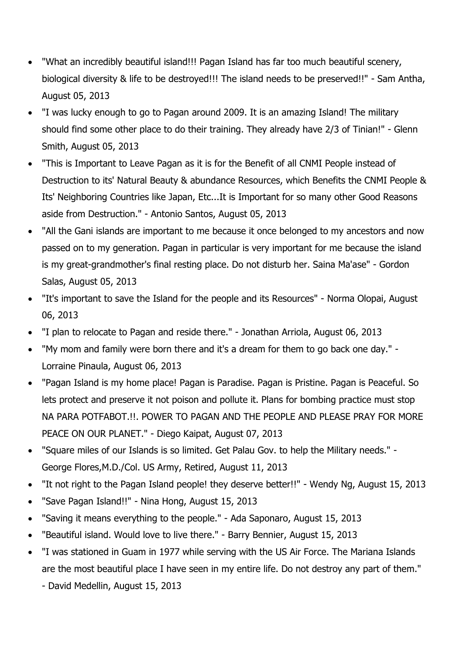- "What an incredibly beautiful island!!! Pagan Island has far too much beautiful scenery, biological diversity & life to be destroyed!!! The island needs to be preserved!!" - Sam Antha, August 05, 2013
- "I was lucky enough to go to Pagan around 2009. It is an amazing Island! The military should find some other place to do their training. They already have 2/3 of Tinian!" - Glenn Smith, August 05, 2013
- "This is Important to Leave Pagan as it is for the Benefit of all CNMI People instead of Destruction to its' Natural Beauty & abundance Resources, which Benefits the CNMI People & Its' Neighboring Countries like Japan, Etc...It is Important for so many other Good Reasons aside from Destruction." - Antonio Santos, August 05, 2013
- "All the Gani islands are important to me because it once belonged to my ancestors and now passed on to my generation. Pagan in particular is very important for me because the island is my great-grandmother's final resting place. Do not disturb her. Saina Ma'ase" - Gordon Salas, August 05, 2013
- "It's important to save the Island for the people and its Resources" Norma Olopai, August 06, 2013
- "I plan to relocate to Pagan and reside there." Jonathan Arriola, August 06, 2013
- "My mom and family were born there and it's a dream for them to go back one day." Lorraine Pinaula, August 06, 2013
- "Pagan Island is my home place! Pagan is Paradise. Pagan is Pristine. Pagan is Peaceful. So lets protect and preserve it not poison and pollute it. Plans for bombing practice must stop NA PARA POTFABOT.!!. POWER TO PAGAN AND THE PEOPLE AND PLEASE PRAY FOR MORE PEACE ON OUR PLANET." - Diego Kaipat, August 07, 2013
- "Square miles of our Islands is so limited. Get Palau Gov. to help the Military needs." George Flores,M.D./Col. US Army, Retired, August 11, 2013
- "It not right to the Pagan Island people! they deserve better!!" Wendy Ng, August 15, 2013
- "Save Pagan Island!!" Nina Hong, August 15, 2013
- "Saving it means everything to the people." Ada Saponaro, August 15, 2013
- "Beautiful island. Would love to live there." Barry Bennier, August 15, 2013
- "I was stationed in Guam in 1977 while serving with the US Air Force. The Mariana Islands are the most beautiful place I have seen in my entire life. Do not destroy any part of them."
	- David Medellin, August 15, 2013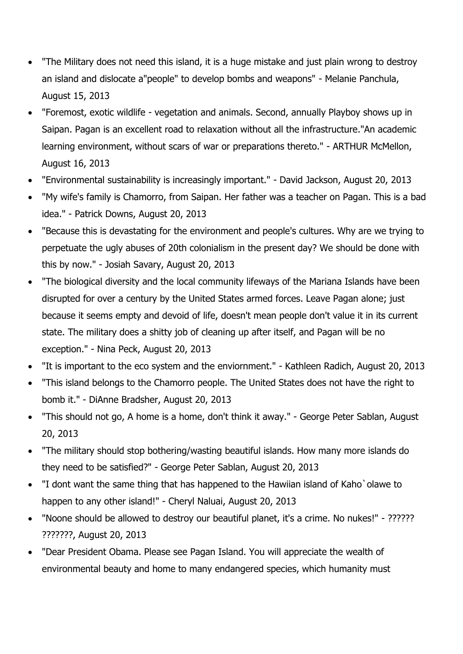- "The Military does not need this island, it is a huge mistake and just plain wrong to destroy an island and dislocate a"people" to develop bombs and weapons" - Melanie Panchula, August 15, 2013
- "Foremost, exotic wildlife vegetation and animals. Second, annually Playboy shows up in Saipan. Pagan is an excellent road to relaxation without all the infrastructure."An academic learning environment, without scars of war or preparations thereto." - ARTHUR McMellon, August 16, 2013
- "Environmental sustainability is increasingly important." David Jackson, August 20, 2013
- "My wife's family is Chamorro, from Saipan. Her father was a teacher on Pagan. This is a bad idea." - Patrick Downs, August 20, 2013
- "Because this is devastating for the environment and people's cultures. Why are we trying to perpetuate the ugly abuses of 20th colonialism in the present day? We should be done with this by now." - Josiah Savary, August 20, 2013
- "The biological diversity and the local community lifeways of the Mariana Islands have been disrupted for over a century by the United States armed forces. Leave Pagan alone; just because it seems empty and devoid of life, doesn't mean people don't value it in its current state. The military does a shitty job of cleaning up after itself, and Pagan will be no exception." - Nina Peck, August 20, 2013
- "It is important to the eco system and the enviornment." Kathleen Radich, August 20, 2013
- "This island belongs to the Chamorro people. The United States does not have the right to bomb it." - DiAnne Bradsher, August 20, 2013
- "This should not go, A home is a home, don't think it away." George Peter Sablan, August 20, 2013
- "The military should stop bothering/wasting beautiful islands. How many more islands do they need to be satisfied?" - George Peter Sablan, August 20, 2013
- "I dont want the same thing that has happened to the Hawiian island of Kaho`olawe to happen to any other island!" - Cheryl Naluai, August 20, 2013
- "Noone should be allowed to destroy our beautiful planet, it's a crime. No nukes!" ?????? ???????, August 20, 2013
- "Dear President Obama. Please see Pagan Island. You will appreciate the wealth of environmental beauty and home to many endangered species, which humanity must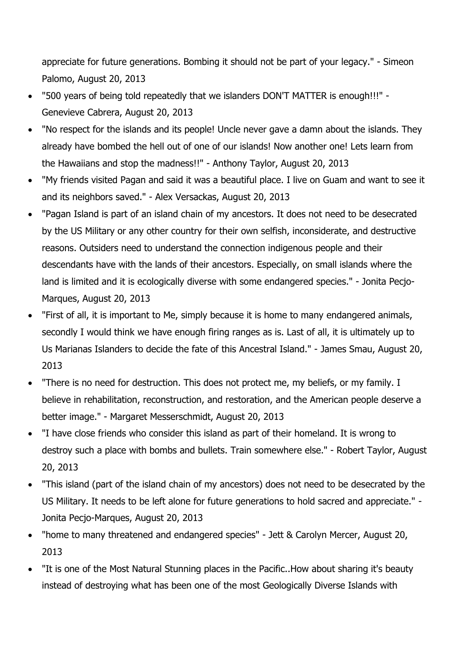appreciate for future generations. Bombing it should not be part of your legacy." - Simeon Palomo, August 20, 2013

- "500 years of being told repeatedly that we islanders DON'T MATTER is enough!!!" Genevieve Cabrera, August 20, 2013
- "No respect for the islands and its people! Uncle never gave a damn about the islands. They already have bombed the hell out of one of our islands! Now another one! Lets learn from the Hawaiians and stop the madness!!" - Anthony Taylor, August 20, 2013
- "My friends visited Pagan and said it was a beautiful place. I live on Guam and want to see it and its neighbors saved." - Alex Versackas, August 20, 2013
- "Pagan Island is part of an island chain of my ancestors. It does not need to be desecrated by the US Military or any other country for their own selfish, inconsiderate, and destructive reasons. Outsiders need to understand the connection indigenous people and their descendants have with the lands of their ancestors. Especially, on small islands where the land is limited and it is ecologically diverse with some endangered species." - Jonita Pecjo-Marques, August 20, 2013
- "First of all, it is important to Me, simply because it is home to many endangered animals, secondly I would think we have enough firing ranges as is. Last of all, it is ultimately up to Us Marianas Islanders to decide the fate of this Ancestral Island." - James Smau, August 20, 2013
- "There is no need for destruction. This does not protect me, my beliefs, or my family. I believe in rehabilitation, reconstruction, and restoration, and the American people deserve a better image." - Margaret Messerschmidt, August 20, 2013
- "I have close friends who consider this island as part of their homeland. It is wrong to destroy such a place with bombs and bullets. Train somewhere else." - Robert Taylor, August 20, 2013
- "This island (part of the island chain of my ancestors) does not need to be desecrated by the US Military. It needs to be left alone for future generations to hold sacred and appreciate." - Jonita Pecjo-Marques, August 20, 2013
- "home to many threatened and endangered species" Jett & Carolyn Mercer, August 20, 2013
- "It is one of the Most Natural Stunning places in the Pacific..How about sharing it's beauty instead of destroying what has been one of the most Geologically Diverse Islands with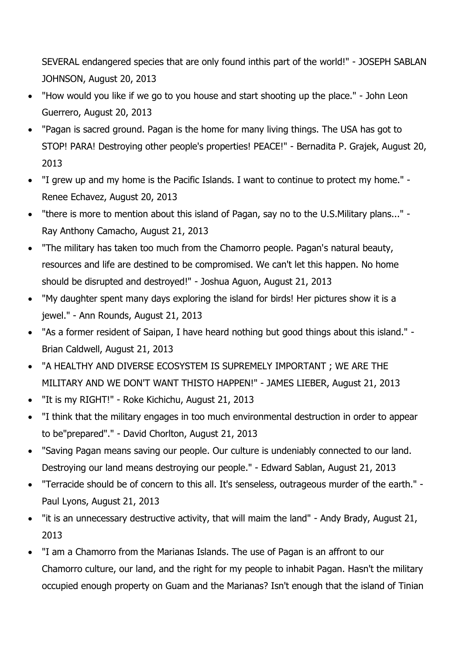SEVERAL endangered species that are only found inthis part of the world!" - JOSEPH SABLAN JOHNSON, August 20, 2013

- "How would you like if we go to you house and start shooting up the place." John Leon Guerrero, August 20, 2013
- "Pagan is sacred ground. Pagan is the home for many living things. The USA has got to STOP! PARA! Destroying other people's properties! PEACE!" - Bernadita P. Grajek, August 20, 2013
- "I grew up and my home is the Pacific Islands. I want to continue to protect my home." Renee Echavez, August 20, 2013
- "there is more to mention about this island of Pagan, say no to the U.S.Military plans..." Ray Anthony Camacho, August 21, 2013
- "The military has taken too much from the Chamorro people. Pagan's natural beauty, resources and life are destined to be compromised. We can't let this happen. No home should be disrupted and destroyed!" - Joshua Aguon, August 21, 2013
- "My daughter spent many days exploring the island for birds! Her pictures show it is a jewel." - Ann Rounds, August 21, 2013
- "As a former resident of Saipan, I have heard nothing but good things about this island." Brian Caldwell, August 21, 2013
- "A HEALTHY AND DIVERSE ECOSYSTEM IS SUPREMELY IMPORTANT ; WE ARE THE MILITARY AND WE DON'T WANT THISTO HAPPEN!" - JAMES LIEBER, August 21, 2013
- "It is my RIGHT!" Roke Kichichu, August 21, 2013
- "I think that the military engages in too much environmental destruction in order to appear to be"prepared"." - David Chorlton, August 21, 2013
- "Saving Pagan means saving our people. Our culture is undeniably connected to our land. Destroying our land means destroying our people." - Edward Sablan, August 21, 2013
- "Terracide should be of concern to this all. It's senseless, outrageous murder of the earth." Paul Lyons, August 21, 2013
- "it is an unnecessary destructive activity, that will maim the land" Andy Brady, August 21, 2013
- "I am a Chamorro from the Marianas Islands. The use of Pagan is an affront to our Chamorro culture, our land, and the right for my people to inhabit Pagan. Hasn't the military occupied enough property on Guam and the Marianas? Isn't enough that the island of Tinian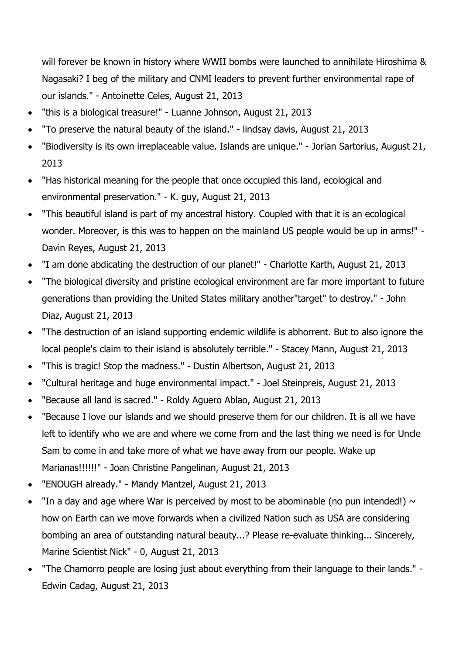will forever be known in history where WWII bombs were launched to annihilate Hiroshima & Nagasaki? I beg of the military and CNMI leaders to prevent further environmental rape of our islands." - Antoinette Celes, August 21, 2013

- "this is a biological treasure!" Luanne Johnson, August 21, 2013
- "To preserve the natural beauty of the island." lindsay davis, August 21, 2013
- "Biodiversity is its own irreplaceable value. Islands are unique." Jorian Sartorius, August 21, 2013
- "Has historical meaning for the people that once occupied this land, ecological and environmental preservation." - K. guy, August 21, 2013
- "This beautiful island is part of my ancestral history. Coupled with that it is an ecological wonder. Moreover, is this was to happen on the mainland US people would be up in arms!" - Davin Reyes, August 21, 2013
- "I am done abdicating the destruction of our planet!" Charlotte Karth, August 21, 2013
- "The biological diversity and pristine ecological environment are far more important to future generations than providing the United States military another"target" to destroy." - John Diaz, August 21, 2013
- "The destruction of an island supporting endemic wildlife is abhorrent. But to also ignore the local people's claim to their island is absolutely terrible." - Stacey Mann, August 21, 2013
- "This is tragic! Stop the madness." Dustin Albertson, August 21, 2013
- "Cultural heritage and huge environmental impact." Joel Steinpreis, August 21, 2013
- "Because all land is sacred." Roldy Aguero Ablao, August 21, 2013
- "Because I love our islands and we should preserve them for our children. It is all we have left to identify who we are and where we come from and the last thing we need is for Uncle Sam to come in and take more of what we have away from our people. Wake up Marianas!!!!!!" - Joan Christine Pangelinan, August 21, 2013
- "ENOUGH already." Mandy Mantzel, August 21, 2013
- "In a day and age where War is perceived by most to be abominable (no pun intended!)  $\sim$ how on Earth can we move forwards when a civilized Nation such as USA are considering bombing an area of outstanding natural beauty...? Please re-evaluate thinking... Sincerely, Marine Scientist Nick" - 0, August 21, 2013
- "The Chamorro people are losing just about everything from their language to their lands." Edwin Cadag, August 21, 2013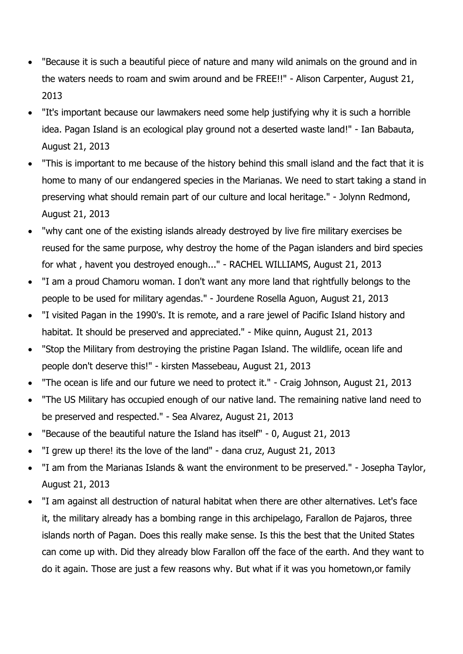- "Because it is such a beautiful piece of nature and many wild animals on the ground and in the waters needs to roam and swim around and be FREE!!" - Alison Carpenter, August 21, 2013
- "It's important because our lawmakers need some help justifying why it is such a horrible idea. Pagan Island is an ecological play ground not a deserted waste land!" - Ian Babauta, August 21, 2013
- "This is important to me because of the history behind this small island and the fact that it is home to many of our endangered species in the Marianas. We need to start taking a stand in preserving what should remain part of our culture and local heritage." - Jolynn Redmond, August 21, 2013
- "why cant one of the existing islands already destroyed by live fire military exercises be reused for the same purpose, why destroy the home of the Pagan islanders and bird species for what , havent you destroyed enough..." - RACHEL WILLIAMS, August 21, 2013
- "I am a proud Chamoru woman. I don't want any more land that rightfully belongs to the people to be used for military agendas." - Jourdene Rosella Aguon, August 21, 2013
- "I visited Pagan in the 1990's. It is remote, and a rare jewel of Pacific Island history and habitat. It should be preserved and appreciated." - Mike quinn, August 21, 2013
- "Stop the Military from destroying the pristine Pagan Island. The wildlife, ocean life and people don't deserve this!" - kirsten Massebeau, August 21, 2013
- "The ocean is life and our future we need to protect it." Craig Johnson, August 21, 2013
- "The US Military has occupied enough of our native land. The remaining native land need to be preserved and respected." - Sea Alvarez, August 21, 2013
- "Because of the beautiful nature the Island has itself" 0, August 21, 2013
- "I grew up there! its the love of the land" dana cruz, August 21, 2013
- "I am from the Marianas Islands & want the environment to be preserved." Josepha Taylor, August 21, 2013
- "I am against all destruction of natural habitat when there are other alternatives. Let's face it, the military already has a bombing range in this archipelago, Farallon de Pajaros, three islands north of Pagan. Does this really make sense. Is this the best that the United States can come up with. Did they already blow Farallon off the face of the earth. And they want to do it again. Those are just a few reasons why. But what if it was you hometown,or family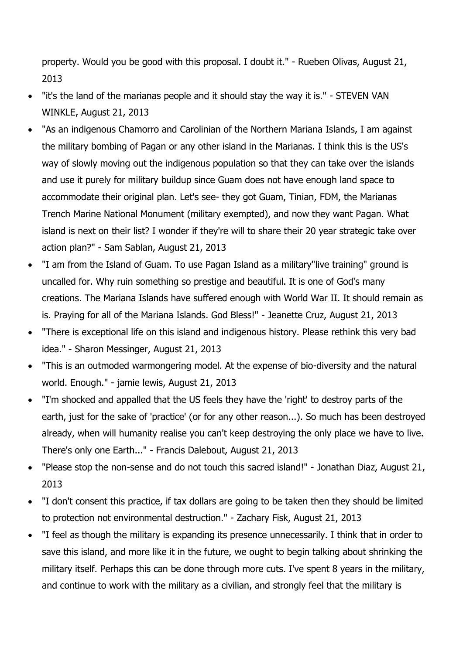property. Would you be good with this proposal. I doubt it." - Rueben Olivas, August 21, 2013

- "it's the land of the marianas people and it should stay the way it is." STEVEN VAN WINKLE, August 21, 2013
- "As an indigenous Chamorro and Carolinian of the Northern Mariana Islands, I am against the military bombing of Pagan or any other island in the Marianas. I think this is the US's way of slowly moving out the indigenous population so that they can take over the islands and use it purely for military buildup since Guam does not have enough land space to accommodate their original plan. Let's see- they got Guam, Tinian, FDM, the Marianas Trench Marine National Monument (military exempted), and now they want Pagan. What island is next on their list? I wonder if they're will to share their 20 year strategic take over action plan?" - Sam Sablan, August 21, 2013
- "I am from the Island of Guam. To use Pagan Island as a military"live training" ground is uncalled for. Why ruin something so prestige and beautiful. It is one of God's many creations. The Mariana Islands have suffered enough with World War II. It should remain as is. Praying for all of the Mariana Islands. God Bless!" - Jeanette Cruz, August 21, 2013
- "There is exceptional life on this island and indigenous history. Please rethink this very bad idea." - Sharon Messinger, August 21, 2013
- "This is an outmoded warmongering model. At the expense of bio-diversity and the natural world. Enough." - jamie lewis, August 21, 2013
- "I'm shocked and appalled that the US feels they have the 'right' to destroy parts of the earth, just for the sake of 'practice' (or for any other reason...). So much has been destroyed already, when will humanity realise you can't keep destroying the only place we have to live. There's only one Earth..." - Francis Dalebout, August 21, 2013
- "Please stop the non-sense and do not touch this sacred island!" Jonathan Diaz, August 21, 2013
- "I don't consent this practice, if tax dollars are going to be taken then they should be limited to protection not environmental destruction." - Zachary Fisk, August 21, 2013
- "I feel as though the military is expanding its presence unnecessarily. I think that in order to save this island, and more like it in the future, we ought to begin talking about shrinking the military itself. Perhaps this can be done through more cuts. I've spent 8 years in the military, and continue to work with the military as a civilian, and strongly feel that the military is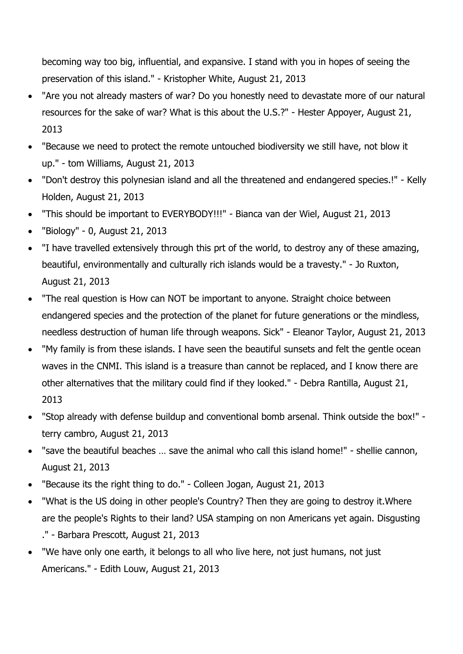becoming way too big, influential, and expansive. I stand with you in hopes of seeing the preservation of this island." - Kristopher White, August 21, 2013

- "Are you not already masters of war? Do you honestly need to devastate more of our natural resources for the sake of war? What is this about the U.S.?" - Hester Appoyer, August 21, 2013
- "Because we need to protect the remote untouched biodiversity we still have, not blow it up." - tom Williams, August 21, 2013
- "Don't destroy this polynesian island and all the threatened and endangered species.!" Kelly Holden, August 21, 2013
- "This should be important to EVERYBODY!!!" Bianca van der Wiel, August 21, 2013
- "Biology" 0, August 21, 2013
- "I have travelled extensively through this prt of the world, to destroy any of these amazing, beautiful, environmentally and culturally rich islands would be a travesty." - Jo Ruxton, August 21, 2013
- "The real question is How can NOT be important to anyone. Straight choice between endangered species and the protection of the planet for future generations or the mindless, needless destruction of human life through weapons. Sick" - Eleanor Taylor, August 21, 2013
- "My family is from these islands. I have seen the beautiful sunsets and felt the gentle ocean waves in the CNMI. This island is a treasure than cannot be replaced, and I know there are other alternatives that the military could find if they looked." - Debra Rantilla, August 21, 2013
- "Stop already with defense buildup and conventional bomb arsenal. Think outside the box!" terry cambro, August 21, 2013
- "save the beautiful beaches … save the animal who call this island home!" shellie cannon, August 21, 2013
- "Because its the right thing to do." Colleen Jogan, August 21, 2013
- "What is the US doing in other people's Country? Then they are going to destroy it.Where are the people's Rights to their land? USA stamping on non Americans yet again. Disgusting ." - Barbara Prescott, August 21, 2013
- "We have only one earth, it belongs to all who live here, not just humans, not just Americans." - Edith Louw, August 21, 2013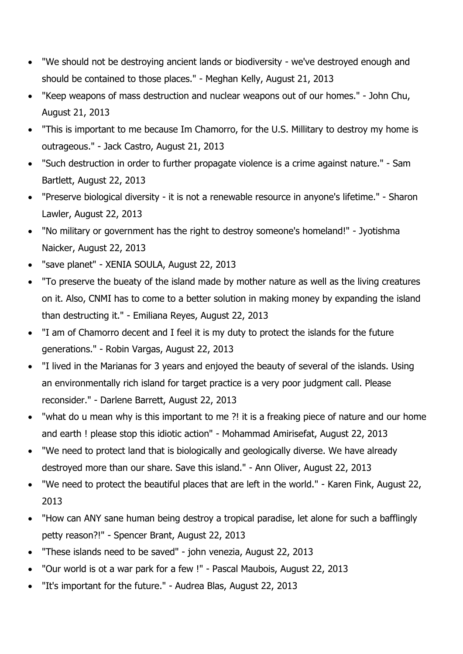- "We should not be destroying ancient lands or biodiversity we've destroyed enough and should be contained to those places." - Meghan Kelly, August 21, 2013
- "Keep weapons of mass destruction and nuclear weapons out of our homes." John Chu, August 21, 2013
- "This is important to me because Im Chamorro, for the U.S. Millitary to destroy my home is outrageous." - Jack Castro, August 21, 2013
- "Such destruction in order to further propagate violence is a crime against nature." Sam Bartlett, August 22, 2013
- "Preserve biological diversity it is not a renewable resource in anyone's lifetime." Sharon Lawler, August 22, 2013
- "No military or government has the right to destroy someone's homeland!" Jyotishma Naicker, August 22, 2013
- "save planet" XENIA SOULA, August 22, 2013
- "To preserve the bueaty of the island made by mother nature as well as the living creatures on it. Also, CNMI has to come to a better solution in making money by expanding the island than destructing it." - Emiliana Reyes, August 22, 2013
- "I am of Chamorro decent and I feel it is my duty to protect the islands for the future generations." - Robin Vargas, August 22, 2013
- "I lived in the Marianas for 3 years and enjoyed the beauty of several of the islands. Using an environmentally rich island for target practice is a very poor judgment call. Please reconsider." - Darlene Barrett, August 22, 2013
- "what do u mean why is this important to me ?! it is a freaking piece of nature and our home and earth ! please stop this idiotic action" - Mohammad Amirisefat, August 22, 2013
- "We need to protect land that is biologically and geologically diverse. We have already destroyed more than our share. Save this island." - Ann Oliver, August 22, 2013
- "We need to protect the beautiful places that are left in the world." Karen Fink, August 22, 2013
- "How can ANY sane human being destroy a tropical paradise, let alone for such a bafflingly petty reason?!" - Spencer Brant, August 22, 2013
- "These islands need to be saved" john venezia, August 22, 2013
- "Our world is ot a war park for a few !" Pascal Maubois, August 22, 2013
- "It's important for the future." Audrea Blas, August 22, 2013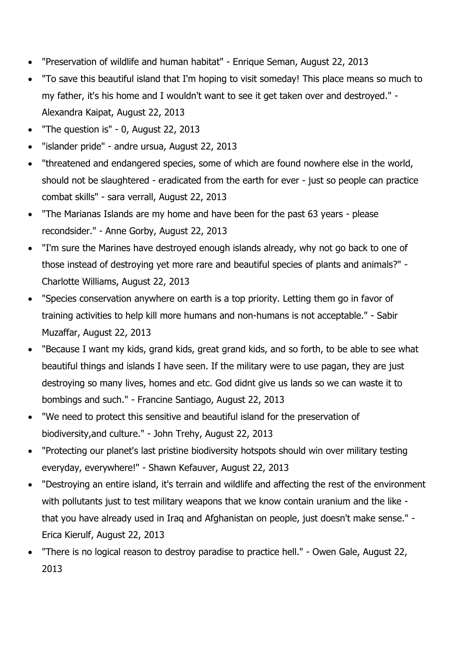- "Preservation of wildlife and human habitat" Enrique Seman, August 22, 2013
- "To save this beautiful island that I'm hoping to visit someday! This place means so much to my father, it's his home and I wouldn't want to see it get taken over and destroyed." - Alexandra Kaipat, August 22, 2013
- "The question is" 0, August 22, 2013
- "islander pride" andre ursua, August 22, 2013
- "threatened and endangered species, some of which are found nowhere else in the world, should not be slaughtered - eradicated from the earth for ever - just so people can practice combat skills" - sara verrall, August 22, 2013
- "The Marianas Islands are my home and have been for the past 63 years please recondsider." - Anne Gorby, August 22, 2013
- "I'm sure the Marines have destroyed enough islands already, why not go back to one of those instead of destroying yet more rare and beautiful species of plants and animals?" - Charlotte Williams, August 22, 2013
- "Species conservation anywhere on earth is a top priority. Letting them go in favor of training activities to help kill more humans and non-humans is not acceptable." - Sabir Muzaffar, August 22, 2013
- "Because I want my kids, grand kids, great grand kids, and so forth, to be able to see what beautiful things and islands I have seen. If the military were to use pagan, they are just destroying so many lives, homes and etc. God didnt give us lands so we can waste it to bombings and such." - Francine Santiago, August 22, 2013
- "We need to protect this sensitive and beautiful island for the preservation of biodiversity,and culture." - John Trehy, August 22, 2013
- "Protecting our planet's last pristine biodiversity hotspots should win over military testing everyday, everywhere!" - Shawn Kefauver, August 22, 2013
- "Destroying an entire island, it's terrain and wildlife and affecting the rest of the environment with pollutants just to test military weapons that we know contain uranium and the like that you have already used in Iraq and Afghanistan on people, just doesn't make sense." - Erica Kierulf, August 22, 2013
- "There is no logical reason to destroy paradise to practice hell." Owen Gale, August 22, 2013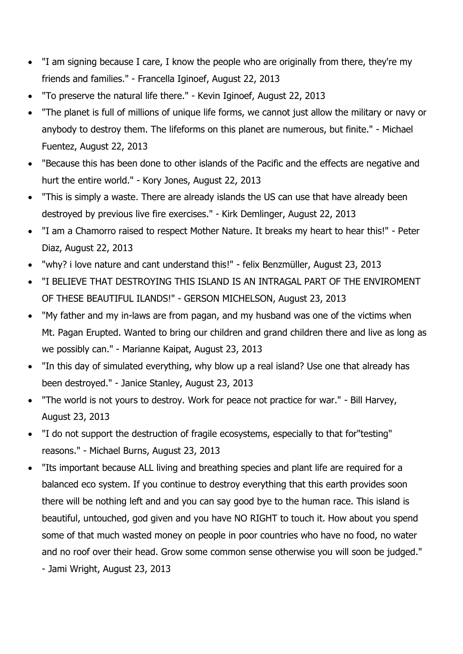- "I am signing because I care, I know the people who are originally from there, they're my friends and families." - Francella Iginoef, August 22, 2013
- "To preserve the natural life there." Kevin Iginoef, August 22, 2013
- "The planet is full of millions of unique life forms, we cannot just allow the military or navy or anybody to destroy them. The lifeforms on this planet are numerous, but finite." - Michael Fuentez, August 22, 2013
- "Because this has been done to other islands of the Pacific and the effects are negative and hurt the entire world." - Kory Jones, August 22, 2013
- "This is simply a waste. There are already islands the US can use that have already been destroyed by previous live fire exercises." - Kirk Demlinger, August 22, 2013
- "I am a Chamorro raised to respect Mother Nature. It breaks my heart to hear this!" Peter Diaz, August 22, 2013
- "why? i love nature and cant understand this!" felix Benzmüller, August 23, 2013
- "I BELIEVE THAT DESTROYING THIS ISLAND IS AN INTRAGAL PART OF THE ENVIROMENT OF THESE BEAUTIFUL ILANDS!" - GERSON MICHELSON, August 23, 2013
- "My father and my in-laws are from pagan, and my husband was one of the victims when Mt. Pagan Erupted. Wanted to bring our children and grand children there and live as long as we possibly can." - Marianne Kaipat, August 23, 2013
- "In this day of simulated everything, why blow up a real island? Use one that already has been destroyed." - Janice Stanley, August 23, 2013
- "The world is not yours to destroy. Work for peace not practice for war." Bill Harvey, August 23, 2013
- "I do not support the destruction of fragile ecosystems, especially to that for"testing" reasons." - Michael Burns, August 23, 2013
- "Its important because ALL living and breathing species and plant life are required for a balanced eco system. If you continue to destroy everything that this earth provides soon there will be nothing left and and you can say good bye to the human race. This island is beautiful, untouched, god given and you have NO RIGHT to touch it. How about you spend some of that much wasted money on people in poor countries who have no food, no water and no roof over their head. Grow some common sense otherwise you will soon be judged." - Jami Wright, August 23, 2013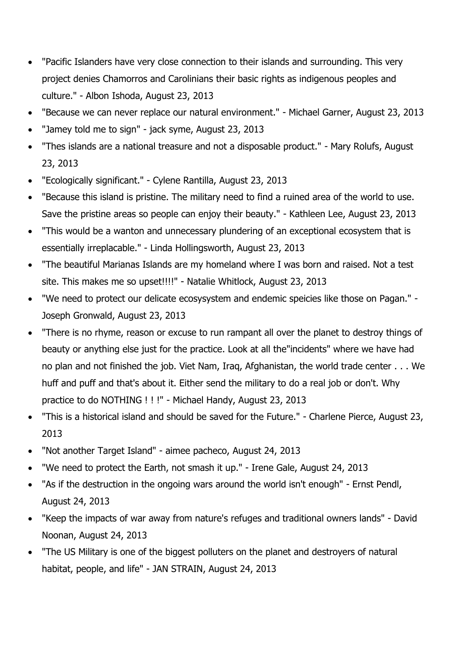- "Pacific Islanders have very close connection to their islands and surrounding. This very project denies Chamorros and Carolinians their basic rights as indigenous peoples and culture." - Albon Ishoda, August 23, 2013
- "Because we can never replace our natural environment." Michael Garner, August 23, 2013
- "Jamey told me to sign" jack syme, August 23, 2013
- "Thes islands are a national treasure and not a disposable product." Mary Rolufs, August 23, 2013
- "Ecologically significant." Cylene Rantilla, August 23, 2013
- "Because this island is pristine. The military need to find a ruined area of the world to use. Save the pristine areas so people can enjoy their beauty." - Kathleen Lee, August 23, 2013
- "This would be a wanton and unnecessary plundering of an exceptional ecosystem that is essentially irreplacable." - Linda Hollingsworth, August 23, 2013
- "The beautiful Marianas Islands are my homeland where I was born and raised. Not a test site. This makes me so upset!!!!" - Natalie Whitlock, August 23, 2013
- "We need to protect our delicate ecosysystem and endemic speicies like those on Pagan." Joseph Gronwald, August 23, 2013
- "There is no rhyme, reason or excuse to run rampant all over the planet to destroy things of beauty or anything else just for the practice. Look at all the"incidents" where we have had no plan and not finished the job. Viet Nam, Iraq, Afghanistan, the world trade center . . . We huff and puff and that's about it. Either send the military to do a real job or don't. Why practice to do NOTHING ! ! !" - Michael Handy, August 23, 2013
- "This is a historical island and should be saved for the Future." Charlene Pierce, August 23, 2013
- "Not another Target Island" aimee pacheco, August 24, 2013
- "We need to protect the Earth, not smash it up." Irene Gale, August 24, 2013
- "As if the destruction in the ongoing wars around the world isn't enough" Ernst Pendl, August 24, 2013
- "Keep the impacts of war away from nature's refuges and traditional owners lands" David Noonan, August 24, 2013
- "The US Military is one of the biggest polluters on the planet and destroyers of natural habitat, people, and life" - JAN STRAIN, August 24, 2013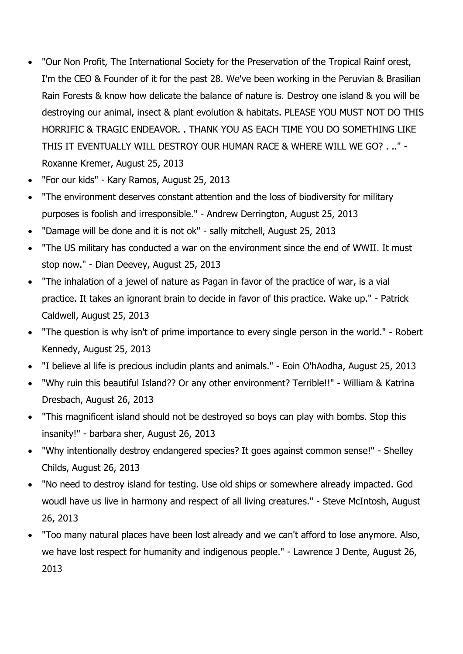- "Our Non Profit, The International Society for the Preservation of the Tropical Rainf orest, I'm the CEO & Founder of it for the past 28. We've been working in the Peruvian & Brasilian Rain Forests & know how delicate the balance of nature is. Destroy one island & you will be destroying our animal, insect & plant evolution & habitats. PLEASE YOU MUST NOT DO THIS HORRIFIC & TRAGIC ENDEAVOR. . THANK YOU AS EACH TIME YOU DO SOMETHING LIKE THIS IT EVENTUALLY WILL DESTROY OUR HUMAN RACE & WHERE WILL WE GO? . .." - Roxanne Kremer, August 25, 2013
- "For our kids" Kary Ramos, August 25, 2013
- "The environment deserves constant attention and the loss of biodiversity for military purposes is foolish and irresponsible." - Andrew Derrington, August 25, 2013
- "Damage will be done and it is not ok" sally mitchell, August 25, 2013
- "The US military has conducted a war on the environment since the end of WWII. It must stop now." - Dian Deevey, August 25, 2013
- "The inhalation of a jewel of nature as Pagan in favor of the practice of war, is a vial practice. It takes an ignorant brain to decide in favor of this practice. Wake up." - Patrick Caldwell, August 25, 2013
- "The question is why isn't of prime importance to every single person in the world." Robert Kennedy, August 25, 2013
- "I believe al life is precious includin plants and animals." Eoin O'hAodha, August 25, 2013
- "Why ruin this beautiful Island?? Or any other environment? Terrible!!" William & Katrina Dresbach, August 26, 2013
- "This magnificent island should not be destroyed so boys can play with bombs. Stop this insanity!" - barbara sher, August 26, 2013
- "Why intentionally destroy endangered species? It goes against common sense!" Shelley Childs, August 26, 2013
- "No need to destroy island for testing. Use old ships or somewhere already impacted. God woudl have us live in harmony and respect of all living creatures." - Steve McIntosh, August 26, 2013
- "Too many natural places have been lost already and we can't afford to lose anymore. Also, we have lost respect for humanity and indigenous people." - Lawrence J Dente, August 26, 2013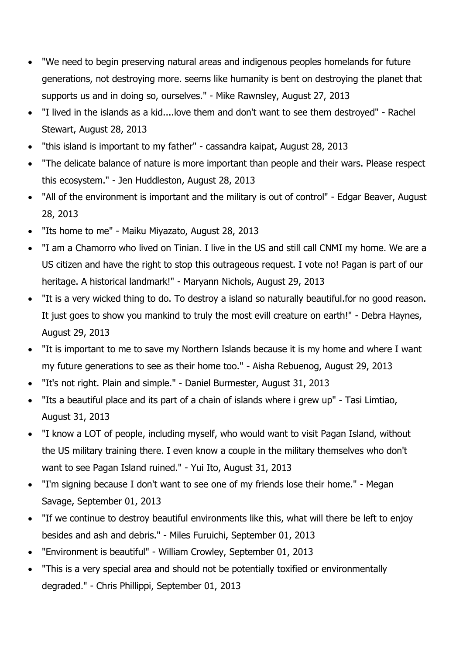- "We need to begin preserving natural areas and indigenous peoples homelands for future generations, not destroying more. seems like humanity is bent on destroying the planet that supports us and in doing so, ourselves." - Mike Rawnsley, August 27, 2013
- "I lived in the islands as a kid....love them and don't want to see them destroyed" Rachel Stewart, August 28, 2013
- "this island is important to my father" cassandra kaipat, August 28, 2013
- "The delicate balance of nature is more important than people and their wars. Please respect this ecosystem." - Jen Huddleston, August 28, 2013
- "All of the environment is important and the military is out of control" Edgar Beaver, August 28, 2013
- "Its home to me" Maiku Miyazato, August 28, 2013
- "I am a Chamorro who lived on Tinian. I live in the US and still call CNMI my home. We are a US citizen and have the right to stop this outrageous request. I vote no! Pagan is part of our heritage. A historical landmark!" - Maryann Nichols, August 29, 2013
- "It is a very wicked thing to do. To destroy a island so naturally beautiful.for no good reason. It just goes to show you mankind to truly the most evill creature on earth!" - Debra Haynes, August 29, 2013
- "It is important to me to save my Northern Islands because it is my home and where I want my future generations to see as their home too." - Aisha Rebuenog, August 29, 2013
- "It's not right. Plain and simple." Daniel Burmester, August 31, 2013
- "Its a beautiful place and its part of a chain of islands where i grew up" Tasi Limtiao, August 31, 2013
- "I know a LOT of people, including myself, who would want to visit Pagan Island, without the US military training there. I even know a couple in the military themselves who don't want to see Pagan Island ruined." - Yui Ito, August 31, 2013
- "I'm signing because I don't want to see one of my friends lose their home." Megan Savage, September 01, 2013
- "If we continue to destroy beautiful environments like this, what will there be left to enjoy besides and ash and debris." - Miles Furuichi, September 01, 2013
- "Environment is beautiful" William Crowley, September 01, 2013
- "This is a very special area and should not be potentially toxified or environmentally degraded." - Chris Phillippi, September 01, 2013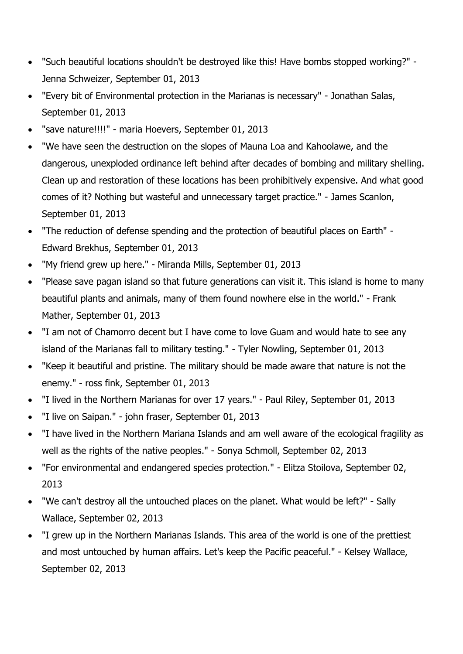- "Such beautiful locations shouldn't be destroyed like this! Have bombs stopped working?" Jenna Schweizer, September 01, 2013
- "Every bit of Environmental protection in the Marianas is necessary" Jonathan Salas, September 01, 2013
- "save nature!!!!" maria Hoevers, September 01, 2013
- "We have seen the destruction on the slopes of Mauna Loa and Kahoolawe, and the dangerous, unexploded ordinance left behind after decades of bombing and military shelling. Clean up and restoration of these locations has been prohibitively expensive. And what good comes of it? Nothing but wasteful and unnecessary target practice." - James Scanlon, September 01, 2013
- "The reduction of defense spending and the protection of beautiful places on Earth" Edward Brekhus, September 01, 2013
- "My friend grew up here." Miranda Mills, September 01, 2013
- "Please save pagan island so that future generations can visit it. This island is home to many beautiful plants and animals, many of them found nowhere else in the world." - Frank Mather, September 01, 2013
- "I am not of Chamorro decent but I have come to love Guam and would hate to see any island of the Marianas fall to military testing." - Tyler Nowling, September 01, 2013
- "Keep it beautiful and pristine. The military should be made aware that nature is not the enemy." - ross fink, September 01, 2013
- "I lived in the Northern Marianas for over 17 years." Paul Riley, September 01, 2013
- "I live on Saipan." john fraser, September 01, 2013
- "I have lived in the Northern Mariana Islands and am well aware of the ecological fragility as well as the rights of the native peoples." - Sonya Schmoll, September 02, 2013
- "For environmental and endangered species protection." Elitza Stoilova, September 02, 2013
- "We can't destroy all the untouched places on the planet. What would be left?" Sally Wallace, September 02, 2013
- "I grew up in the Northern Marianas Islands. This area of the world is one of the prettiest and most untouched by human affairs. Let's keep the Pacific peaceful." - Kelsey Wallace, September 02, 2013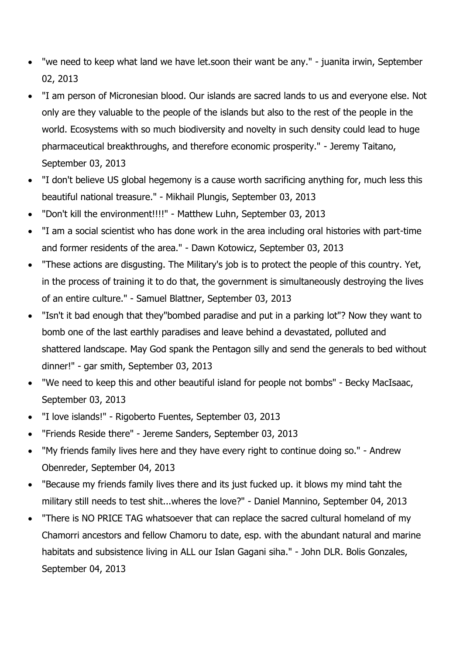- "we need to keep what land we have let.soon their want be any." juanita irwin, September 02, 2013
- "I am person of Micronesian blood. Our islands are sacred lands to us and everyone else. Not only are they valuable to the people of the islands but also to the rest of the people in the world. Ecosystems with so much biodiversity and novelty in such density could lead to huge pharmaceutical breakthroughs, and therefore economic prosperity." - Jeremy Taitano, September 03, 2013
- "I don't believe US global hegemony is a cause worth sacrificing anything for, much less this beautiful national treasure." - Mikhail Plungis, September 03, 2013
- "Don't kill the environment!!!!" Matthew Luhn, September 03, 2013
- "I am a social scientist who has done work in the area including oral histories with part-time and former residents of the area." - Dawn Kotowicz, September 03, 2013
- "These actions are disgusting. The Military's job is to protect the people of this country. Yet, in the process of training it to do that, the government is simultaneously destroying the lives of an entire culture." - Samuel Blattner, September 03, 2013
- "Isn't it bad enough that they"bombed paradise and put in a parking lot"? Now they want to bomb one of the last earthly paradises and leave behind a devastated, polluted and shattered landscape. May God spank the Pentagon silly and send the generals to bed without dinner!" - gar smith, September 03, 2013
- "We need to keep this and other beautiful island for people not bombs" Becky MacIsaac, September 03, 2013
- "I love islands!" Rigoberto Fuentes, September 03, 2013
- "Friends Reside there" Jereme Sanders, September 03, 2013
- "My friends family lives here and they have every right to continue doing so." Andrew Obenreder, September 04, 2013
- "Because my friends family lives there and its just fucked up. it blows my mind taht the military still needs to test shit...wheres the love?" - Daniel Mannino, September 04, 2013
- "There is NO PRICE TAG whatsoever that can replace the sacred cultural homeland of my Chamorri ancestors and fellow Chamoru to date, esp. with the abundant natural and marine habitats and subsistence living in ALL our Islan Gagani siha." - John DLR. Bolis Gonzales, September 04, 2013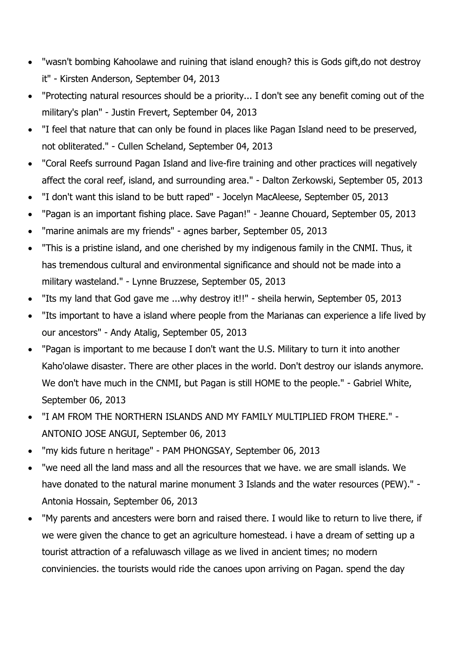- "wasn't bombing Kahoolawe and ruining that island enough? this is Gods gift,do not destroy it" - Kirsten Anderson, September 04, 2013
- "Protecting natural resources should be a priority... I don't see any benefit coming out of the military's plan" - Justin Frevert, September 04, 2013
- "I feel that nature that can only be found in places like Pagan Island need to be preserved, not obliterated." - Cullen Scheland, September 04, 2013
- "Coral Reefs surround Pagan Island and live-fire training and other practices will negatively affect the coral reef, island, and surrounding area." - Dalton Zerkowski, September 05, 2013
- "I don't want this island to be butt raped" Jocelyn MacAleese, September 05, 2013
- "Pagan is an important fishing place. Save Pagan!" Jeanne Chouard, September 05, 2013
- "marine animals are my friends" agnes barber, September 05, 2013
- "This is a pristine island, and one cherished by my indigenous family in the CNMI. Thus, it has tremendous cultural and environmental significance and should not be made into a military wasteland." - Lynne Bruzzese, September 05, 2013
- "Its my land that God gave me ...why destroy it!!" sheila herwin, September 05, 2013
- "Its important to have a island where people from the Marianas can experience a life lived by our ancestors" - Andy Atalig, September 05, 2013
- "Pagan is important to me because I don't want the U.S. Military to turn it into another Kaho'olawe disaster. There are other places in the world. Don't destroy our islands anymore. We don't have much in the CNMI, but Pagan is still HOME to the people." - Gabriel White, September 06, 2013
- "I AM FROM THE NORTHERN ISLANDS AND MY FAMILY MULTIPLIED FROM THERE." ANTONIO JOSE ANGUI, September 06, 2013
- "my kids future n heritage" PAM PHONGSAY, September 06, 2013
- "we need all the land mass and all the resources that we have. we are small islands. We have donated to the natural marine monument 3 Islands and the water resources (PEW)." - Antonia Hossain, September 06, 2013
- "My parents and ancesters were born and raised there. I would like to return to live there, if we were given the chance to get an agriculture homestead. i have a dream of setting up a tourist attraction of a refaluwasch village as we lived in ancient times; no modern conviniencies. the tourists would ride the canoes upon arriving on Pagan. spend the day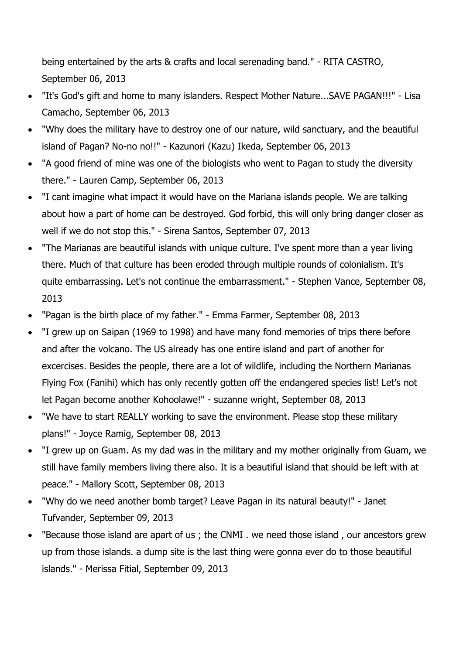being entertained by the arts & crafts and local serenading band." - RITA CASTRO, September 06, 2013

- "It's God's gift and home to many islanders. Respect Mother Nature...SAVE PAGAN!!!" Lisa Camacho, September 06, 2013
- "Why does the military have to destroy one of our nature, wild sanctuary, and the beautiful island of Pagan? No-no no!!" - Kazunori (Kazu) Ikeda, September 06, 2013
- "A good friend of mine was one of the biologists who went to Pagan to study the diversity there." - Lauren Camp, September 06, 2013
- "I cant imagine what impact it would have on the Mariana islands people. We are talking about how a part of home can be destroyed. God forbid, this will only bring danger closer as well if we do not stop this." - Sirena Santos, September 07, 2013
- "The Marianas are beautiful islands with unique culture. I've spent more than a year living there. Much of that culture has been eroded through multiple rounds of colonialism. It's quite embarrassing. Let's not continue the embarrassment." - Stephen Vance, September 08, 2013
- "Pagan is the birth place of my father." Emma Farmer, September 08, 2013
- "I grew up on Saipan (1969 to 1998) and have many fond memories of trips there before and after the volcano. The US already has one entire island and part of another for excercises. Besides the people, there are a lot of wildlife, including the Northern Marianas Flying Fox (Fanihi) which has only recently gotten off the endangered species list! Let's not let Pagan become another Kohoolawe!" - suzanne wright, September 08, 2013
- "We have to start REALLY working to save the environment. Please stop these military plans!" - Joyce Ramig, September 08, 2013
- "I grew up on Guam. As my dad was in the military and my mother originally from Guam, we still have family members living there also. It is a beautiful island that should be left with at peace." - Mallory Scott, September 08, 2013
- "Why do we need another bomb target? Leave Pagan in its natural beauty!" Janet Tufvander, September 09, 2013
- "Because those island are apart of us ; the CNMI . we need those island , our ancestors grew up from those islands. a dump site is the last thing were gonna ever do to those beautiful islands." - Merissa Fitial, September 09, 2013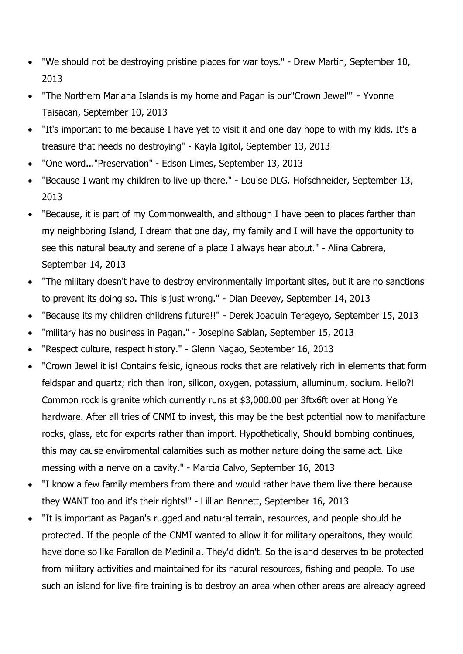- "We should not be destroying pristine places for war toys." Drew Martin, September 10, 2013
- "The Northern Mariana Islands is my home and Pagan is our"Crown Jewel"" Yvonne Taisacan, September 10, 2013
- "It's important to me because I have yet to visit it and one day hope to with my kids. It's a treasure that needs no destroying" - Kayla Igitol, September 13, 2013
- "One word..."Preservation" Edson Limes, September 13, 2013
- "Because I want my children to live up there." Louise DLG. Hofschneider, September 13, 2013
- "Because, it is part of my Commonwealth, and although I have been to places farther than my neighboring Island, I dream that one day, my family and I will have the opportunity to see this natural beauty and serene of a place I always hear about." - Alina Cabrera, September 14, 2013
- "The military doesn't have to destroy environmentally important sites, but it are no sanctions to prevent its doing so. This is just wrong." - Dian Deevey, September 14, 2013
- "Because its my children childrens future!!" Derek Joaquin Teregeyo, September 15, 2013
- "military has no business in Pagan." Josepine Sablan, September 15, 2013
- "Respect culture, respect history." Glenn Nagao, September 16, 2013
- "Crown Jewel it is! Contains felsic, igneous rocks that are relatively rich in elements that form feldspar and quartz; rich than iron, silicon, oxygen, potassium, alluminum, sodium. Hello?! Common rock is granite which currently runs at \$3,000.00 per 3ftx6ft over at Hong Ye hardware. After all tries of CNMI to invest, this may be the best potential now to manifacture rocks, glass, etc for exports rather than import. Hypothetically, Should bombing continues, this may cause enviromental calamities such as mother nature doing the same act. Like messing with a nerve on a cavity." - Marcia Calvo, September 16, 2013
- "I know a few family members from there and would rather have them live there because they WANT too and it's their rights!" - Lillian Bennett, September 16, 2013
- "It is important as Pagan's rugged and natural terrain, resources, and people should be protected. If the people of the CNMI wanted to allow it for military operaitons, they would have done so like Farallon de Medinilla. They'd didn't. So the island deserves to be protected from military activities and maintained for its natural resources, fishing and people. To use such an island for live-fire training is to destroy an area when other areas are already agreed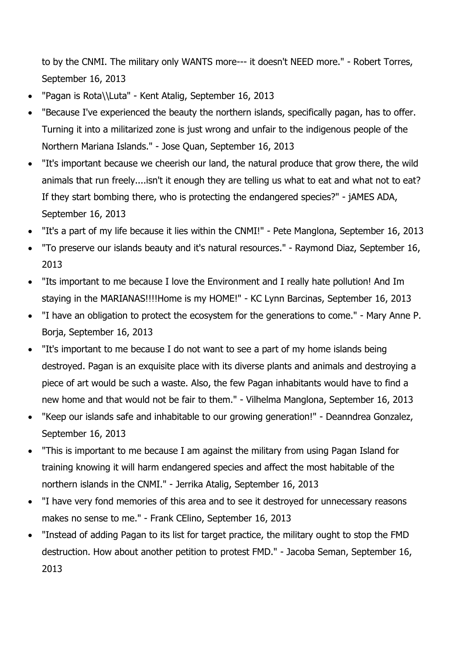to by the CNMI. The military only WANTS more--- it doesn't NEED more." - Robert Torres, September 16, 2013

- "Pagan is Rota\\Luta" Kent Atalig, September 16, 2013
- "Because I've experienced the beauty the northern islands, specifically pagan, has to offer. Turning it into a militarized zone is just wrong and unfair to the indigenous people of the Northern Mariana Islands." - Jose Quan, September 16, 2013
- "It's important because we cheerish our land, the natural produce that grow there, the wild animals that run freely....isn't it enough they are telling us what to eat and what not to eat? If they start bombing there, who is protecting the endangered species?" - jAMES ADA, September 16, 2013
- "It's a part of my life because it lies within the CNMI!" Pete Manglona, September 16, 2013
- "To preserve our islands beauty and it's natural resources." Raymond Diaz, September 16, 2013
- "Its important to me because I love the Environment and I really hate pollution! And Im staying in the MARIANAS!!!!Home is my HOME!" - KC Lynn Barcinas, September 16, 2013
- "I have an obligation to protect the ecosystem for the generations to come." Mary Anne P. Borja, September 16, 2013
- "It's important to me because I do not want to see a part of my home islands being destroyed. Pagan is an exquisite place with its diverse plants and animals and destroying a piece of art would be such a waste. Also, the few Pagan inhabitants would have to find a new home and that would not be fair to them." - Vilhelma Manglona, September 16, 2013
- "Keep our islands safe and inhabitable to our growing generation!" Deanndrea Gonzalez, September 16, 2013
- "This is important to me because I am against the military from using Pagan Island for training knowing it will harm endangered species and affect the most habitable of the northern islands in the CNMI." - Jerrika Atalig, September 16, 2013
- "I have very fond memories of this area and to see it destroyed for unnecessary reasons makes no sense to me." - Frank CElino, September 16, 2013
- "Instead of adding Pagan to its list for target practice, the military ought to stop the FMD destruction. How about another petition to protest FMD." - Jacoba Seman, September 16, 2013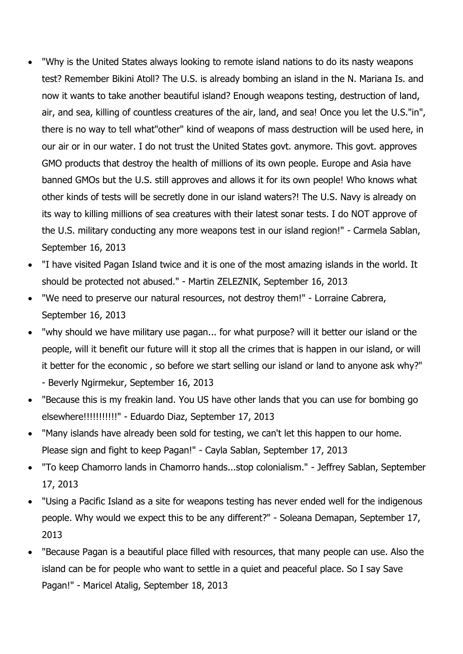- "Why is the United States always looking to remote island nations to do its nasty weapons test? Remember Bikini Atoll? The U.S. is already bombing an island in the N. Mariana Is. and now it wants to take another beautiful island? Enough weapons testing, destruction of land, air, and sea, killing of countless creatures of the air, land, and sea! Once you let the U.S."in", there is no way to tell what"other" kind of weapons of mass destruction will be used here, in our air or in our water. I do not trust the United States govt. anymore. This govt. approves GMO products that destroy the health of millions of its own people. Europe and Asia have banned GMOs but the U.S. still approves and allows it for its own people! Who knows what other kinds of tests will be secretly done in our island waters?! The U.S. Navy is already on its way to killing millions of sea creatures with their latest sonar tests. I do NOT approve of the U.S. military conducting any more weapons test in our island region!" - Carmela Sablan, September 16, 2013
- "I have visited Pagan Island twice and it is one of the most amazing islands in the world. It should be protected not abused." - Martin ZELEZNIK, September 16, 2013
- "We need to preserve our natural resources, not destroy them!" Lorraine Cabrera, September 16, 2013
- "why should we have military use pagan... for what purpose? will it better our island or the people, will it benefit our future will it stop all the crimes that is happen in our island, or will it better for the economic , so before we start selling our island or land to anyone ask why?" - Beverly Ngirmekur, September 16, 2013
- "Because this is my freakin land. You US have other lands that you can use for bombing go elsewhere!!!!!!!!!!!" - Eduardo Diaz, September 17, 2013
- "Many islands have already been sold for testing, we can't let this happen to our home. Please sign and fight to keep Pagan!" - Cayla Sablan, September 17, 2013
- "To keep Chamorro lands in Chamorro hands...stop colonialism." Jeffrey Sablan, September 17, 2013
- "Using a Pacific Island as a site for weapons testing has never ended well for the indigenous people. Why would we expect this to be any different?" - Soleana Demapan, September 17, 2013
- "Because Pagan is a beautiful place filled with resources, that many people can use. Also the island can be for people who want to settle in a quiet and peaceful place. So I say Save Pagan!" - Maricel Atalig, September 18, 2013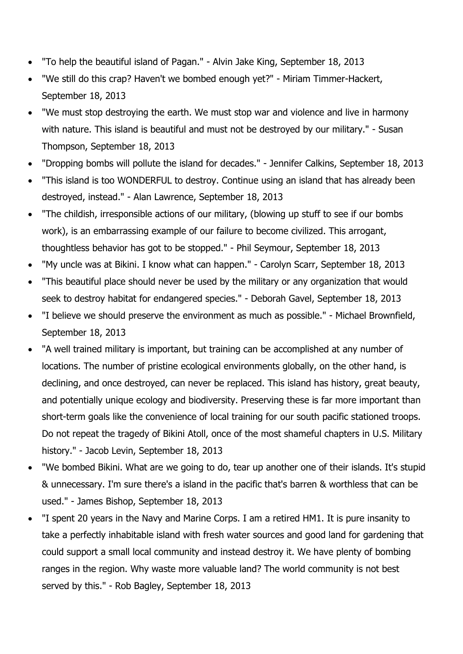- "To help the beautiful island of Pagan." Alvin Jake King, September 18, 2013
- "We still do this crap? Haven't we bombed enough yet?" Miriam Timmer-Hackert, September 18, 2013
- "We must stop destroying the earth. We must stop war and violence and live in harmony with nature. This island is beautiful and must not be destroyed by our military." - Susan Thompson, September 18, 2013
- "Dropping bombs will pollute the island for decades." Jennifer Calkins, September 18, 2013
- "This island is too WONDERFUL to destroy. Continue using an island that has already been destroyed, instead." - Alan Lawrence, September 18, 2013
- "The childish, irresponsible actions of our military, (blowing up stuff to see if our bombs work), is an embarrassing example of our failure to become civilized. This arrogant, thoughtless behavior has got to be stopped." - Phil Seymour, September 18, 2013
- "My uncle was at Bikini. I know what can happen." Carolyn Scarr, September 18, 2013
- "This beautiful place should never be used by the military or any organization that would seek to destroy habitat for endangered species." - Deborah Gavel, September 18, 2013
- "I believe we should preserve the environment as much as possible." Michael Brownfield, September 18, 2013
- "A well trained military is important, but training can be accomplished at any number of locations. The number of pristine ecological environments globally, on the other hand, is declining, and once destroyed, can never be replaced. This island has history, great beauty, and potentially unique ecology and biodiversity. Preserving these is far more important than short-term goals like the convenience of local training for our south pacific stationed troops. Do not repeat the tragedy of Bikini Atoll, once of the most shameful chapters in U.S. Military history." - Jacob Levin, September 18, 2013
- "We bombed Bikini. What are we going to do, tear up another one of their islands. It's stupid & unnecessary. I'm sure there's a island in the pacific that's barren & worthless that can be used." - James Bishop, September 18, 2013
- "I spent 20 years in the Navy and Marine Corps. I am a retired HM1. It is pure insanity to take a perfectly inhabitable island with fresh water sources and good land for gardening that could support a small local community and instead destroy it. We have plenty of bombing ranges in the region. Why waste more valuable land? The world community is not best served by this." - Rob Bagley, September 18, 2013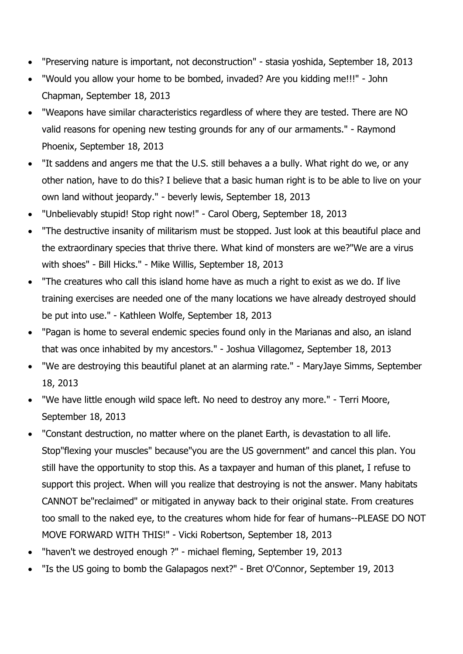- "Preserving nature is important, not deconstruction" stasia yoshida, September 18, 2013
- "Would you allow your home to be bombed, invaded? Are you kidding me!!!" John Chapman, September 18, 2013
- "Weapons have similar characteristics regardless of where they are tested. There are NO valid reasons for opening new testing grounds for any of our armaments." - Raymond Phoenix, September 18, 2013
- "It saddens and angers me that the U.S. still behaves a a bully. What right do we, or any other nation, have to do this? I believe that a basic human right is to be able to live on your own land without jeopardy." - beverly lewis, September 18, 2013
- "Unbelievably stupid! Stop right now!" Carol Oberg, September 18, 2013
- "The destructive insanity of militarism must be stopped. Just look at this beautiful place and the extraordinary species that thrive there. What kind of monsters are we?"We are a virus with shoes" - Bill Hicks." - Mike Willis, September 18, 2013
- "The creatures who call this island home have as much a right to exist as we do. If live training exercises are needed one of the many locations we have already destroyed should be put into use." - Kathleen Wolfe, September 18, 2013
- "Pagan is home to several endemic species found only in the Marianas and also, an island that was once inhabited by my ancestors." - Joshua Villagomez, September 18, 2013
- "We are destroying this beautiful planet at an alarming rate." MaryJaye Simms, September 18, 2013
- "We have little enough wild space left. No need to destroy any more." Terri Moore, September 18, 2013
- "Constant destruction, no matter where on the planet Earth, is devastation to all life. Stop"flexing your muscles" because"you are the US government" and cancel this plan. You still have the opportunity to stop this. As a taxpayer and human of this planet, I refuse to support this project. When will you realize that destroying is not the answer. Many habitats CANNOT be"reclaimed" or mitigated in anyway back to their original state. From creatures too small to the naked eye, to the creatures whom hide for fear of humans--PLEASE DO NOT MOVE FORWARD WITH THIS!" - Vicki Robertson, September 18, 2013
- "haven't we destroyed enough ?" michael fleming, September 19, 2013
- "Is the US going to bomb the Galapagos next?" Bret O'Connor, September 19, 2013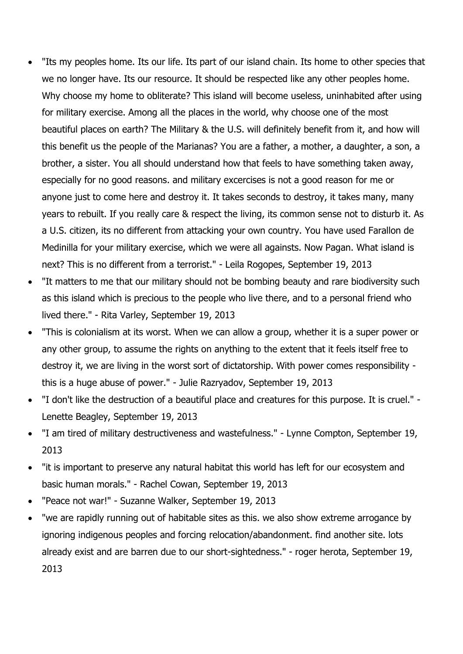- "Its my peoples home. Its our life. Its part of our island chain. Its home to other species that we no longer have. Its our resource. It should be respected like any other peoples home. Why choose my home to obliterate? This island will become useless, uninhabited after using for military exercise. Among all the places in the world, why choose one of the most beautiful places on earth? The Military & the U.S. will definitely benefit from it, and how will this benefit us the people of the Marianas? You are a father, a mother, a daughter, a son, a brother, a sister. You all should understand how that feels to have something taken away, especially for no good reasons. and military excercises is not a good reason for me or anyone just to come here and destroy it. It takes seconds to destroy, it takes many, many years to rebuilt. If you really care & respect the living, its common sense not to disturb it. As a U.S. citizen, its no different from attacking your own country. You have used Farallon de Medinilla for your military exercise, which we were all againsts. Now Pagan. What island is next? This is no different from a terrorist." - Leila Rogopes, September 19, 2013
- "It matters to me that our military should not be bombing beauty and rare biodiversity such as this island which is precious to the people who live there, and to a personal friend who lived there." - Rita Varley, September 19, 2013
- "This is colonialism at its worst. When we can allow a group, whether it is a super power or any other group, to assume the rights on anything to the extent that it feels itself free to destroy it, we are living in the worst sort of dictatorship. With power comes responsibility this is a huge abuse of power." - Julie Razryadov, September 19, 2013
- "I don't like the destruction of a beautiful place and creatures for this purpose. It is cruel." Lenette Beagley, September 19, 2013
- "I am tired of military destructiveness and wastefulness." Lynne Compton, September 19, 2013
- "it is important to preserve any natural habitat this world has left for our ecosystem and basic human morals." - Rachel Cowan, September 19, 2013
- "Peace not war!" Suzanne Walker, September 19, 2013
- "we are rapidly running out of habitable sites as this. we also show extreme arrogance by ignoring indigenous peoples and forcing relocation/abandonment. find another site. lots already exist and are barren due to our short-sightedness." - roger herota, September 19, 2013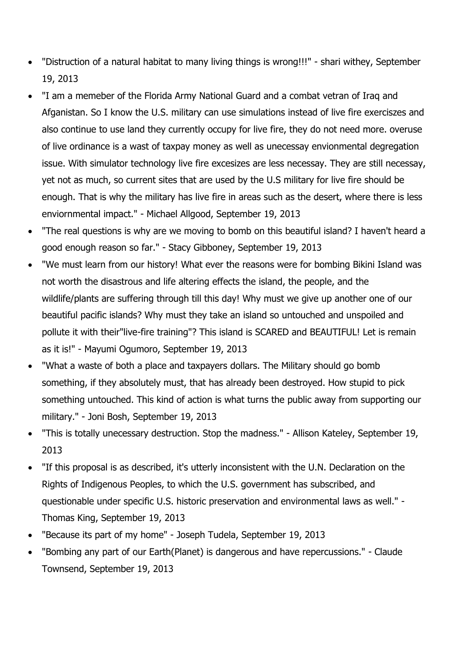- "Distruction of a natural habitat to many living things is wrong!!!" shari withey, September 19, 2013
- "I am a memeber of the Florida Army National Guard and a combat vetran of Iraq and Afganistan. So I know the U.S. military can use simulations instead of live fire exerciszes and also continue to use land they currently occupy for live fire, they do not need more. overuse of live ordinance is a wast of taxpay money as well as unecessay envionmental degregation issue. With simulator technology live fire excesizes are less necessay. They are still necessay, yet not as much, so current sites that are used by the U.S military for live fire should be enough. That is why the military has live fire in areas such as the desert, where there is less enviornmental impact." - Michael Allgood, September 19, 2013
- "The real questions is why are we moving to bomb on this beautiful island? I haven't heard a good enough reason so far." - Stacy Gibboney, September 19, 2013
- "We must learn from our history! What ever the reasons were for bombing Bikini Island was not worth the disastrous and life altering effects the island, the people, and the wildlife/plants are suffering through till this day! Why must we give up another one of our beautiful pacific islands? Why must they take an island so untouched and unspoiled and pollute it with their"live-fire training"? This island is SCARED and BEAUTIFUL! Let is remain as it is!" - Mayumi Ogumoro, September 19, 2013
- "What a waste of both a place and taxpayers dollars. The Military should go bomb something, if they absolutely must, that has already been destroyed. How stupid to pick something untouched. This kind of action is what turns the public away from supporting our military." - Joni Bosh, September 19, 2013
- "This is totally unecessary destruction. Stop the madness." Allison Kateley, September 19, 2013
- "If this proposal is as described, it's utterly inconsistent with the U.N. Declaration on the Rights of Indigenous Peoples, to which the U.S. government has subscribed, and questionable under specific U.S. historic preservation and environmental laws as well." - Thomas King, September 19, 2013
- "Because its part of my home" Joseph Tudela, September 19, 2013
- "Bombing any part of our Earth(Planet) is dangerous and have repercussions." Claude Townsend, September 19, 2013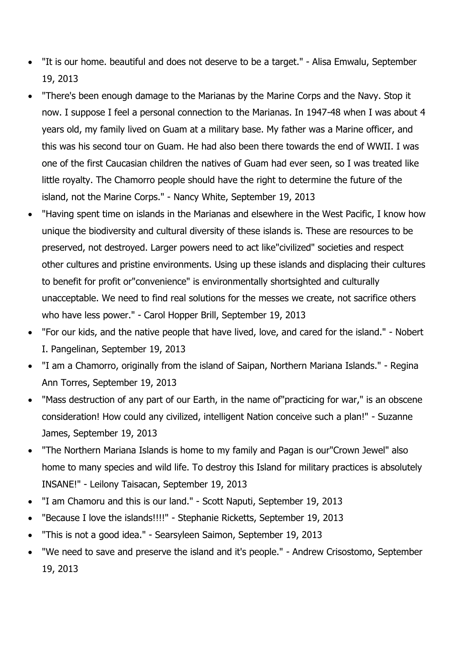- "It is our home. beautiful and does not deserve to be a target." Alisa Emwalu, September 19, 2013
- "There's been enough damage to the Marianas by the Marine Corps and the Navy. Stop it now. I suppose I feel a personal connection to the Marianas. In 1947-48 when I was about 4 years old, my family lived on Guam at a military base. My father was a Marine officer, and this was his second tour on Guam. He had also been there towards the end of WWII. I was one of the first Caucasian children the natives of Guam had ever seen, so I was treated like little royalty. The Chamorro people should have the right to determine the future of the island, not the Marine Corps." - Nancy White, September 19, 2013
- "Having spent time on islands in the Marianas and elsewhere in the West Pacific, I know how unique the biodiversity and cultural diversity of these islands is. These are resources to be preserved, not destroyed. Larger powers need to act like"civilized" societies and respect other cultures and pristine environments. Using up these islands and displacing their cultures to benefit for profit or"convenience" is environmentally shortsighted and culturally unacceptable. We need to find real solutions for the messes we create, not sacrifice others who have less power." - Carol Hopper Brill, September 19, 2013
- "For our kids, and the native people that have lived, love, and cared for the island." Nobert I. Pangelinan, September 19, 2013
- "I am a Chamorro, originally from the island of Saipan, Northern Mariana Islands." Regina Ann Torres, September 19, 2013
- "Mass destruction of any part of our Earth, in the name of"practicing for war," is an obscene consideration! How could any civilized, intelligent Nation conceive such a plan!" - Suzanne James, September 19, 2013
- "The Northern Mariana Islands is home to my family and Pagan is our"Crown Jewel" also home to many species and wild life. To destroy this Island for military practices is absolutely INSANE!" - Leilony Taisacan, September 19, 2013
- "I am Chamoru and this is our land." Scott Naputi, September 19, 2013
- "Because I love the islands!!!!" Stephanie Ricketts, September 19, 2013
- "This is not a good idea." Searsyleen Saimon, September 19, 2013
- "We need to save and preserve the island and it's people." Andrew Crisostomo, September 19, 2013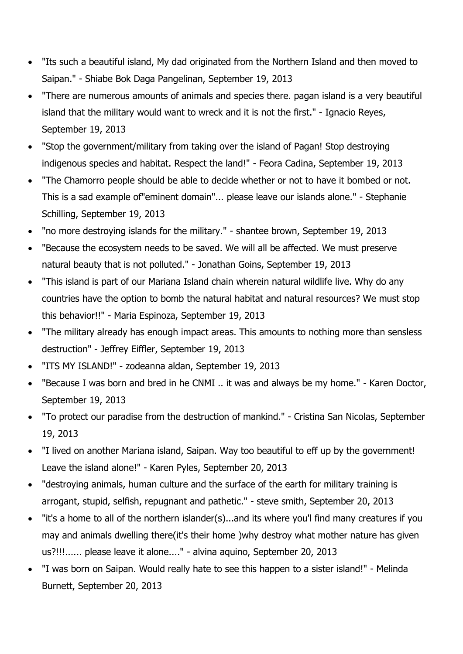- "Its such a beautiful island, My dad originated from the Northern Island and then moved to Saipan." - Shiabe Bok Daga Pangelinan, September 19, 2013
- "There are numerous amounts of animals and species there. pagan island is a very beautiful island that the military would want to wreck and it is not the first." - Ignacio Reyes, September 19, 2013
- "Stop the government/military from taking over the island of Pagan! Stop destroying indigenous species and habitat. Respect the land!" - Feora Cadina, September 19, 2013
- "The Chamorro people should be able to decide whether or not to have it bombed or not. This is a sad example of"eminent domain"... please leave our islands alone." - Stephanie Schilling, September 19, 2013
- "no more destroying islands for the military." shantee brown, September 19, 2013
- "Because the ecosystem needs to be saved. We will all be affected. We must preserve natural beauty that is not polluted." - Jonathan Goins, September 19, 2013
- "This island is part of our Mariana Island chain wherein natural wildlife live. Why do any countries have the option to bomb the natural habitat and natural resources? We must stop this behavior!!" - Maria Espinoza, September 19, 2013
- "The military already has enough impact areas. This amounts to nothing more than sensless destruction" - Jeffrey Eiffler, September 19, 2013
- "ITS MY ISLAND!" zodeanna aldan, September 19, 2013
- "Because I was born and bred in he CNMI .. it was and always be my home." Karen Doctor, September 19, 2013
- "To protect our paradise from the destruction of mankind." Cristina San Nicolas, September 19, 2013
- "I lived on another Mariana island, Saipan. Way too beautiful to eff up by the government! Leave the island alone!" - Karen Pyles, September 20, 2013
- "destroying animals, human culture and the surface of the earth for military training is arrogant, stupid, selfish, repugnant and pathetic." - steve smith, September 20, 2013
- "it's a home to all of the northern islander(s)...and its where you'l find many creatures if you may and animals dwelling there(it's their home )why destroy what mother nature has given us?!!!...... please leave it alone...." - alvina aquino, September 20, 2013
- "I was born on Saipan. Would really hate to see this happen to a sister island!" Melinda Burnett, September 20, 2013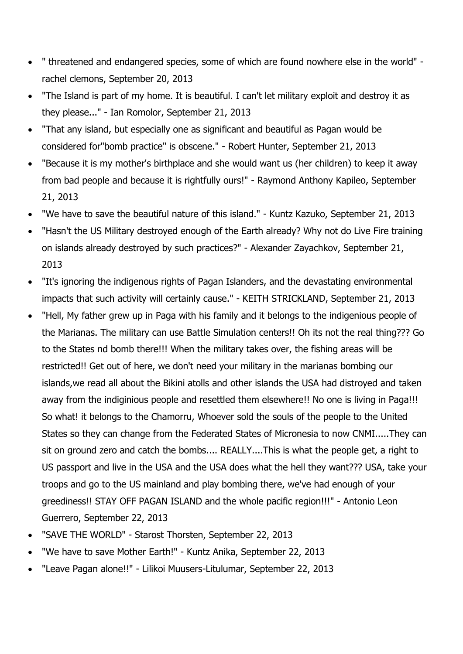- " threatened and endangered species, some of which are found nowhere else in the world" rachel clemons, September 20, 2013
- "The Island is part of my home. It is beautiful. I can't let military exploit and destroy it as they please..." - Ian Romolor, September 21, 2013
- "That any island, but especially one as significant and beautiful as Pagan would be considered for"bomb practice" is obscene." - Robert Hunter, September 21, 2013
- "Because it is my mother's birthplace and she would want us (her children) to keep it away from bad people and because it is rightfully ours!" - Raymond Anthony Kapileo, September 21, 2013
- "We have to save the beautiful nature of this island." Kuntz Kazuko, September 21, 2013
- "Hasn't the US Military destroyed enough of the Earth already? Why not do Live Fire training on islands already destroyed by such practices?" - Alexander Zayachkov, September 21, 2013
- "It's ignoring the indigenous rights of Pagan Islanders, and the devastating environmental impacts that such activity will certainly cause." - KEITH STRICKLAND, September 21, 2013
- "Hell, My father grew up in Paga with his family and it belongs to the indigenious people of the Marianas. The military can use Battle Simulation centers!! Oh its not the real thing??? Go to the States nd bomb there!!! When the military takes over, the fishing areas will be restricted!! Get out of here, we don't need your military in the marianas bombing our islands,we read all about the Bikini atolls and other islands the USA had distroyed and taken away from the indiginious people and resettled them elsewhere!! No one is living in Paga!!! So what! it belongs to the Chamorru, Whoever sold the souls of the people to the United States so they can change from the Federated States of Micronesia to now CNMI.....They can sit on ground zero and catch the bombs.... REALLY....This is what the people get, a right to US passport and live in the USA and the USA does what the hell they want??? USA, take your troops and go to the US mainland and play bombing there, we've had enough of your greediness!! STAY OFF PAGAN ISLAND and the whole pacific region!!!" - Antonio Leon Guerrero, September 22, 2013
- "SAVE THE WORLD" Starost Thorsten, September 22, 2013
- "We have to save Mother Earth!" Kuntz Anika, September 22, 2013
- "Leave Pagan alone!!" Lilikoi Muusers-Litulumar, September 22, 2013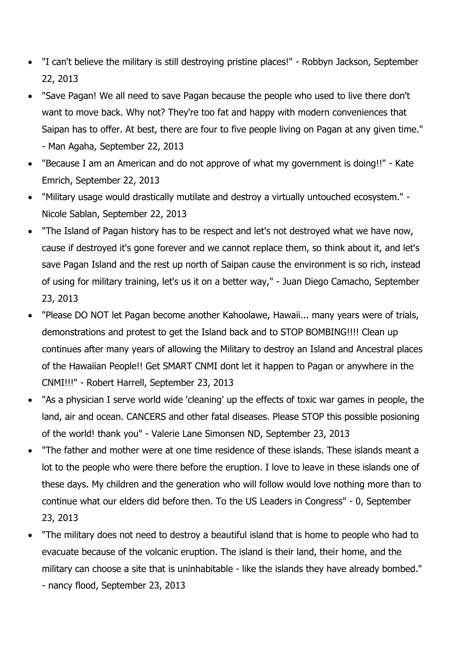- "I can't believe the military is still destroying pristine places!" Robbyn Jackson, September 22, 2013
- "Save Pagan! We all need to save Pagan because the people who used to live there don't want to move back. Why not? They're too fat and happy with modern conveniences that Saipan has to offer. At best, there are four to five people living on Pagan at any given time." - Man Agaha, September 22, 2013
- "Because I am an American and do not approve of what my government is doing!!" Kate Emrich, September 22, 2013
- "Military usage would drastically mutilate and destroy a virtually untouched ecosystem." Nicole Sablan, September 22, 2013
- "The Island of Pagan history has to be respect and let's not destroyed what we have now, cause if destroyed it's gone forever and we cannot replace them, so think about it, and let's save Pagan Island and the rest up north of Saipan cause the environment is so rich, instead of using for military training, let's us it on a better way," - Juan Diego Camacho, September 23, 2013
- "Please DO NOT let Pagan become another Kahoolawe, Hawaii... many years were of trials, demonstrations and protest to get the Island back and to STOP BOMBING!!!! Clean up continues after many years of allowing the Military to destroy an Island and Ancestral places of the Hawaiian People!! Get SMART CNMI dont let it happen to Pagan or anywhere in the CNMI!!!" - Robert Harrell, September 23, 2013
- "As a physician I serve world wide 'cleaning' up the effects of toxic war games in people, the land, air and ocean. CANCERS and other fatal diseases. Please STOP this possible posioning of the world! thank you" - Valerie Lane Simonsen ND, September 23, 2013
- "The father and mother were at one time residence of these islands. These islands meant a lot to the people who were there before the eruption. I love to leave in these islands one of these days. My children and the generation who will follow would love nothing more than to continue what our elders did before then. To the US Leaders in Congress" - 0, September 23, 2013
- "The military does not need to destroy a beautiful island that is home to people who had to evacuate because of the volcanic eruption. The island is their land, their home, and the military can choose a site that is uninhabitable - like the islands they have already bombed." - nancy flood, September 23, 2013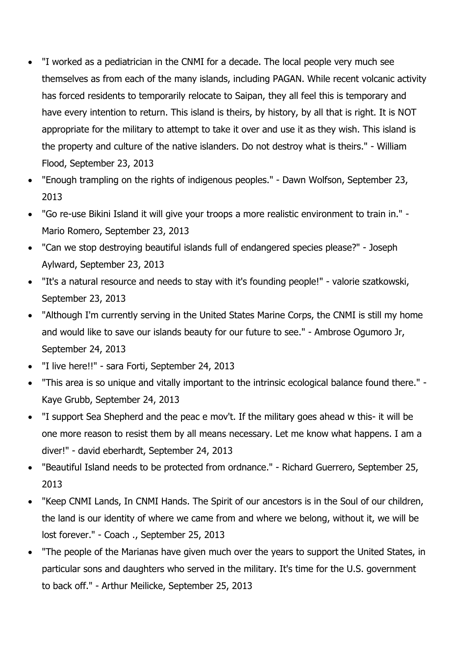- "I worked as a pediatrician in the CNMI for a decade. The local people very much see themselves as from each of the many islands, including PAGAN. While recent volcanic activity has forced residents to temporarily relocate to Saipan, they all feel this is temporary and have every intention to return. This island is theirs, by history, by all that is right. It is NOT appropriate for the military to attempt to take it over and use it as they wish. This island is the property and culture of the native islanders. Do not destroy what is theirs." - William Flood, September 23, 2013
- "Enough trampling on the rights of indigenous peoples." Dawn Wolfson, September 23, 2013
- "Go re-use Bikini Island it will give your troops a more realistic environment to train in." Mario Romero, September 23, 2013
- "Can we stop destroying beautiful islands full of endangered species please?" Joseph Aylward, September 23, 2013
- "It's a natural resource and needs to stay with it's founding people!" valorie szatkowski, September 23, 2013
- "Although I'm currently serving in the United States Marine Corps, the CNMI is still my home and would like to save our islands beauty for our future to see." - Ambrose Ogumoro Jr, September 24, 2013
- "I live here!!" sara Forti, September 24, 2013
- "This area is so unique and vitally important to the intrinsic ecological balance found there." Kaye Grubb, September 24, 2013
- "I support Sea Shepherd and the peac e mov't. If the military goes ahead w this- it will be one more reason to resist them by all means necessary. Let me know what happens. I am a diver!" - david eberhardt, September 24, 2013
- "Beautiful Island needs to be protected from ordnance." Richard Guerrero, September 25, 2013
- "Keep CNMI Lands, In CNMI Hands. The Spirit of our ancestors is in the Soul of our children, the land is our identity of where we came from and where we belong, without it, we will be lost forever." - Coach ., September 25, 2013
- "The people of the Marianas have given much over the years to support the United States, in particular sons and daughters who served in the military. It's time for the U.S. government to back off." - Arthur Meilicke, September 25, 2013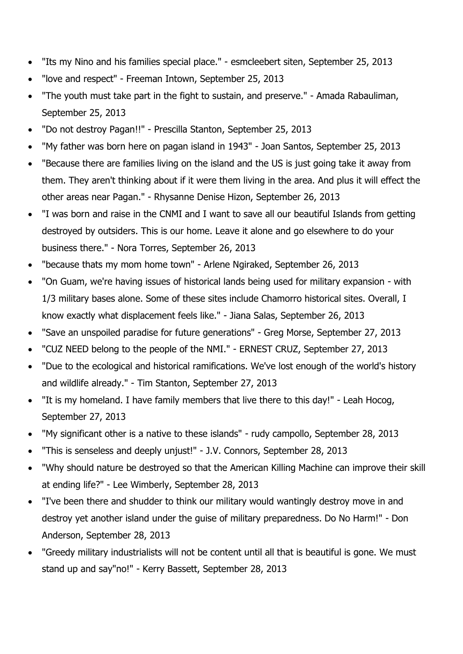- "Its my Nino and his families special place." esmcleebert siten, September 25, 2013
- "love and respect" Freeman Intown, September 25, 2013
- "The youth must take part in the fight to sustain, and preserve." Amada Rabauliman, September 25, 2013
- "Do not destroy Pagan!!" Prescilla Stanton, September 25, 2013
- "My father was born here on pagan island in 1943" Joan Santos, September 25, 2013
- "Because there are families living on the island and the US is just going take it away from them. They aren't thinking about if it were them living in the area. And plus it will effect the other areas near Pagan." - Rhysanne Denise Hizon, September 26, 2013
- "I was born and raise in the CNMI and I want to save all our beautiful Islands from getting destroyed by outsiders. This is our home. Leave it alone and go elsewhere to do your business there." - Nora Torres, September 26, 2013
- "because thats my mom home town" Arlene Ngiraked, September 26, 2013
- "On Guam, we're having issues of historical lands being used for military expansion with 1/3 military bases alone. Some of these sites include Chamorro historical sites. Overall, I know exactly what displacement feels like." - Jiana Salas, September 26, 2013
- "Save an unspoiled paradise for future generations" Greg Morse, September 27, 2013
- "CUZ NEED belong to the people of the NMI." ERNEST CRUZ, September 27, 2013
- "Due to the ecological and historical ramifications. We've lost enough of the world's history and wildlife already." - Tim Stanton, September 27, 2013
- "It is my homeland. I have family members that live there to this day!" Leah Hocog, September 27, 2013
- "My significant other is a native to these islands" rudy campollo, September 28, 2013
- "This is senseless and deeply unjust!" J.V. Connors, September 28, 2013
- "Why should nature be destroyed so that the American Killing Machine can improve their skill at ending life?" - Lee Wimberly, September 28, 2013
- "I've been there and shudder to think our military would wantingly destroy move in and destroy yet another island under the guise of military preparedness. Do No Harm!" - Don Anderson, September 28, 2013
- "Greedy military industrialists will not be content until all that is beautiful is gone. We must stand up and say"no!" - Kerry Bassett, September 28, 2013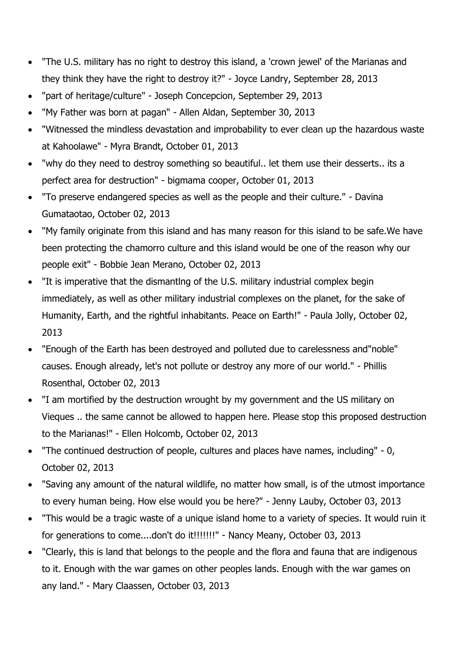- "The U.S. military has no right to destroy this island, a 'crown jewel' of the Marianas and they think they have the right to destroy it?" - Joyce Landry, September 28, 2013
- "part of heritage/culture" Joseph Concepcion, September 29, 2013
- "My Father was born at pagan" Allen Aldan, September 30, 2013
- "Witnessed the mindless devastation and improbability to ever clean up the hazardous waste at Kahoolawe" - Myra Brandt, October 01, 2013
- "why do they need to destroy something so beautiful.. let them use their desserts.. its a perfect area for destruction" - bigmama cooper, October 01, 2013
- "To preserve endangered species as well as the people and their culture." Davina Gumataotao, October 02, 2013
- "My family originate from this island and has many reason for this island to be safe.We have been protecting the chamorro culture and this island would be one of the reason why our people exit" - Bobbie Jean Merano, October 02, 2013
- "It is imperative that the dismantlng of the U.S. military industrial complex begin immediately, as well as other military industrial complexes on the planet, for the sake of Humanity, Earth, and the rightful inhabitants. Peace on Earth!" - Paula Jolly, October 02, 2013
- "Enough of the Earth has been destroyed and polluted due to carelessness and"noble" causes. Enough already, let's not pollute or destroy any more of our world." - Phillis Rosenthal, October 02, 2013
- "I am mortified by the destruction wrought by my government and the US military on Vieques .. the same cannot be allowed to happen here. Please stop this proposed destruction to the Marianas!" - Ellen Holcomb, October 02, 2013
- "The continued destruction of people, cultures and places have names, including" 0, October 02, 2013
- "Saving any amount of the natural wildlife, no matter how small, is of the utmost importance to every human being. How else would you be here?" - Jenny Lauby, October 03, 2013
- "This would be a tragic waste of a unique island home to a variety of species. It would ruin it for generations to come....don't do it!!!!!!!" - Nancy Meany, October 03, 2013
- "Clearly, this is land that belongs to the people and the flora and fauna that are indigenous to it. Enough with the war games on other peoples lands. Enough with the war games on any land." - Mary Claassen, October 03, 2013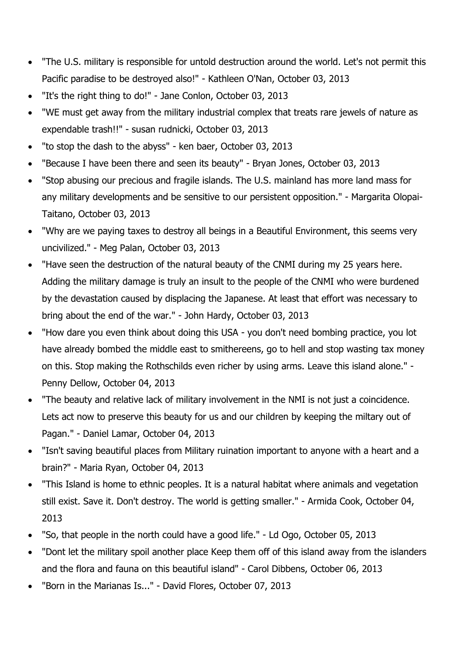- "The U.S. military is responsible for untold destruction around the world. Let's not permit this Pacific paradise to be destroyed also!" - Kathleen O'Nan, October 03, 2013
- "It's the right thing to do!" Jane Conlon, October 03, 2013
- "WE must get away from the military industrial complex that treats rare jewels of nature as expendable trash!!" - susan rudnicki, October 03, 2013
- "to stop the dash to the abyss" ken baer, October 03, 2013
- "Because I have been there and seen its beauty" Bryan Jones, October 03, 2013
- "Stop abusing our precious and fragile islands. The U.S. mainland has more land mass for any military developments and be sensitive to our persistent opposition." - Margarita Olopai-Taitano, October 03, 2013
- "Why are we paying taxes to destroy all beings in a Beautiful Environment, this seems very uncivilized." - Meg Palan, October 03, 2013
- "Have seen the destruction of the natural beauty of the CNMI during my 25 years here. Adding the military damage is truly an insult to the people of the CNMI who were burdened by the devastation caused by displacing the Japanese. At least that effort was necessary to bring about the end of the war." - John Hardy, October 03, 2013
- "How dare you even think about doing this USA you don't need bombing practice, you lot have already bombed the middle east to smithereens, go to hell and stop wasting tax money on this. Stop making the Rothschilds even richer by using arms. Leave this island alone." - Penny Dellow, October 04, 2013
- "The beauty and relative lack of military involvement in the NMI is not just a coincidence. Lets act now to preserve this beauty for us and our children by keeping the miltary out of Pagan." - Daniel Lamar, October 04, 2013
- "Isn't saving beautiful places from Military ruination important to anyone with a heart and a brain?" - Maria Ryan, October 04, 2013
- "This Island is home to ethnic peoples. It is a natural habitat where animals and vegetation still exist. Save it. Don't destroy. The world is getting smaller." - Armida Cook, October 04, 2013
- "So, that people in the north could have a good life." Ld Ogo, October 05, 2013
- "Dont let the military spoil another place Keep them off of this island away from the islanders and the flora and fauna on this beautiful island" - Carol Dibbens, October 06, 2013
- "Born in the Marianas Is..." David Flores, October 07, 2013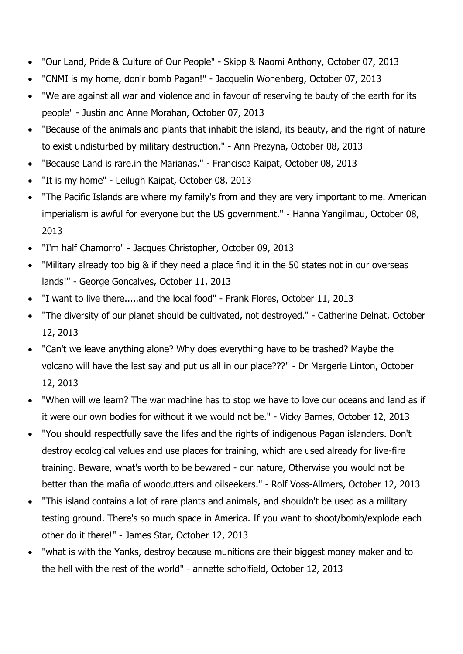- "Our Land, Pride & Culture of Our People" Skipp & Naomi Anthony, October 07, 2013
- "CNMI is my home, don'r bomb Pagan!" Jacquelin Wonenberg, October 07, 2013
- "We are against all war and violence and in favour of reserving te bauty of the earth for its people" - Justin and Anne Morahan, October 07, 2013
- "Because of the animals and plants that inhabit the island, its beauty, and the right of nature to exist undisturbed by military destruction." - Ann Prezyna, October 08, 2013
- "Because Land is rare.in the Marianas." Francisca Kaipat, October 08, 2013
- "It is my home" Leilugh Kaipat, October 08, 2013
- "The Pacific Islands are where my family's from and they are very important to me. American imperialism is awful for everyone but the US government." - Hanna Yangilmau, October 08, 2013
- "I'm half Chamorro" Jacques Christopher, October 09, 2013
- "Military already too big & if they need a place find it in the 50 states not in our overseas lands!" - George Goncalves, October 11, 2013
- "I want to live there.....and the local food" Frank Flores, October 11, 2013
- "The diversity of our planet should be cultivated, not destroyed." Catherine Delnat, October 12, 2013
- "Can't we leave anything alone? Why does everything have to be trashed? Maybe the volcano will have the last say and put us all in our place???" - Dr Margerie Linton, October 12, 2013
- "When will we learn? The war machine has to stop we have to love our oceans and land as if it were our own bodies for without it we would not be." - Vicky Barnes, October 12, 2013
- "You should respectfully save the lifes and the rights of indigenous Pagan islanders. Don't destroy ecological values and use places for training, which are used already for live-fire training. Beware, what's worth to be bewared - our nature, Otherwise you would not be better than the mafia of woodcutters and oilseekers." - Rolf Voss-Allmers, October 12, 2013
- "This island contains a lot of rare plants and animals, and shouldn't be used as a military testing ground. There's so much space in America. If you want to shoot/bomb/explode each other do it there!" - James Star, October 12, 2013
- "what is with the Yanks, destroy because munitions are their biggest money maker and to the hell with the rest of the world" - annette scholfield, October 12, 2013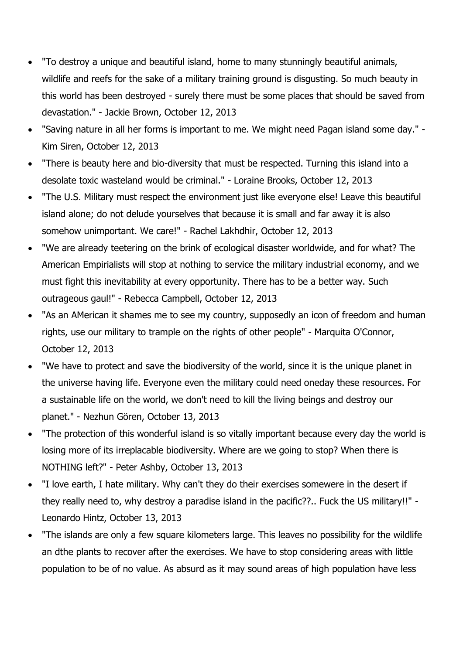- "To destroy a unique and beautiful island, home to many stunningly beautiful animals, wildlife and reefs for the sake of a military training ground is disgusting. So much beauty in this world has been destroyed - surely there must be some places that should be saved from devastation." - Jackie Brown, October 12, 2013
- "Saving nature in all her forms is important to me. We might need Pagan island some day." Kim Siren, October 12, 2013
- "There is beauty here and bio-diversity that must be respected. Turning this island into a desolate toxic wasteland would be criminal." - Loraine Brooks, October 12, 2013
- "The U.S. Military must respect the environment just like everyone else! Leave this beautiful island alone; do not delude yourselves that because it is small and far away it is also somehow unimportant. We care!" - Rachel Lakhdhir, October 12, 2013
- "We are already teetering on the brink of ecological disaster worldwide, and for what? The American Empirialists will stop at nothing to service the military industrial economy, and we must fight this inevitability at every opportunity. There has to be a better way. Such outrageous gaul!" - Rebecca Campbell, October 12, 2013
- "As an AMerican it shames me to see my country, supposedly an icon of freedom and human rights, use our military to trample on the rights of other people" - Marquita O'Connor, October 12, 2013
- "We have to protect and save the biodiversity of the world, since it is the unique planet in the universe having life. Everyone even the military could need oneday these resources. For a sustainable life on the world, we don't need to kill the living beings and destroy our planet." - Nezhun Gören, October 13, 2013
- "The protection of this wonderful island is so vitally important because every day the world is losing more of its irreplacable biodiversity. Where are we going to stop? When there is NOTHING left?" - Peter Ashby, October 13, 2013
- "I love earth, I hate military. Why can't they do their exercises somewere in the desert if they really need to, why destroy a paradise island in the pacific??.. Fuck the US military!!" - Leonardo Hintz, October 13, 2013
- "The islands are only a few square kilometers large. This leaves no possibility for the wildlife an dthe plants to recover after the exercises. We have to stop considering areas with little population to be of no value. As absurd as it may sound areas of high population have less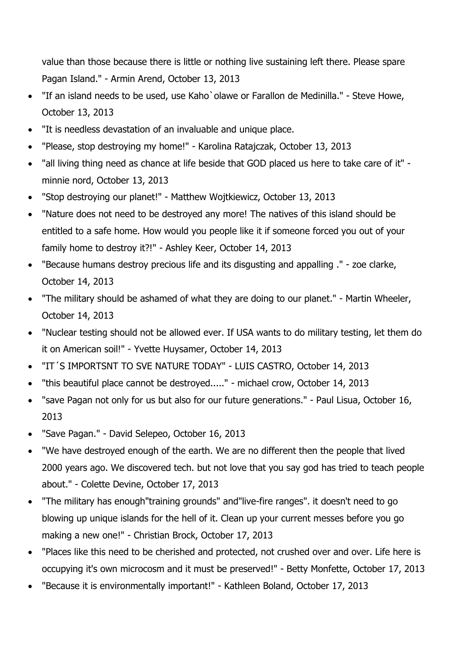value than those because there is little or nothing live sustaining left there. Please spare Pagan Island." - Armin Arend, October 13, 2013

- "If an island needs to be used, use Kaho`olawe or Farallon de Medinilla." Steve Howe, October 13, 2013
- "It is needless devastation of an invaluable and unique place.
- "Please, stop destroying my home!" Karolina Ratajczak, October 13, 2013
- "all living thing need as chance at life beside that GOD placed us here to take care of it" minnie nord, October 13, 2013
- "Stop destroying our planet!" Matthew Wojtkiewicz, October 13, 2013
- "Nature does not need to be destroyed any more! The natives of this island should be entitled to a safe home. How would you people like it if someone forced you out of your family home to destroy it?!" - Ashley Keer, October 14, 2013
- "Because humans destroy precious life and its disgusting and appalling ." zoe clarke, October 14, 2013
- "The military should be ashamed of what they are doing to our planet." Martin Wheeler, October 14, 2013
- "Nuclear testing should not be allowed ever. If USA wants to do military testing, let them do it on American soil!" - Yvette Huysamer, October 14, 2013
- "IT´S IMPORTSNT TO SVE NATURE TODAY" LUIS CASTRO, October 14, 2013
- "this beautiful place cannot be destroyed....." michael crow, October 14, 2013
- "save Pagan not only for us but also for our future generations." Paul Lisua, October 16, 2013
- "Save Pagan." David Selepeo, October 16, 2013
- "We have destroyed enough of the earth. We are no different then the people that lived 2000 years ago. We discovered tech. but not love that you say god has tried to teach people about." - Colette Devine, October 17, 2013
- "The military has enough"training grounds" and"live-fire ranges". it doesn't need to go blowing up unique islands for the hell of it. Clean up your current messes before you go making a new one!" - Christian Brock, October 17, 2013
- "Places like this need to be cherished and protected, not crushed over and over. Life here is occupying it's own microcosm and it must be preserved!" - Betty Monfette, October 17, 2013
- "Because it is environmentally important!" Kathleen Boland, October 17, 2013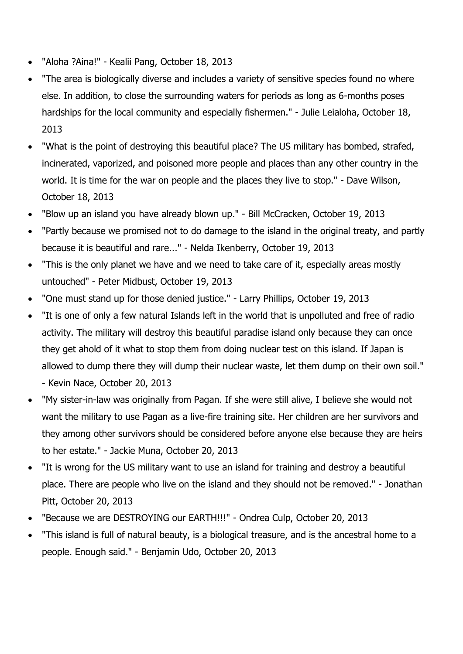- "Aloha ?Aina!" Kealii Pang, October 18, 2013
- "The area is biologically diverse and includes a variety of sensitive species found no where else. In addition, to close the surrounding waters for periods as long as 6-months poses hardships for the local community and especially fishermen." - Julie Leialoha, October 18, 2013
- "What is the point of destroying this beautiful place? The US military has bombed, strafed, incinerated, vaporized, and poisoned more people and places than any other country in the world. It is time for the war on people and the places they live to stop." - Dave Wilson, October 18, 2013
- "Blow up an island you have already blown up." Bill McCracken, October 19, 2013
- "Partly because we promised not to do damage to the island in the original treaty, and partly because it is beautiful and rare..." - Nelda Ikenberry, October 19, 2013
- "This is the only planet we have and we need to take care of it, especially areas mostly untouched" - Peter Midbust, October 19, 2013
- "One must stand up for those denied justice." Larry Phillips, October 19, 2013
- "It is one of only a few natural Islands left in the world that is unpolluted and free of radio activity. The military will destroy this beautiful paradise island only because they can once they get ahold of it what to stop them from doing nuclear test on this island. If Japan is allowed to dump there they will dump their nuclear waste, let them dump on their own soil." - Kevin Nace, October 20, 2013
- "My sister-in-law was originally from Pagan. If she were still alive, I believe she would not want the military to use Pagan as a live-fire training site. Her children are her survivors and they among other survivors should be considered before anyone else because they are heirs to her estate." - Jackie Muna, October 20, 2013
- "It is wrong for the US military want to use an island for training and destroy a beautiful place. There are people who live on the island and they should not be removed." - Jonathan Pitt, October 20, 2013
- "Because we are DESTROYING our EARTH!!!" Ondrea Culp, October 20, 2013
- "This island is full of natural beauty, is a biological treasure, and is the ancestral home to a people. Enough said." - Benjamin Udo, October 20, 2013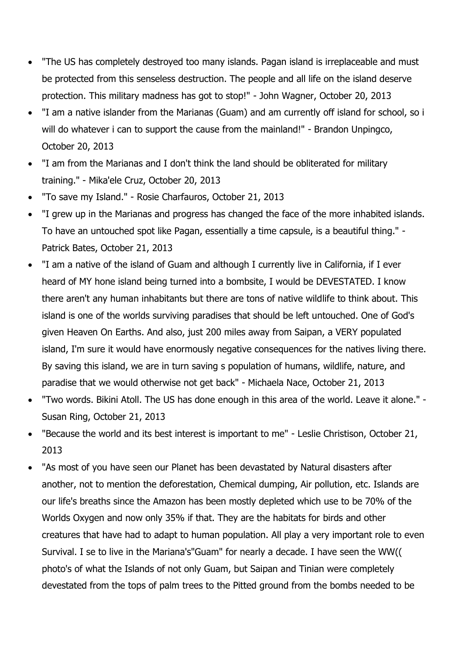- "The US has completely destroyed too many islands. Pagan island is irreplaceable and must be protected from this senseless destruction. The people and all life on the island deserve protection. This military madness has got to stop!" - John Wagner, October 20, 2013
- "I am a native islander from the Marianas (Guam) and am currently off island for school, so i will do whatever i can to support the cause from the mainland!" - Brandon Unpingco, October 20, 2013
- "I am from the Marianas and I don't think the land should be obliterated for military training." - Mika'ele Cruz, October 20, 2013
- "To save my Island." Rosie Charfauros, October 21, 2013
- "I grew up in the Marianas and progress has changed the face of the more inhabited islands. To have an untouched spot like Pagan, essentially a time capsule, is a beautiful thing." - Patrick Bates, October 21, 2013
- "I am a native of the island of Guam and although I currently live in California, if I ever heard of MY hone island being turned into a bombsite, I would be DEVESTATED. I know there aren't any human inhabitants but there are tons of native wildlife to think about. This island is one of the worlds surviving paradises that should be left untouched. One of God's given Heaven On Earths. And also, just 200 miles away from Saipan, a VERY populated island, I'm sure it would have enormously negative consequences for the natives living there. By saving this island, we are in turn saving s population of humans, wildlife, nature, and paradise that we would otherwise not get back" - Michaela Nace, October 21, 2013
- "Two words. Bikini Atoll. The US has done enough in this area of the world. Leave it alone." Susan Ring, October 21, 2013
- "Because the world and its best interest is important to me" Leslie Christison, October 21, 2013
- "As most of you have seen our Planet has been devastated by Natural disasters after another, not to mention the deforestation, Chemical dumping, Air pollution, etc. Islands are our life's breaths since the Amazon has been mostly depleted which use to be 70% of the Worlds Oxygen and now only 35% if that. They are the habitats for birds and other creatures that have had to adapt to human population. All play a very important role to even Survival. I se to live in the Mariana's"Guam" for nearly a decade. I have seen the WW(( photo's of what the Islands of not only Guam, but Saipan and Tinian were completely devestated from the tops of palm trees to the Pitted ground from the bombs needed to be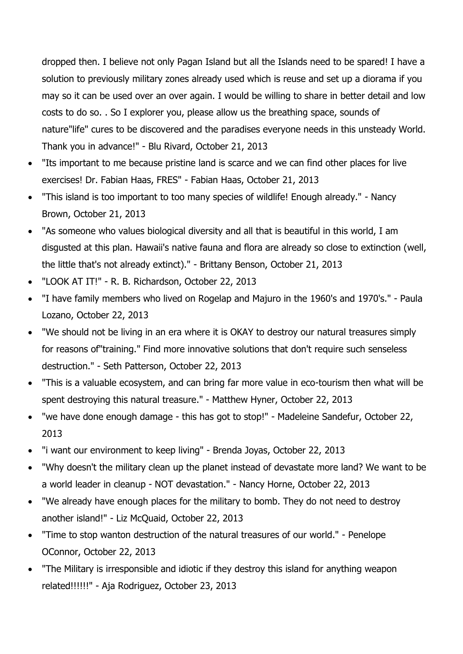dropped then. I believe not only Pagan Island but all the Islands need to be spared! I have a solution to previously military zones already used which is reuse and set up a diorama if you may so it can be used over an over again. I would be willing to share in better detail and low costs to do so. . So I explorer you, please allow us the breathing space, sounds of nature"life" cures to be discovered and the paradises everyone needs in this unsteady World. Thank you in advance!" - Blu Rivard, October 21, 2013

- "Its important to me because pristine land is scarce and we can find other places for live exercises! Dr. Fabian Haas, FRES" - Fabian Haas, October 21, 2013
- "This island is too important to too many species of wildlife! Enough already." Nancy Brown, October 21, 2013
- "As someone who values biological diversity and all that is beautiful in this world, I am disgusted at this plan. Hawaii's native fauna and flora are already so close to extinction (well, the little that's not already extinct)." - Brittany Benson, October 21, 2013
- "LOOK AT IT!" R. B. Richardson, October 22, 2013
- "I have family members who lived on Rogelap and Majuro in the 1960's and 1970's." Paula Lozano, October 22, 2013
- "We should not be living in an era where it is OKAY to destroy our natural treasures simply for reasons of"training." Find more innovative solutions that don't require such senseless destruction." - Seth Patterson, October 22, 2013
- "This is a valuable ecosystem, and can bring far more value in eco-tourism then what will be spent destroying this natural treasure." - Matthew Hyner, October 22, 2013
- "we have done enough damage this has got to stop!" Madeleine Sandefur, October 22, 2013
- "i want our environment to keep living" Brenda Joyas, October 22, 2013
- "Why doesn't the military clean up the planet instead of devastate more land? We want to be a world leader in cleanup - NOT devastation." - Nancy Horne, October 22, 2013
- "We already have enough places for the military to bomb. They do not need to destroy another island!" - Liz McQuaid, October 22, 2013
- "Time to stop wanton destruction of the natural treasures of our world." Penelope OConnor, October 22, 2013
- "The Military is irresponsible and idiotic if they destroy this island for anything weapon related!!!!!!" - Aja Rodriguez, October 23, 2013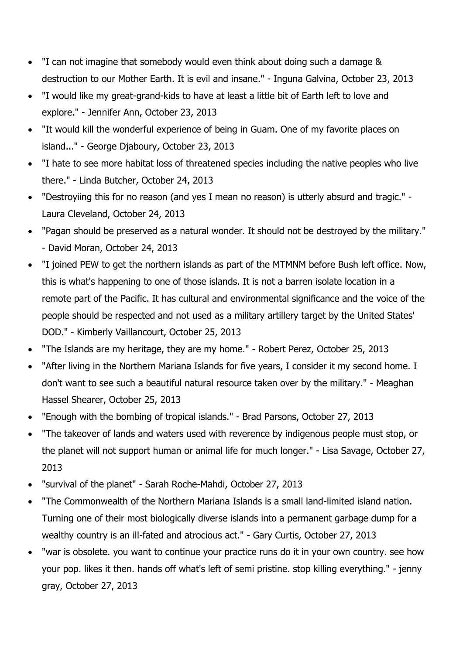- "I can not imagine that somebody would even think about doing such a damage & destruction to our Mother Earth. It is evil and insane." - Inguna Galvina, October 23, 2013
- "I would like my great-grand-kids to have at least a little bit of Earth left to love and explore." - Jennifer Ann, October 23, 2013
- "It would kill the wonderful experience of being in Guam. One of my favorite places on island..." - George Djaboury, October 23, 2013
- "I hate to see more habitat loss of threatened species including the native peoples who live there." - Linda Butcher, October 24, 2013
- "Destroyiing this for no reason (and yes I mean no reason) is utterly absurd and tragic." Laura Cleveland, October 24, 2013
- "Pagan should be preserved as a natural wonder. It should not be destroyed by the military." - David Moran, October 24, 2013
- "I joined PEW to get the northern islands as part of the MTMNM before Bush left office. Now, this is what's happening to one of those islands. It is not a barren isolate location in a remote part of the Pacific. It has cultural and environmental significance and the voice of the people should be respected and not used as a military artillery target by the United States' DOD." - Kimberly Vaillancourt, October 25, 2013
- "The Islands are my heritage, they are my home." Robert Perez, October 25, 2013
- "After living in the Northern Mariana Islands for five years, I consider it my second home. I don't want to see such a beautiful natural resource taken over by the military." - Meaghan Hassel Shearer, October 25, 2013
- "Enough with the bombing of tropical islands." Brad Parsons, October 27, 2013
- "The takeover of lands and waters used with reverence by indigenous people must stop, or the planet will not support human or animal life for much longer." - Lisa Savage, October 27, 2013
- "survival of the planet" Sarah Roche-Mahdi, October 27, 2013
- "The Commonwealth of the Northern Mariana Islands is a small land-limited island nation. Turning one of their most biologically diverse islands into a permanent garbage dump for a wealthy country is an ill-fated and atrocious act." - Gary Curtis, October 27, 2013
- "war is obsolete. you want to continue your practice runs do it in your own country. see how your pop. likes it then. hands off what's left of semi pristine. stop killing everything." - jenny gray, October 27, 2013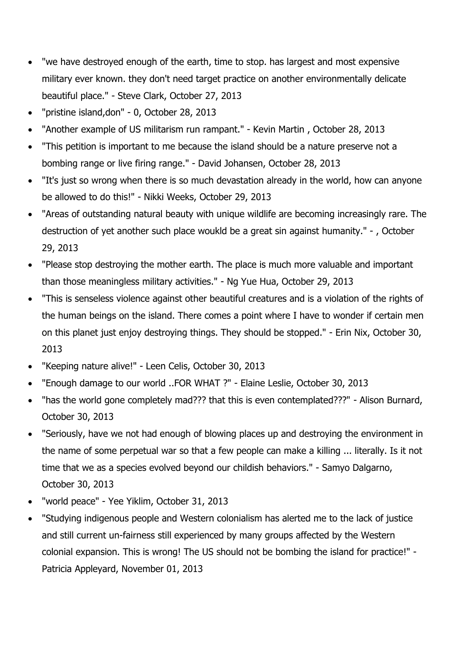- "we have destroyed enough of the earth, time to stop. has largest and most expensive military ever known. they don't need target practice on another environmentally delicate beautiful place." - Steve Clark, October 27, 2013
- "pristine island,don" 0, October 28, 2013
- "Another example of US militarism run rampant." Kevin Martin , October 28, 2013
- "This petition is important to me because the island should be a nature preserve not a bombing range or live firing range." - David Johansen, October 28, 2013
- "It's just so wrong when there is so much devastation already in the world, how can anyone be allowed to do this!" - Nikki Weeks, October 29, 2013
- "Areas of outstanding natural beauty with unique wildlife are becoming increasingly rare. The destruction of yet another such place woukld be a great sin against humanity." - , October 29, 2013
- "Please stop destroying the mother earth. The place is much more valuable and important than those meaningless military activities." - Ng Yue Hua, October 29, 2013
- "This is senseless violence against other beautiful creatures and is a violation of the rights of the human beings on the island. There comes a point where I have to wonder if certain men on this planet just enjoy destroying things. They should be stopped." - Erin Nix, October 30, 2013
- "Keeping nature alive!" Leen Celis, October 30, 2013
- "Enough damage to our world ..FOR WHAT ?" Elaine Leslie, October 30, 2013
- "has the world gone completely mad??? that this is even contemplated???" Alison Burnard, October 30, 2013
- "Seriously, have we not had enough of blowing places up and destroying the environment in the name of some perpetual war so that a few people can make a killing ... literally. Is it not time that we as a species evolved beyond our childish behaviors." - Samyo Dalgarno, October 30, 2013
- "world peace" Yee Yiklim, October 31, 2013
- "Studying indigenous people and Western colonialism has alerted me to the lack of justice and still current un-fairness still experienced by many groups affected by the Western colonial expansion. This is wrong! The US should not be bombing the island for practice!" - Patricia Appleyard, November 01, 2013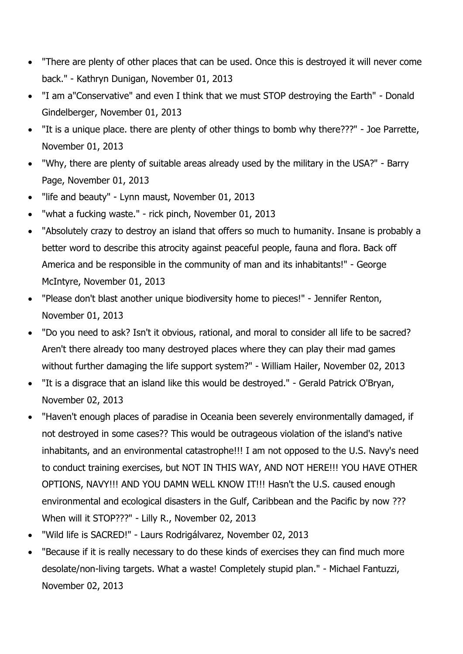- "There are plenty of other places that can be used. Once this is destroyed it will never come back." - Kathryn Dunigan, November 01, 2013
- "I am a"Conservative" and even I think that we must STOP destroying the Earth" Donald Gindelberger, November 01, 2013
- "It is a unique place. there are plenty of other things to bomb why there???" Joe Parrette, November 01, 2013
- "Why, there are plenty of suitable areas already used by the military in the USA?" Barry Page, November 01, 2013
- "life and beauty" Lynn maust, November 01, 2013
- "what a fucking waste." rick pinch, November 01, 2013
- "Absolutely crazy to destroy an island that offers so much to humanity. Insane is probably a better word to describe this atrocity against peaceful people, fauna and flora. Back off America and be responsible in the community of man and its inhabitants!" - George McIntyre, November 01, 2013
- "Please don't blast another unique biodiversity home to pieces!" Jennifer Renton, November 01, 2013
- "Do you need to ask? Isn't it obvious, rational, and moral to consider all life to be sacred? Aren't there already too many destroyed places where they can play their mad games without further damaging the life support system?" - William Hailer, November 02, 2013
- "It is a disgrace that an island like this would be destroyed." Gerald Patrick O'Bryan, November 02, 2013
- "Haven't enough places of paradise in Oceania been severely environmentally damaged, if not destroyed in some cases?? This would be outrageous violation of the island's native inhabitants, and an environmental catastrophe!!! I am not opposed to the U.S. Navy's need to conduct training exercises, but NOT IN THIS WAY, AND NOT HERE!!! YOU HAVE OTHER OPTIONS, NAVY!!! AND YOU DAMN WELL KNOW IT!!! Hasn't the U.S. caused enough environmental and ecological disasters in the Gulf, Caribbean and the Pacific by now ??? When will it STOP???" - Lilly R., November 02, 2013
- "Wild life is SACRED!" Laurs Rodrigálvarez, November 02, 2013
- "Because if it is really necessary to do these kinds of exercises they can find much more desolate/non-living targets. What a waste! Completely stupid plan." - Michael Fantuzzi, November 02, 2013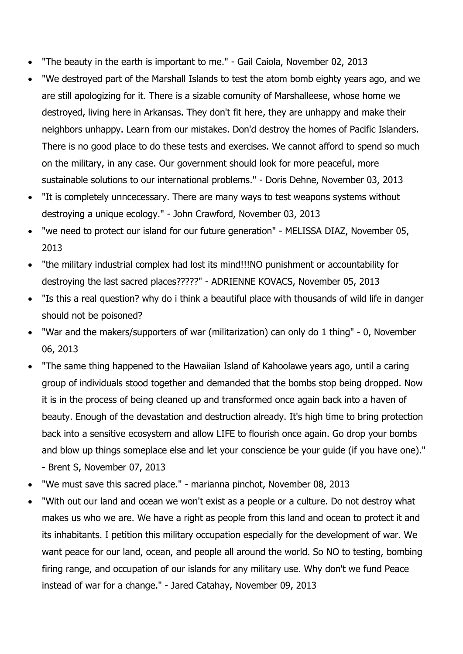- "The beauty in the earth is important to me." Gail Caiola, November 02, 2013
- "We destroyed part of the Marshall Islands to test the atom bomb eighty years ago, and we are still apologizing for it. There is a sizable comunity of Marshalleese, whose home we destroyed, living here in Arkansas. They don't fit here, they are unhappy and make their neighbors unhappy. Learn from our mistakes. Don'd destroy the homes of Pacific Islanders. There is no good place to do these tests and exercises. We cannot afford to spend so much on the military, in any case. Our government should look for more peaceful, more sustainable solutions to our international problems." - Doris Dehne, November 03, 2013
- "It is completely unncecessary. There are many ways to test weapons systems without destroying a unique ecology." - John Crawford, November 03, 2013
- "we need to protect our island for our future generation" MELISSA DIAZ, November 05, 2013
- "the military industrial complex had lost its mind!!!NO punishment or accountability for destroying the last sacred places?????" - ADRIENNE KOVACS, November 05, 2013
- "Is this a real question? why do i think a beautiful place with thousands of wild life in danger should not be poisoned?
- "War and the makers/supporters of war (militarization) can only do 1 thing" 0, November 06, 2013
- "The same thing happened to the Hawaiian Island of Kahoolawe years ago, until a caring group of individuals stood together and demanded that the bombs stop being dropped. Now it is in the process of being cleaned up and transformed once again back into a haven of beauty. Enough of the devastation and destruction already. It's high time to bring protection back into a sensitive ecosystem and allow LIFE to flourish once again. Go drop your bombs and blow up things someplace else and let your conscience be your guide (if you have one)." - Brent S, November 07, 2013
- "We must save this sacred place." marianna pinchot, November 08, 2013
- "With out our land and ocean we won't exist as a people or a culture. Do not destroy what makes us who we are. We have a right as people from this land and ocean to protect it and its inhabitants. I petition this military occupation especially for the development of war. We want peace for our land, ocean, and people all around the world. So NO to testing, bombing firing range, and occupation of our islands for any military use. Why don't we fund Peace instead of war for a change." - Jared Catahay, November 09, 2013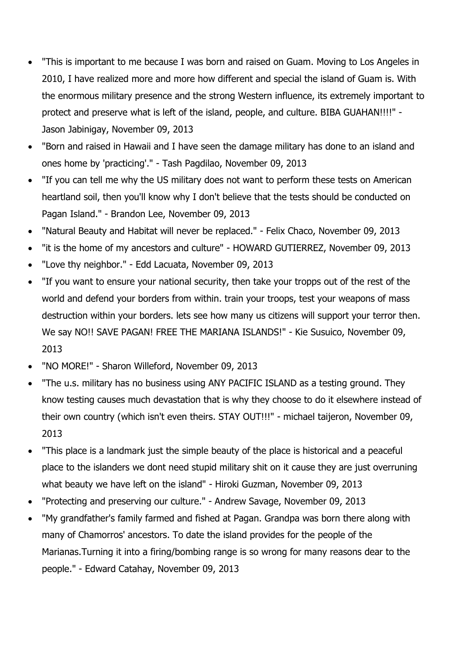- "This is important to me because I was born and raised on Guam. Moving to Los Angeles in 2010, I have realized more and more how different and special the island of Guam is. With the enormous military presence and the strong Western influence, its extremely important to protect and preserve what is left of the island, people, and culture. BIBA GUAHAN!!!!" - Jason Jabinigay, November 09, 2013
- "Born and raised in Hawaii and I have seen the damage military has done to an island and ones home by 'practicing'." - Tash Pagdilao, November 09, 2013
- "If you can tell me why the US military does not want to perform these tests on American heartland soil, then you'll know why I don't believe that the tests should be conducted on Pagan Island." - Brandon Lee, November 09, 2013
- "Natural Beauty and Habitat will never be replaced." Felix Chaco, November 09, 2013
- "it is the home of my ancestors and culture" HOWARD GUTIERREZ, November 09, 2013
- "Love thy neighbor." Edd Lacuata, November 09, 2013
- "If you want to ensure your national security, then take your tropps out of the rest of the world and defend your borders from within. train your troops, test your weapons of mass destruction within your borders. lets see how many us citizens will support your terror then. We say NO!! SAVE PAGAN! FREE THE MARIANA ISLANDS!" - Kie Susuico, November 09, 2013
- "NO MORE!" Sharon Willeford, November 09, 2013
- "The u.s. military has no business using ANY PACIFIC ISLAND as a testing ground. They know testing causes much devastation that is why they choose to do it elsewhere instead of their own country (which isn't even theirs. STAY OUT!!!" - michael taijeron, November 09, 2013
- "This place is a landmark just the simple beauty of the place is historical and a peaceful place to the islanders we dont need stupid military shit on it cause they are just overruning what beauty we have left on the island" - Hiroki Guzman, November 09, 2013
- "Protecting and preserving our culture." Andrew Savage, November 09, 2013
- "My grandfather's family farmed and fished at Pagan. Grandpa was born there along with many of Chamorros' ancestors. To date the island provides for the people of the Marianas.Turning it into a firing/bombing range is so wrong for many reasons dear to the people." - Edward Catahay, November 09, 2013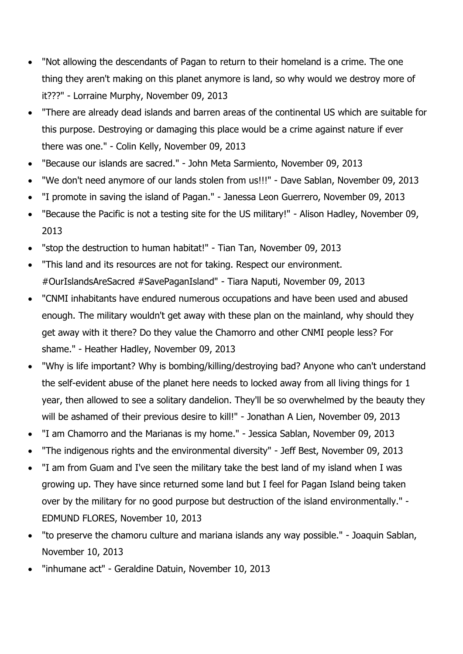- "Not allowing the descendants of Pagan to return to their homeland is a crime. The one thing they aren't making on this planet anymore is land, so why would we destroy more of it???" - Lorraine Murphy, November 09, 2013
- "There are already dead islands and barren areas of the continental US which are suitable for this purpose. Destroying or damaging this place would be a crime against nature if ever there was one." - Colin Kelly, November 09, 2013
- "Because our islands are sacred." John Meta Sarmiento, November 09, 2013
- "We don't need anymore of our lands stolen from us!!!" Dave Sablan, November 09, 2013
- "I promote in saving the island of Pagan." Janessa Leon Guerrero, November 09, 2013
- "Because the Pacific is not a testing site for the US military!" Alison Hadley, November 09, 2013
- "stop the destruction to human habitat!" Tian Tan, November 09, 2013
- "This land and its resources are not for taking. Respect our environment. #OurIslandsAreSacred #SavePaganIsland" - Tiara Naputi, November 09, 2013
- "CNMI inhabitants have endured numerous occupations and have been used and abused enough. The military wouldn't get away with these plan on the mainland, why should they get away with it there? Do they value the Chamorro and other CNMI people less? For shame." - Heather Hadley, November 09, 2013
- "Why is life important? Why is bombing/killing/destroying bad? Anyone who can't understand the self-evident abuse of the planet here needs to locked away from all living things for 1 year, then allowed to see a solitary dandelion. They'll be so overwhelmed by the beauty they will be ashamed of their previous desire to kill!" - Jonathan A Lien, November 09, 2013
- "I am Chamorro and the Marianas is my home." Jessica Sablan, November 09, 2013
- "The indigenous rights and the environmental diversity" Jeff Best, November 09, 2013
- "I am from Guam and I've seen the military take the best land of my island when I was growing up. They have since returned some land but I feel for Pagan Island being taken over by the military for no good purpose but destruction of the island environmentally." - EDMUND FLORES, November 10, 2013
- "to preserve the chamoru culture and mariana islands any way possible." Joaquin Sablan, November 10, 2013
- "inhumane act" Geraldine Datuin, November 10, 2013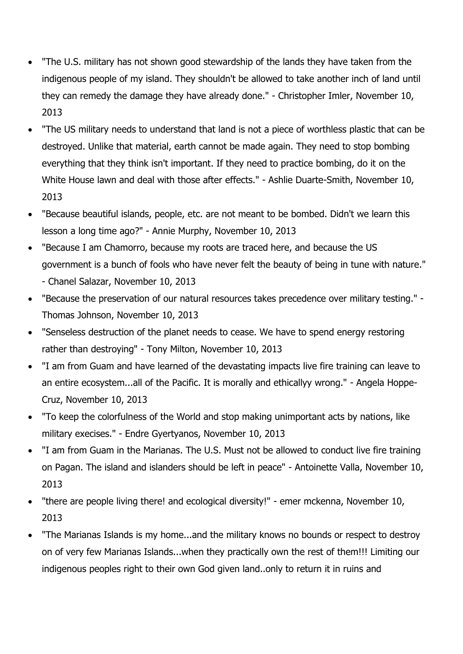- "The U.S. military has not shown good stewardship of the lands they have taken from the indigenous people of my island. They shouldn't be allowed to take another inch of land until they can remedy the damage they have already done." - Christopher Imler, November 10, 2013
- "The US military needs to understand that land is not a piece of worthless plastic that can be destroyed. Unlike that material, earth cannot be made again. They need to stop bombing everything that they think isn't important. If they need to practice bombing, do it on the White House lawn and deal with those after effects." - Ashlie Duarte-Smith, November 10, 2013
- "Because beautiful islands, people, etc. are not meant to be bombed. Didn't we learn this lesson a long time ago?" - Annie Murphy, November 10, 2013
- "Because I am Chamorro, because my roots are traced here, and because the US government is a bunch of fools who have never felt the beauty of being in tune with nature." - Chanel Salazar, November 10, 2013
- "Because the preservation of our natural resources takes precedence over military testing." Thomas Johnson, November 10, 2013
- "Senseless destruction of the planet needs to cease. We have to spend energy restoring rather than destroying" - Tony Milton, November 10, 2013
- "I am from Guam and have learned of the devastating impacts live fire training can leave to an entire ecosystem...all of the Pacific. It is morally and ethicallyy wrong." - Angela Hoppe-Cruz, November 10, 2013
- "To keep the colorfulness of the World and stop making unimportant acts by nations, like military execises." - Endre Gyertyanos, November 10, 2013
- "I am from Guam in the Marianas. The U.S. Must not be allowed to conduct live fire training on Pagan. The island and islanders should be left in peace" - Antoinette Valla, November 10, 2013
- "there are people living there! and ecological diversity!" emer mckenna, November 10, 2013
- "The Marianas Islands is my home...and the military knows no bounds or respect to destroy on of very few Marianas Islands...when they practically own the rest of them!!! Limiting our indigenous peoples right to their own God given land..only to return it in ruins and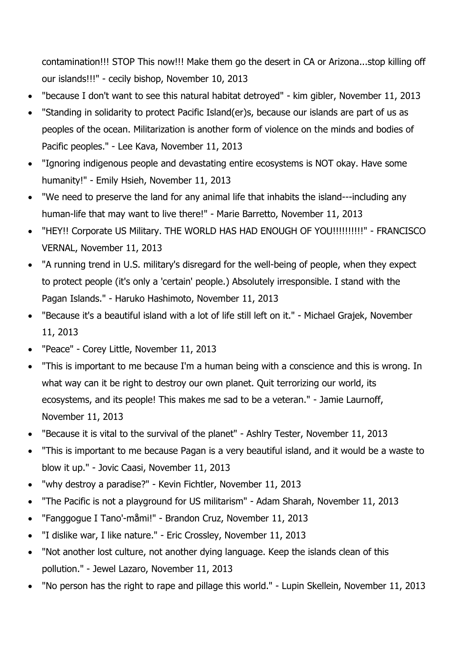contamination!!! STOP This now!!! Make them go the desert in CA or Arizona...stop killing off our islands!!!" - cecily bishop, November 10, 2013

- "because I don't want to see this natural habitat detroyed" kim gibler, November 11, 2013
- "Standing in solidarity to protect Pacific Island(er)s, because our islands are part of us as peoples of the ocean. Militarization is another form of violence on the minds and bodies of Pacific peoples." - Lee Kava, November 11, 2013
- "Ignoring indigenous people and devastating entire ecosystems is NOT okay. Have some humanity!" - Emily Hsieh, November 11, 2013
- "We need to preserve the land for any animal life that inhabits the island---including any human-life that may want to live there!" - Marie Barretto, November 11, 2013
- "HEY!! Corporate US Military. THE WORLD HAS HAD ENOUGH OF YOU!!!!!!!!!!" FRANCISCO VERNAL, November 11, 2013
- "A running trend in U.S. military's disregard for the well-being of people, when they expect to protect people (it's only a 'certain' people.) Absolutely irresponsible. I stand with the Pagan Islands." - Haruko Hashimoto, November 11, 2013
- "Because it's a beautiful island with a lot of life still left on it." Michael Grajek, November 11, 2013
- "Peace" Corey Little, November 11, 2013
- "This is important to me because I'm a human being with a conscience and this is wrong. In what way can it be right to destroy our own planet. Quit terrorizing our world, its ecosystems, and its people! This makes me sad to be a veteran." - Jamie Laurnoff, November 11, 2013
- "Because it is vital to the survival of the planet" Ashlry Tester, November 11, 2013
- "This is important to me because Pagan is a very beautiful island, and it would be a waste to blow it up." - Jovic Caasi, November 11, 2013
- "why destroy a paradise?" Kevin Fichtler, November 11, 2013
- "The Pacific is not a playground for US militarism" Adam Sharah, November 11, 2013
- "Fanggogue I Tano'-måmi!" Brandon Cruz, November 11, 2013
- "I dislike war, I like nature." Eric Crossley, November 11, 2013
- "Not another lost culture, not another dying language. Keep the islands clean of this pollution." - Jewel Lazaro, November 11, 2013
- "No person has the right to rape and pillage this world." Lupin Skellein, November 11, 2013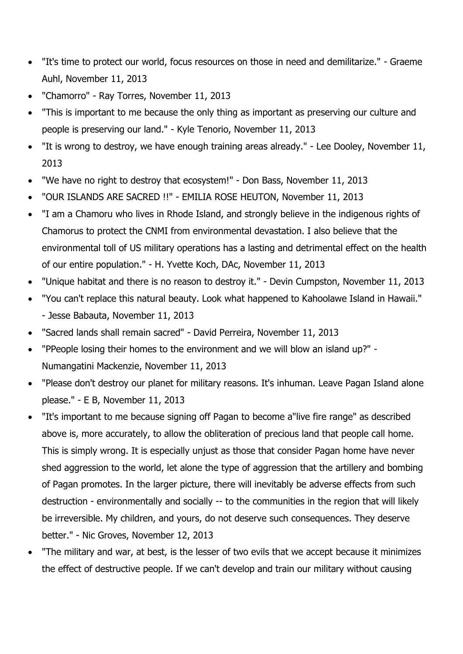- "It's time to protect our world, focus resources on those in need and demilitarize." Graeme Auhl, November 11, 2013
- "Chamorro" Ray Torres, November 11, 2013
- "This is important to me because the only thing as important as preserving our culture and people is preserving our land." - Kyle Tenorio, November 11, 2013
- "It is wrong to destroy, we have enough training areas already." Lee Dooley, November 11, 2013
- "We have no right to destroy that ecosystem!" Don Bass, November 11, 2013
- "OUR ISLANDS ARE SACRED !!" EMILIA ROSE HEUTON, November 11, 2013
- "I am a Chamoru who lives in Rhode Island, and strongly believe in the indigenous rights of Chamorus to protect the CNMI from environmental devastation. I also believe that the environmental toll of US military operations has a lasting and detrimental effect on the health of our entire population." - H. Yvette Koch, DAc, November 11, 2013
- "Unique habitat and there is no reason to destroy it." Devin Cumpston, November 11, 2013
- "You can't replace this natural beauty. Look what happened to Kahoolawe Island in Hawaii." - Jesse Babauta, November 11, 2013
- "Sacred lands shall remain sacred" David Perreira, November 11, 2013
- "PPeople losing their homes to the environment and we will blow an island up?" Numangatini Mackenzie, November 11, 2013
- "Please don't destroy our planet for military reasons. It's inhuman. Leave Pagan Island alone please." - E B, November 11, 2013
- "It's important to me because signing off Pagan to become a"live fire range" as described above is, more accurately, to allow the obliteration of precious land that people call home. This is simply wrong. It is especially unjust as those that consider Pagan home have never shed aggression to the world, let alone the type of aggression that the artillery and bombing of Pagan promotes. In the larger picture, there will inevitably be adverse effects from such destruction - environmentally and socially -- to the communities in the region that will likely be irreversible. My children, and yours, do not deserve such consequences. They deserve better." - Nic Groves, November 12, 2013
- "The military and war, at best, is the lesser of two evils that we accept because it minimizes the effect of destructive people. If we can't develop and train our military without causing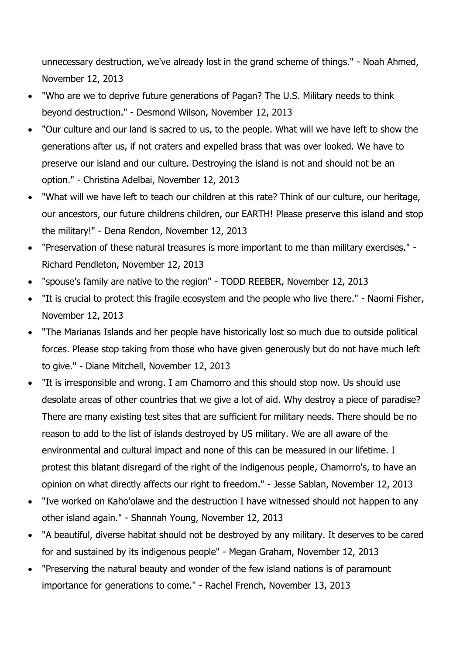unnecessary destruction, we've already lost in the grand scheme of things." - Noah Ahmed, November 12, 2013

- "Who are we to deprive future generations of Pagan? The U.S. Military needs to think beyond destruction." - Desmond Wilson, November 12, 2013
- "Our culture and our land is sacred to us, to the people. What will we have left to show the generations after us, if not craters and expelled brass that was over looked. We have to preserve our island and our culture. Destroying the island is not and should not be an option." - Christina Adelbai, November 12, 2013
- "What will we have left to teach our children at this rate? Think of our culture, our heritage, our ancestors, our future childrens children, our EARTH! Please preserve this island and stop the military!" - Dena Rendon, November 12, 2013
- "Preservation of these natural treasures is more important to me than military exercises." Richard Pendleton, November 12, 2013
- "spouse's family are native to the region" TODD REEBER, November 12, 2013
- "It is crucial to protect this fragile ecosystem and the people who live there." Naomi Fisher, November 12, 2013
- "The Marianas Islands and her people have historically lost so much due to outside political forces. Please stop taking from those who have given generously but do not have much left to give." - Diane Mitchell, November 12, 2013
- "It is irresponsible and wrong. I am Chamorro and this should stop now. Us should use desolate areas of other countries that we give a lot of aid. Why destroy a piece of paradise? There are many existing test sites that are sufficient for military needs. There should be no reason to add to the list of islands destroyed by US military. We are all aware of the environmental and cultural impact and none of this can be measured in our lifetime. I protest this blatant disregard of the right of the indigenous people, Chamorro's, to have an opinion on what directly affects our right to freedom." - Jesse Sablan, November 12, 2013
- "Ive worked on Kaho'olawe and the destruction I have witnessed should not happen to any other island again." - Shannah Young, November 12, 2013
- "A beautiful, diverse habitat should not be destroyed by any military. It deserves to be cared for and sustained by its indigenous people" - Megan Graham, November 12, 2013
- "Preserving the natural beauty and wonder of the few island nations is of paramount importance for generations to come." - Rachel French, November 13, 2013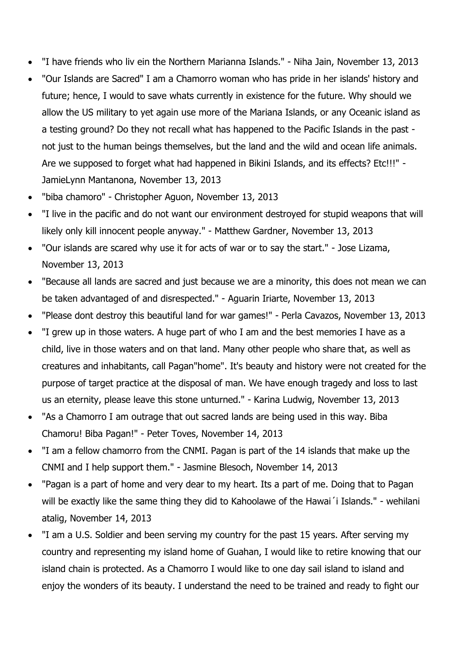- "I have friends who liv ein the Northern Marianna Islands." Niha Jain, November 13, 2013
- "Our Islands are Sacred" I am a Chamorro woman who has pride in her islands' history and future; hence, I would to save whats currently in existence for the future. Why should we allow the US military to yet again use more of the Mariana Islands, or any Oceanic island as a testing ground? Do they not recall what has happened to the Pacific Islands in the past not just to the human beings themselves, but the land and the wild and ocean life animals. Are we supposed to forget what had happened in Bikini Islands, and its effects? Etc!!!" - JamieLynn Mantanona, November 13, 2013
- "biba chamoro" Christopher Aguon, November 13, 2013
- "I live in the pacific and do not want our environment destroyed for stupid weapons that will likely only kill innocent people anyway." - Matthew Gardner, November 13, 2013
- "Our islands are scared why use it for acts of war or to say the start." Jose Lizama, November 13, 2013
- "Because all lands are sacred and just because we are a minority, this does not mean we can be taken advantaged of and disrespected." - Aguarin Iriarte, November 13, 2013
- "Please dont destroy this beautiful land for war games!" Perla Cavazos, November 13, 2013
- "I grew up in those waters. A huge part of who I am and the best memories I have as a child, live in those waters and on that land. Many other people who share that, as well as creatures and inhabitants, call Pagan"home". It's beauty and history were not created for the purpose of target practice at the disposal of man. We have enough tragedy and loss to last us an eternity, please leave this stone unturned." - Karina Ludwig, November 13, 2013
- "As a Chamorro I am outrage that out sacred lands are being used in this way. Biba Chamoru! Biba Pagan!" - Peter Toves, November 14, 2013
- "I am a fellow chamorro from the CNMI. Pagan is part of the 14 islands that make up the CNMI and I help support them." - Jasmine Blesoch, November 14, 2013
- "Pagan is a part of home and very dear to my heart. Its a part of me. Doing that to Pagan will be exactly like the same thing they did to Kahoolawe of the Hawai' i Islands." - wehilani atalig, November 14, 2013
- "I am a U.S. Soldier and been serving my country for the past 15 years. After serving my country and representing my island home of Guahan, I would like to retire knowing that our island chain is protected. As a Chamorro I would like to one day sail island to island and enjoy the wonders of its beauty. I understand the need to be trained and ready to fight our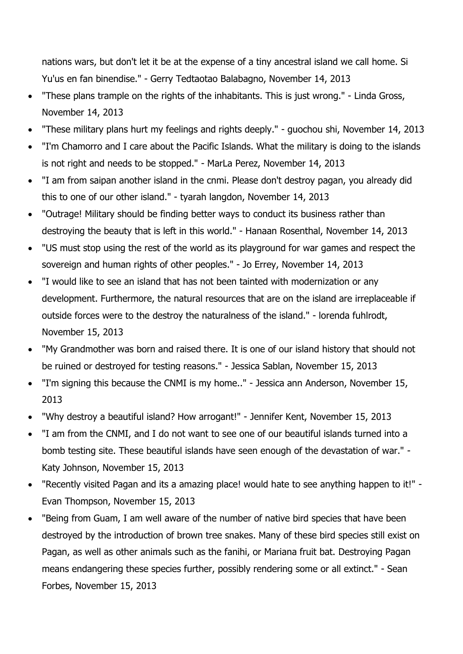nations wars, but don't let it be at the expense of a tiny ancestral island we call home. Si Yu'us en fan binendise." - Gerry Tedtaotao Balabagno, November 14, 2013

- "These plans trample on the rights of the inhabitants. This is just wrong." Linda Gross, November 14, 2013
- "These military plans hurt my feelings and rights deeply." guochou shi, November 14, 2013
- "I'm Chamorro and I care about the Pacific Islands. What the military is doing to the islands is not right and needs to be stopped." - MarLa Perez, November 14, 2013
- "I am from saipan another island in the cnmi. Please don't destroy pagan, you already did this to one of our other island." - tyarah langdon, November 14, 2013
- "Outrage! Military should be finding better ways to conduct its business rather than destroying the beauty that is left in this world." - Hanaan Rosenthal, November 14, 2013
- "US must stop using the rest of the world as its playground for war games and respect the sovereign and human rights of other peoples." - Jo Errey, November 14, 2013
- "I would like to see an island that has not been tainted with modernization or any development. Furthermore, the natural resources that are on the island are irreplaceable if outside forces were to the destroy the naturalness of the island." - lorenda fuhlrodt, November 15, 2013
- "My Grandmother was born and raised there. It is one of our island history that should not be ruined or destroyed for testing reasons." - Jessica Sablan, November 15, 2013
- "I'm signing this because the CNMI is my home.." Jessica ann Anderson, November 15, 2013
- "Why destroy a beautiful island? How arrogant!" Jennifer Kent, November 15, 2013
- "I am from the CNMI, and I do not want to see one of our beautiful islands turned into a bomb testing site. These beautiful islands have seen enough of the devastation of war." - Katy Johnson, November 15, 2013
- "Recently visited Pagan and its a amazing place! would hate to see anything happen to it!" Evan Thompson, November 15, 2013
- "Being from Guam, I am well aware of the number of native bird species that have been destroyed by the introduction of brown tree snakes. Many of these bird species still exist on Pagan, as well as other animals such as the fanihi, or Mariana fruit bat. Destroying Pagan means endangering these species further, possibly rendering some or all extinct." - Sean Forbes, November 15, 2013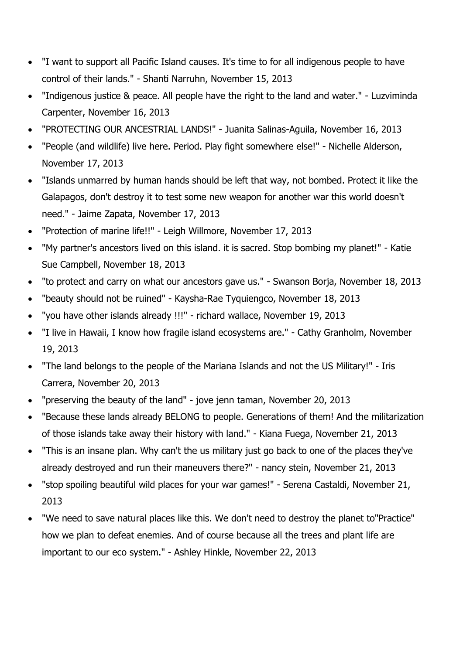- "I want to support all Pacific Island causes. It's time to for all indigenous people to have control of their lands." - Shanti Narruhn, November 15, 2013
- "Indigenous justice & peace. All people have the right to the land and water." Luzviminda Carpenter, November 16, 2013
- "PROTECTING OUR ANCESTRIAL LANDS!" Juanita Salinas-Aguila, November 16, 2013
- "People (and wildlife) live here. Period. Play fight somewhere else!" Nichelle Alderson, November 17, 2013
- "Islands unmarred by human hands should be left that way, not bombed. Protect it like the Galapagos, don't destroy it to test some new weapon for another war this world doesn't need." - Jaime Zapata, November 17, 2013
- "Protection of marine life!!" Leigh Willmore, November 17, 2013
- "My partner's ancestors lived on this island. it is sacred. Stop bombing my planet!" Katie Sue Campbell, November 18, 2013
- "to protect and carry on what our ancestors gave us." Swanson Borja, November 18, 2013
- "beauty should not be ruined" Kaysha-Rae Tyquiengco, November 18, 2013
- "you have other islands already !!!" richard wallace, November 19, 2013
- "I live in Hawaii, I know how fragile island ecosystems are." Cathy Granholm, November 19, 2013
- "The land belongs to the people of the Mariana Islands and not the US Military!" Iris Carrera, November 20, 2013
- "preserving the beauty of the land" jove jenn taman, November 20, 2013
- "Because these lands already BELONG to people. Generations of them! And the militarization of those islands take away their history with land." - Kiana Fuega, November 21, 2013
- "This is an insane plan. Why can't the us military just go back to one of the places they've already destroyed and run their maneuvers there?" - nancy stein, November 21, 2013
- "stop spoiling beautiful wild places for your war games!" Serena Castaldi, November 21, 2013
- "We need to save natural places like this. We don't need to destroy the planet to"Practice" how we plan to defeat enemies. And of course because all the trees and plant life are important to our eco system." - Ashley Hinkle, November 22, 2013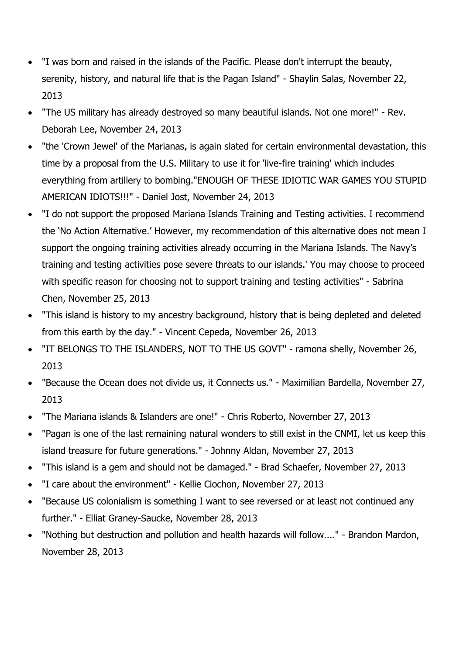- "I was born and raised in the islands of the Pacific. Please don't interrupt the beauty, serenity, history, and natural life that is the Pagan Island" - Shaylin Salas, November 22, 2013
- "The US military has already destroyed so many beautiful islands. Not one more!" Rev. Deborah Lee, November 24, 2013
- "the 'Crown Jewel' of the Marianas, is again slated for certain environmental devastation, this time by a proposal from the U.S. Military to use it for 'live-fire training' which includes everything from artillery to bombing."ENOUGH OF THESE IDIOTIC WAR GAMES YOU STUPID AMERICAN IDIOTS!!!" - Daniel Jost, November 24, 2013
- "I do not support the proposed Mariana Islands Training and Testing activities. I recommend the 'No Action Alternative.' However, my recommendation of this alternative does not mean I support the ongoing training activities already occurring in the Mariana Islands. The Navy's training and testing activities pose severe threats to our islands.' You may choose to proceed with specific reason for choosing not to support training and testing activities" - Sabrina Chen, November 25, 2013
- "This island is history to my ancestry background, history that is being depleted and deleted from this earth by the day." - Vincent Cepeda, November 26, 2013
- "IT BELONGS TO THE ISLANDERS, NOT TO THE US GOVT" ramona shelly, November 26, 2013
- "Because the Ocean does not divide us, it Connects us." Maximilian Bardella, November 27, 2013
- "The Mariana islands & Islanders are one!" Chris Roberto, November 27, 2013
- "Pagan is one of the last remaining natural wonders to still exist in the CNMI, let us keep this island treasure for future generations." - Johnny Aldan, November 27, 2013
- "This island is a gem and should not be damaged." Brad Schaefer, November 27, 2013
- "I care about the environment" Kellie Ciochon, November 27, 2013
- "Because US colonialism is something I want to see reversed or at least not continued any further." - Elliat Graney-Saucke, November 28, 2013
- "Nothing but destruction and pollution and health hazards will follow...." Brandon Mardon, November 28, 2013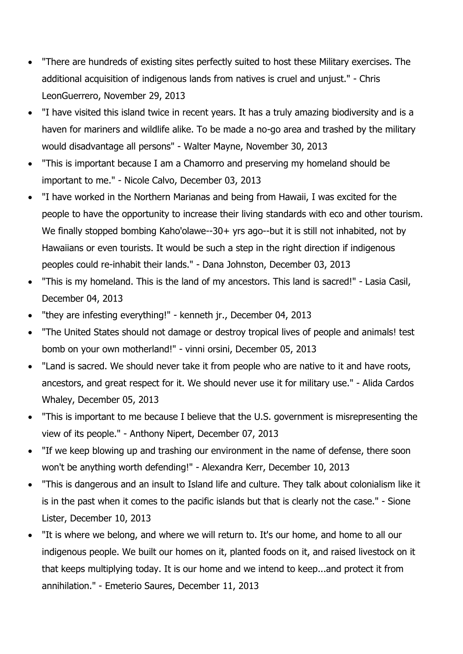- "There are hundreds of existing sites perfectly suited to host these Military exercises. The additional acquisition of indigenous lands from natives is cruel and unjust." - Chris LeonGuerrero, November 29, 2013
- "I have visited this island twice in recent years. It has a truly amazing biodiversity and is a haven for mariners and wildlife alike. To be made a no-go area and trashed by the military would disadvantage all persons" - Walter Mayne, November 30, 2013
- "This is important because I am a Chamorro and preserving my homeland should be important to me." - Nicole Calvo, December 03, 2013
- "I have worked in the Northern Marianas and being from Hawaii, I was excited for the people to have the opportunity to increase their living standards with eco and other tourism. We finally stopped bombing Kaho'olawe--30+ yrs ago--but it is still not inhabited, not by Hawaiians or even tourists. It would be such a step in the right direction if indigenous peoples could re-inhabit their lands." - Dana Johnston, December 03, 2013
- "This is my homeland. This is the land of my ancestors. This land is sacred!" Lasia Casil, December 04, 2013
- "they are infesting everything!" kenneth jr., December 04, 2013
- "The United States should not damage or destroy tropical lives of people and animals! test bomb on your own motherland!" - vinni orsini, December 05, 2013
- "Land is sacred. We should never take it from people who are native to it and have roots, ancestors, and great respect for it. We should never use it for military use." - Alida Cardos Whaley, December 05, 2013
- "This is important to me because I believe that the U.S. government is misrepresenting the view of its people." - Anthony Nipert, December 07, 2013
- "If we keep blowing up and trashing our environment in the name of defense, there soon won't be anything worth defending!" - Alexandra Kerr, December 10, 2013
- "This is dangerous and an insult to Island life and culture. They talk about colonialism like it is in the past when it comes to the pacific islands but that is clearly not the case." - Sione Lister, December 10, 2013
- "It is where we belong, and where we will return to. It's our home, and home to all our indigenous people. We built our homes on it, planted foods on it, and raised livestock on it that keeps multiplying today. It is our home and we intend to keep...and protect it from annihilation." - Emeterio Saures, December 11, 2013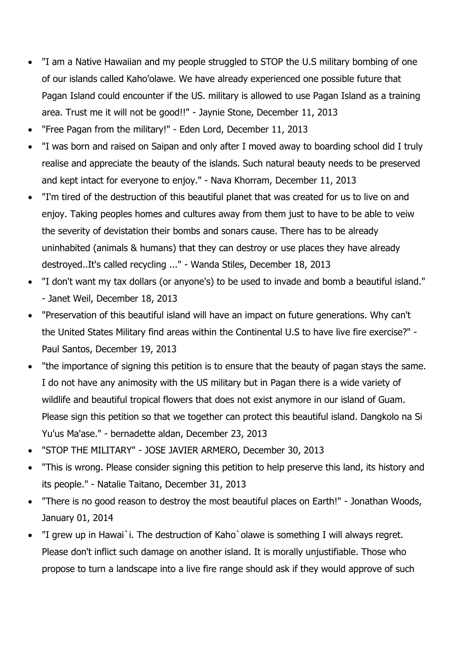- "I am a Native Hawaiian and my people struggled to STOP the U.S military bombing of one of our islands called Kaho'olawe. We have already experienced one possible future that Pagan Island could encounter if the US. military is allowed to use Pagan Island as a training area. Trust me it will not be good!!" - Jaynie Stone, December 11, 2013
- "Free Pagan from the military!" Eden Lord, December 11, 2013
- "I was born and raised on Saipan and only after I moved away to boarding school did I truly realise and appreciate the beauty of the islands. Such natural beauty needs to be preserved and kept intact for everyone to enjoy." - Nava Khorram, December 11, 2013
- "I'm tired of the destruction of this beautiful planet that was created for us to live on and enjoy. Taking peoples homes and cultures away from them just to have to be able to veiw the severity of devistation their bombs and sonars cause. There has to be already uninhabited (animals & humans) that they can destroy or use places they have already destroyed..It's called recycling ..." - Wanda Stiles, December 18, 2013
- "I don't want my tax dollars (or anyone's) to be used to invade and bomb a beautiful island." - Janet Weil, December 18, 2013
- "Preservation of this beautiful island will have an impact on future generations. Why can't the United States Military find areas within the Continental U.S to have live fire exercise?" - Paul Santos, December 19, 2013
- "the importance of signing this petition is to ensure that the beauty of pagan stays the same. I do not have any animosity with the US military but in Pagan there is a wide variety of wildlife and beautiful tropical flowers that does not exist anymore in our island of Guam. Please sign this petition so that we together can protect this beautiful island. Dangkolo na Si Yu'us Ma'ase." - bernadette aldan, December 23, 2013
- "STOP THE MILITARY" JOSE JAVIER ARMERO, December 30, 2013
- "This is wrong. Please consider signing this petition to help preserve this land, its history and its people." - Natalie Taitano, December 31, 2013
- "There is no good reason to destroy the most beautiful places on Earth!" Jonathan Woods, January 01, 2014
- "I grew up in Hawai`i. The destruction of Kaho`olawe is something I will always regret. Please don't inflict such damage on another island. It is morally unjustifiable. Those who propose to turn a landscape into a live fire range should ask if they would approve of such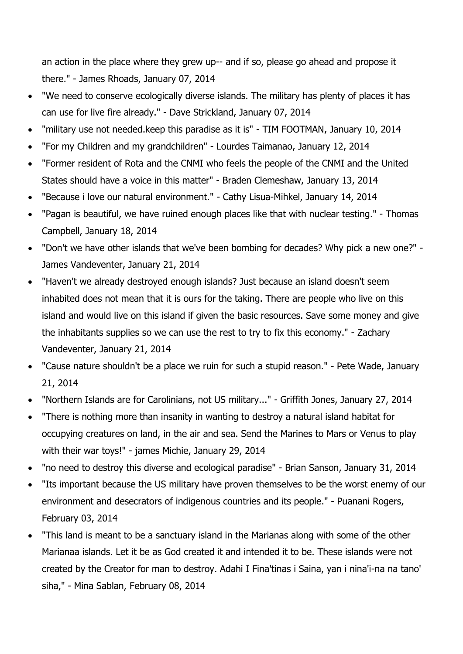an action in the place where they grew up-- and if so, please go ahead and propose it there." - James Rhoads, January 07, 2014

- "We need to conserve ecologically diverse islands. The military has plenty of places it has can use for live fire already." - Dave Strickland, January 07, 2014
- "military use not needed.keep this paradise as it is" TIM FOOTMAN, January 10, 2014
- "For my Children and my grandchildren" Lourdes Taimanao, January 12, 2014
- "Former resident of Rota and the CNMI who feels the people of the CNMI and the United States should have a voice in this matter" - Braden Clemeshaw, January 13, 2014
- "Because i love our natural environment." Cathy Lisua-Mihkel, January 14, 2014
- "Pagan is beautiful, we have ruined enough places like that with nuclear testing." Thomas Campbell, January 18, 2014
- "Don't we have other islands that we've been bombing for decades? Why pick a new one?" James Vandeventer, January 21, 2014
- "Haven't we already destroyed enough islands? Just because an island doesn't seem inhabited does not mean that it is ours for the taking. There are people who live on this island and would live on this island if given the basic resources. Save some money and give the inhabitants supplies so we can use the rest to try to fix this economy." - Zachary Vandeventer, January 21, 2014
- "Cause nature shouldn't be a place we ruin for such a stupid reason." Pete Wade, January 21, 2014
- "Northern Islands are for Carolinians, not US military..." Griffith Jones, January 27, 2014
- "There is nothing more than insanity in wanting to destroy a natural island habitat for occupying creatures on land, in the air and sea. Send the Marines to Mars or Venus to play with their war toys!" - james Michie, January 29, 2014
- "no need to destroy this diverse and ecological paradise" Brian Sanson, January 31, 2014
- "Its important because the US military have proven themselves to be the worst enemy of our environment and desecrators of indigenous countries and its people." - Puanani Rogers, February 03, 2014
- "This land is meant to be a sanctuary island in the Marianas along with some of the other Marianaa islands. Let it be as God created it and intended it to be. These islands were not created by the Creator for man to destroy. Adahi I Fina'tinas i Saina, yan i nina'i-na na tano' siha," - Mina Sablan, February 08, 2014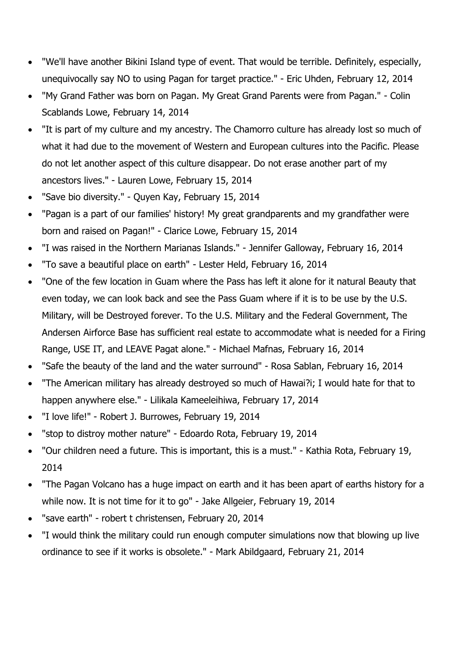- "We'll have another Bikini Island type of event. That would be terrible. Definitely, especially, unequivocally say NO to using Pagan for target practice." - Eric Uhden, February 12, 2014
- "My Grand Father was born on Pagan. My Great Grand Parents were from Pagan." Colin Scablands Lowe, February 14, 2014
- "It is part of my culture and my ancestry. The Chamorro culture has already lost so much of what it had due to the movement of Western and European cultures into the Pacific. Please do not let another aspect of this culture disappear. Do not erase another part of my ancestors lives." - Lauren Lowe, February 15, 2014
- "Save bio diversity." Quyen Kay, February 15, 2014
- "Pagan is a part of our families' history! My great grandparents and my grandfather were born and raised on Pagan!" - Clarice Lowe, February 15, 2014
- "I was raised in the Northern Marianas Islands." Jennifer Galloway, February 16, 2014
- "To save a beautiful place on earth" Lester Held, February 16, 2014
- "One of the few location in Guam where the Pass has left it alone for it natural Beauty that even today, we can look back and see the Pass Guam where if it is to be use by the U.S. Military, will be Destroyed forever. To the U.S. Military and the Federal Government, The Andersen Airforce Base has sufficient real estate to accommodate what is needed for a Firing Range, USE IT, and LEAVE Pagat alone." - Michael Mafnas, February 16, 2014
- "Safe the beauty of the land and the water surround" Rosa Sablan, February 16, 2014
- "The American military has already destroyed so much of Hawai?i; I would hate for that to happen anywhere else." - Lilikala Kameeleihiwa, February 17, 2014
- "I love life!" Robert J. Burrowes, February 19, 2014
- "stop to distroy mother nature" Edoardo Rota, February 19, 2014
- "Our children need a future. This is important, this is a must." Kathia Rota, February 19, 2014
- "The Pagan Volcano has a huge impact on earth and it has been apart of earths history for a while now. It is not time for it to go" - Jake Allgeier, February 19, 2014
- "save earth" robert t christensen, February 20, 2014
- "I would think the military could run enough computer simulations now that blowing up live ordinance to see if it works is obsolete." - Mark Abildgaard, February 21, 2014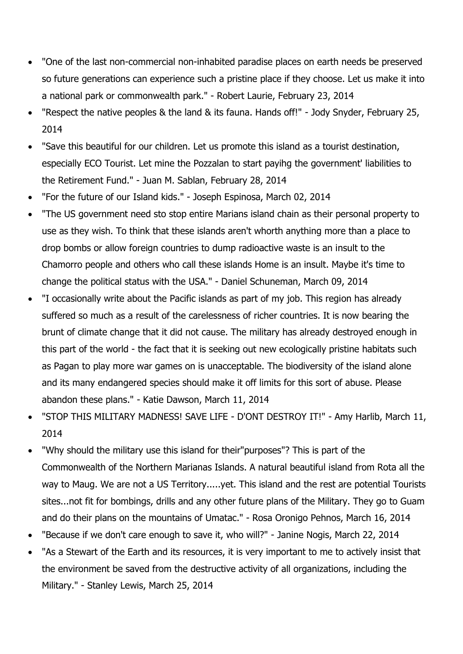- "One of the last non-commercial non-inhabited paradise places on earth needs be preserved so future generations can experience such a pristine place if they choose. Let us make it into a national park or commonwealth park." - Robert Laurie, February 23, 2014
- "Respect the native peoples & the land & its fauna. Hands off!" Jody Snyder, February 25, 2014
- "Save this beautiful for our children. Let us promote this island as a tourist destination, especially ECO Tourist. Let mine the Pozzalan to start payihg the government' liabilities to the Retirement Fund." - Juan M. Sablan, February 28, 2014
- "For the future of our Island kids." Joseph Espinosa, March 02, 2014
- "The US government need sto stop entire Marians island chain as their personal property to use as they wish. To think that these islands aren't whorth anything more than a place to drop bombs or allow foreign countries to dump radioactive waste is an insult to the Chamorro people and others who call these islands Home is an insult. Maybe it's time to change the political status with the USA." - Daniel Schuneman, March 09, 2014
- "I occasionally write about the Pacific islands as part of my job. This region has already suffered so much as a result of the carelessness of richer countries. It is now bearing the brunt of climate change that it did not cause. The military has already destroyed enough in this part of the world - the fact that it is seeking out new ecologically pristine habitats such as Pagan to play more war games on is unacceptable. The biodiversity of the island alone and its many endangered species should make it off limits for this sort of abuse. Please abandon these plans." - Katie Dawson, March 11, 2014
- "STOP THIS MILITARY MADNESS! SAVE LIFE D'ONT DESTROY IT!" Amy Harlib, March 11, 2014
- "Why should the military use this island for their"purposes"? This is part of the Commonwealth of the Northern Marianas Islands. A natural beautiful island from Rota all the way to Maug. We are not a US Territory.....yet. This island and the rest are potential Tourists sites...not fit for bombings, drills and any other future plans of the Military. They go to Guam and do their plans on the mountains of Umatac." - Rosa Oronigo Pehnos, March 16, 2014
- "Because if we don't care enough to save it, who will?" Janine Nogis, March 22, 2014
- "As a Stewart of the Earth and its resources, it is very important to me to actively insist that the environment be saved from the destructive activity of all organizations, including the Military." - Stanley Lewis, March 25, 2014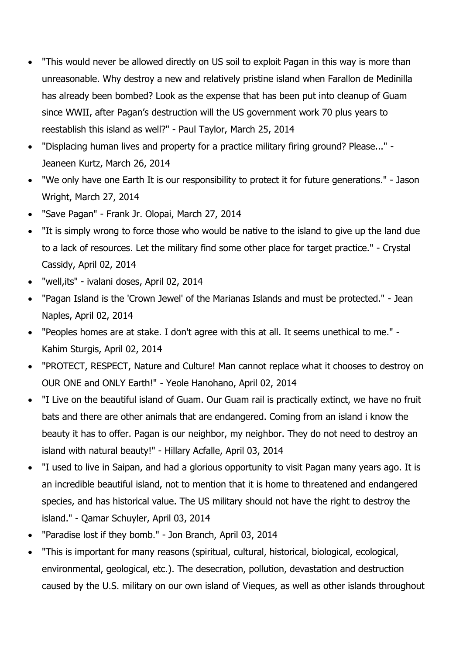- "This would never be allowed directly on US soil to exploit Pagan in this way is more than unreasonable. Why destroy a new and relatively pristine island when Farallon de Medinilla has already been bombed? Look as the expense that has been put into cleanup of Guam since WWII, after Pagan's destruction will the US government work 70 plus years to reestablish this island as well?" - Paul Taylor, March 25, 2014
- "Displacing human lives and property for a practice military firing ground? Please..." Jeaneen Kurtz, March 26, 2014
- "We only have one Earth It is our responsibility to protect it for future generations." Jason Wright, March 27, 2014
- "Save Pagan" Frank Jr. Olopai, March 27, 2014
- "It is simply wrong to force those who would be native to the island to give up the land due to a lack of resources. Let the military find some other place for target practice." - Crystal Cassidy, April 02, 2014
- "well,its" ivalani doses, April 02, 2014
- "Pagan Island is the 'Crown Jewel' of the Marianas Islands and must be protected." Jean Naples, April 02, 2014
- "Peoples homes are at stake. I don't agree with this at all. It seems unethical to me." Kahim Sturgis, April 02, 2014
- "PROTECT, RESPECT, Nature and Culture! Man cannot replace what it chooses to destroy on OUR ONE and ONLY Earth!" - Yeole Hanohano, April 02, 2014
- "I Live on the beautiful island of Guam. Our Guam rail is practically extinct, we have no fruit bats and there are other animals that are endangered. Coming from an island i know the beauty it has to offer. Pagan is our neighbor, my neighbor. They do not need to destroy an island with natural beauty!" - Hillary Acfalle, April 03, 2014
- "I used to live in Saipan, and had a glorious opportunity to visit Pagan many years ago. It is an incredible beautiful island, not to mention that it is home to threatened and endangered species, and has historical value. The US military should not have the right to destroy the island." - Qamar Schuyler, April 03, 2014
- "Paradise lost if they bomb." Jon Branch, April 03, 2014
- "This is important for many reasons (spiritual, cultural, historical, biological, ecological, environmental, geological, etc.). The desecration, pollution, devastation and destruction caused by the U.S. military on our own island of Vieques, as well as other islands throughout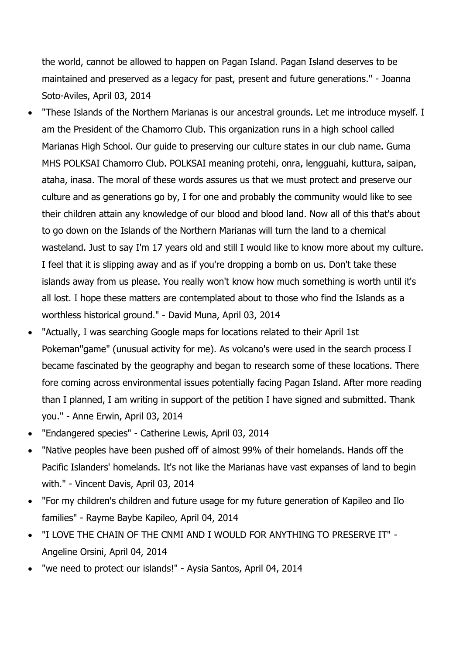the world, cannot be allowed to happen on Pagan Island. Pagan Island deserves to be maintained and preserved as a legacy for past, present and future generations." - Joanna Soto-Aviles, April 03, 2014

- "These Islands of the Northern Marianas is our ancestral grounds. Let me introduce myself. I am the President of the Chamorro Club. This organization runs in a high school called Marianas High School. Our guide to preserving our culture states in our club name. Guma MHS POLKSAI Chamorro Club. POLKSAI meaning protehi, onra, lengguahi, kuttura, saipan, ataha, inasa. The moral of these words assures us that we must protect and preserve our culture and as generations go by, I for one and probably the community would like to see their children attain any knowledge of our blood and blood land. Now all of this that's about to go down on the Islands of the Northern Marianas will turn the land to a chemical wasteland. Just to say I'm 17 years old and still I would like to know more about my culture. I feel that it is slipping away and as if you're dropping a bomb on us. Don't take these islands away from us please. You really won't know how much something is worth until it's all lost. I hope these matters are contemplated about to those who find the Islands as a worthless historical ground." - David Muna, April 03, 2014
- "Actually, I was searching Google maps for locations related to their April 1st Pokeman"game" (unusual activity for me). As volcano's were used in the search process I became fascinated by the geography and began to research some of these locations. There fore coming across environmental issues potentially facing Pagan Island. After more reading than I planned, I am writing in support of the petition I have signed and submitted. Thank you." - Anne Erwin, April 03, 2014
- "Endangered species" Catherine Lewis, April 03, 2014
- "Native peoples have been pushed off of almost 99% of their homelands. Hands off the Pacific Islanders' homelands. It's not like the Marianas have vast expanses of land to begin with." - Vincent Davis, April 03, 2014
- "For my children's children and future usage for my future generation of Kapileo and Ilo families" - Rayme Baybe Kapileo, April 04, 2014
- "I LOVE THE CHAIN OF THE CNMI AND I WOULD FOR ANYTHING TO PRESERVE IT" Angeline Orsini, April 04, 2014
- "we need to protect our islands!" Aysia Santos, April 04, 2014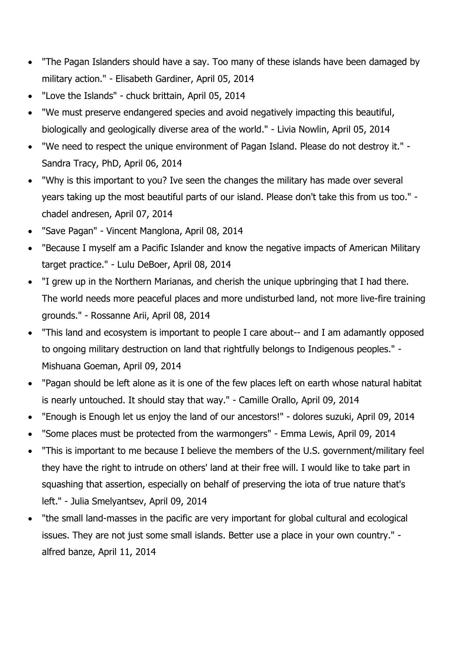- "The Pagan Islanders should have a say. Too many of these islands have been damaged by military action." - Elisabeth Gardiner, April 05, 2014
- "Love the Islands" chuck brittain, April 05, 2014
- "We must preserve endangered species and avoid negatively impacting this beautiful, biologically and geologically diverse area of the world." - Livia Nowlin, April 05, 2014
- "We need to respect the unique environment of Pagan Island. Please do not destroy it." Sandra Tracy, PhD, April 06, 2014
- "Why is this important to you? Ive seen the changes the military has made over several years taking up the most beautiful parts of our island. Please don't take this from us too." chadel andresen, April 07, 2014
- "Save Pagan" Vincent Manglona, April 08, 2014
- "Because I myself am a Pacific Islander and know the negative impacts of American Military target practice." - Lulu DeBoer, April 08, 2014
- "I grew up in the Northern Marianas, and cherish the unique upbringing that I had there. The world needs more peaceful places and more undisturbed land, not more live-fire training grounds." - Rossanne Arii, April 08, 2014
- "This land and ecosystem is important to people I care about-- and I am adamantly opposed to ongoing military destruction on land that rightfully belongs to Indigenous peoples." - Mishuana Goeman, April 09, 2014
- "Pagan should be left alone as it is one of the few places left on earth whose natural habitat is nearly untouched. It should stay that way." - Camille Orallo, April 09, 2014
- "Enough is Enough let us enjoy the land of our ancestors!" dolores suzuki, April 09, 2014
- "Some places must be protected from the warmongers" Emma Lewis, April 09, 2014
- "This is important to me because I believe the members of the U.S. government/military feel they have the right to intrude on others' land at their free will. I would like to take part in squashing that assertion, especially on behalf of preserving the iota of true nature that's left." - Julia Smelyantsev, April 09, 2014
- "the small land-masses in the pacific are very important for global cultural and ecological issues. They are not just some small islands. Better use a place in your own country." alfred banze, April 11, 2014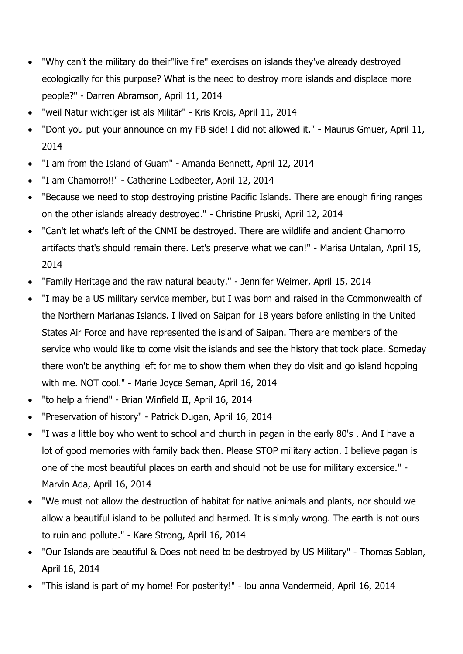- "Why can't the military do their"live fire" exercises on islands they've already destroyed ecologically for this purpose? What is the need to destroy more islands and displace more people?" - Darren Abramson, April 11, 2014
- "weil Natur wichtiger ist als Militär" Kris Krois, April 11, 2014
- "Dont you put your announce on my FB side! I did not allowed it." Maurus Gmuer, April 11, 2014
- "I am from the Island of Guam" Amanda Bennett, April 12, 2014
- "I am Chamorro!!" Catherine Ledbeeter, April 12, 2014
- "Because we need to stop destroying pristine Pacific Islands. There are enough firing ranges on the other islands already destroyed." - Christine Pruski, April 12, 2014
- "Can't let what's left of the CNMI be destroyed. There are wildlife and ancient Chamorro artifacts that's should remain there. Let's preserve what we can!" - Marisa Untalan, April 15, 2014
- "Family Heritage and the raw natural beauty." Jennifer Weimer, April 15, 2014
- "I may be a US military service member, but I was born and raised in the Commonwealth of the Northern Marianas Islands. I lived on Saipan for 18 years before enlisting in the United States Air Force and have represented the island of Saipan. There are members of the service who would like to come visit the islands and see the history that took place. Someday there won't be anything left for me to show them when they do visit and go island hopping with me. NOT cool." - Marie Joyce Seman, April 16, 2014
- "to help a friend" Brian Winfield II, April 16, 2014
- "Preservation of history" Patrick Dugan, April 16, 2014
- "I was a little boy who went to school and church in pagan in the early 80's . And I have a lot of good memories with family back then. Please STOP military action. I believe pagan is one of the most beautiful places on earth and should not be use for military excersice." - Marvin Ada, April 16, 2014
- "We must not allow the destruction of habitat for native animals and plants, nor should we allow a beautiful island to be polluted and harmed. It is simply wrong. The earth is not ours to ruin and pollute." - Kare Strong, April 16, 2014
- "Our Islands are beautiful & Does not need to be destroyed by US Military" Thomas Sablan, April 16, 2014
- "This island is part of my home! For posterity!" lou anna Vandermeid, April 16, 2014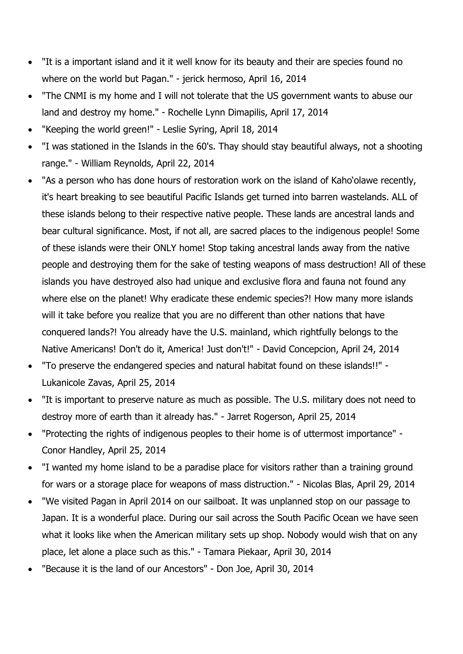- "It is a important island and it it well know for its beauty and their are species found no where on the world but Pagan." - jerick hermoso, April 16, 2014
- "The CNMI is my home and I will not tolerate that the US government wants to abuse our land and destroy my home." - Rochelle Lynn Dimapilis, April 17, 2014
- "Keeping the world green!" Leslie Syring, April 18, 2014
- "I was stationed in the Islands in the 60's. Thay should stay beautiful always, not a shooting range." - William Reynolds, April 22, 2014
- "As a person who has done hours of restoration work on the island of Kaho'olawe recently, it's heart breaking to see beautiful Pacific Islands get turned into barren wastelands. ALL of these islands belong to their respective native people. These lands are ancestral lands and bear cultural significance. Most, if not all, are sacred places to the indigenous people! Some of these islands were their ONLY home! Stop taking ancestral lands away from the native people and destroying them for the sake of testing weapons of mass destruction! All of these islands you have destroyed also had unique and exclusive flora and fauna not found any where else on the planet! Why eradicate these endemic species?! How many more islands will it take before you realize that you are no different than other nations that have conquered lands?! You already have the U.S. mainland, which rightfully belongs to the Native Americans! Don't do it, America! Just don't!" - David Concepcion, April 24, 2014
- "To preserve the endangered species and natural habitat found on these islands!!" Lukanicole Zavas, April 25, 2014
- "It is important to preserve nature as much as possible. The U.S. military does not need to destroy more of earth than it already has." - Jarret Rogerson, April 25, 2014
- "Protecting the rights of indigenous peoples to their home is of uttermost importance" Conor Handley, April 25, 2014
- "I wanted my home island to be a paradise place for visitors rather than a training ground for wars or a storage place for weapons of mass distruction." - Nicolas Blas, April 29, 2014
- "We visited Pagan in April 2014 on our sailboat. It was unplanned stop on our passage to Japan. It is a wonderful place. During our sail across the South Pacific Ocean we have seen what it looks like when the American military sets up shop. Nobody would wish that on any place, let alone a place such as this." - Tamara Piekaar, April 30, 2014
- "Because it is the land of our Ancestors" Don Joe, April 30, 2014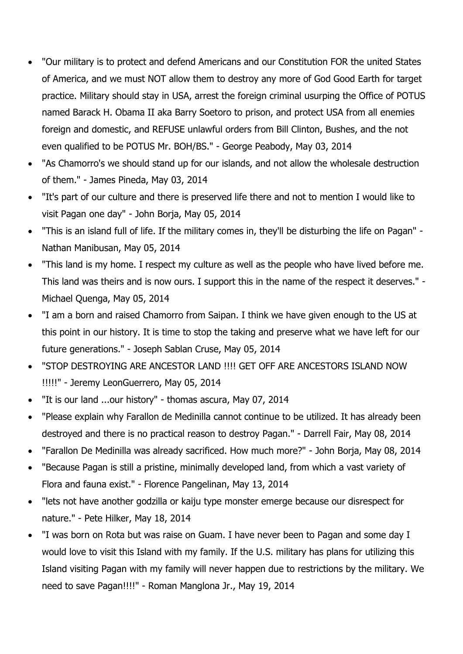- "Our military is to protect and defend Americans and our Constitution FOR the united States of America, and we must NOT allow them to destroy any more of God Good Earth for target practice. Military should stay in USA, arrest the foreign criminal usurping the Office of POTUS named Barack H. Obama II aka Barry Soetoro to prison, and protect USA from all enemies foreign and domestic, and REFUSE unlawful orders from Bill Clinton, Bushes, and the not even qualified to be POTUS Mr. BOH/BS." - George Peabody, May 03, 2014
- "As Chamorro's we should stand up for our islands, and not allow the wholesale destruction of them." - James Pineda, May 03, 2014
- "It's part of our culture and there is preserved life there and not to mention I would like to visit Pagan one day" - John Borja, May 05, 2014
- "This is an island full of life. If the military comes in, they'll be disturbing the life on Pagan" Nathan Manibusan, May 05, 2014
- "This land is my home. I respect my culture as well as the people who have lived before me. This land was theirs and is now ours. I support this in the name of the respect it deserves." - Michael Quenga, May 05, 2014
- "I am a born and raised Chamorro from Saipan. I think we have given enough to the US at this point in our history. It is time to stop the taking and preserve what we have left for our future generations." - Joseph Sablan Cruse, May 05, 2014
- "STOP DESTROYING ARE ANCESTOR LAND !!!! GET OFF ARE ANCESTORS ISLAND NOW !!!!!" - Jeremy LeonGuerrero, May 05, 2014
- "It is our land ...our history" thomas ascura, May 07, 2014
- "Please explain why Farallon de Medinilla cannot continue to be utilized. It has already been destroyed and there is no practical reason to destroy Pagan." - Darrell Fair, May 08, 2014
- "Farallon De Medinilla was already sacrificed. How much more?" John Borja, May 08, 2014
- "Because Pagan is still a pristine, minimally developed land, from which a vast variety of Flora and fauna exist." - Florence Pangelinan, May 13, 2014
- "lets not have another godzilla or kaiju type monster emerge because our disrespect for nature." - Pete Hilker, May 18, 2014
- "I was born on Rota but was raise on Guam. I have never been to Pagan and some day I would love to visit this Island with my family. If the U.S. military has plans for utilizing this Island visiting Pagan with my family will never happen due to restrictions by the military. We need to save Pagan!!!!" - Roman Manglona Jr., May 19, 2014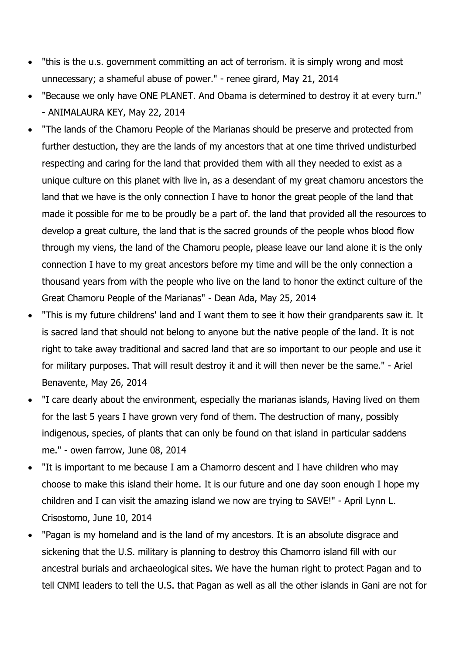- "this is the u.s. government committing an act of terrorism. it is simply wrong and most unnecessary; a shameful abuse of power." - renee girard, May 21, 2014
- "Because we only have ONE PLANET. And Obama is determined to destroy it at every turn." - ANIMALAURA KEY, May 22, 2014
- "The lands of the Chamoru People of the Marianas should be preserve and protected from further destuction, they are the lands of my ancestors that at one time thrived undisturbed respecting and caring for the land that provided them with all they needed to exist as a unique culture on this planet with live in, as a desendant of my great chamoru ancestors the land that we have is the only connection I have to honor the great people of the land that made it possible for me to be proudly be a part of. the land that provided all the resources to develop a great culture, the land that is the sacred grounds of the people whos blood flow through my viens, the land of the Chamoru people, please leave our land alone it is the only connection I have to my great ancestors before my time and will be the only connection a thousand years from with the people who live on the land to honor the extinct culture of the Great Chamoru People of the Marianas" - Dean Ada, May 25, 2014
- "This is my future childrens' land and I want them to see it how their grandparents saw it. It is sacred land that should not belong to anyone but the native people of the land. It is not right to take away traditional and sacred land that are so important to our people and use it for military purposes. That will result destroy it and it will then never be the same." - Ariel Benavente, May 26, 2014
- "I care dearly about the environment, especially the marianas islands, Having lived on them for the last 5 years I have grown very fond of them. The destruction of many, possibly indigenous, species, of plants that can only be found on that island in particular saddens me." - owen farrow, June 08, 2014
- "It is important to me because I am a Chamorro descent and I have children who may choose to make this island their home. It is our future and one day soon enough I hope my children and I can visit the amazing island we now are trying to SAVE!" - April Lynn L. Crisostomo, June 10, 2014
- "Pagan is my homeland and is the land of my ancestors. It is an absolute disgrace and sickening that the U.S. military is planning to destroy this Chamorro island fill with our ancestral burials and archaeological sites. We have the human right to protect Pagan and to tell CNMI leaders to tell the U.S. that Pagan as well as all the other islands in Gani are not for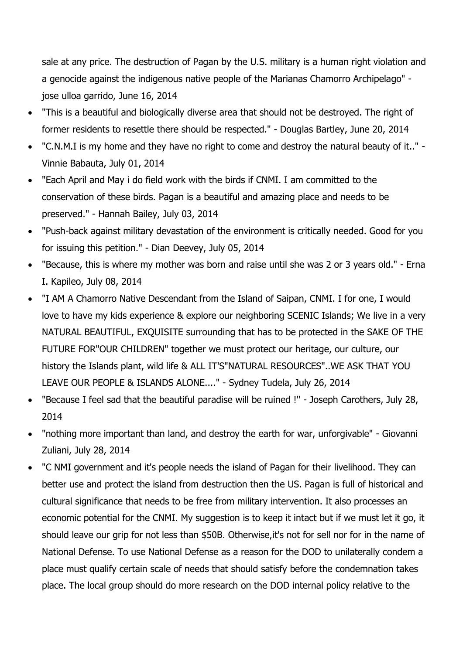sale at any price. The destruction of Pagan by the U.S. military is a human right violation and a genocide against the indigenous native people of the Marianas Chamorro Archipelago" jose ulloa garrido, June 16, 2014

- "This is a beautiful and biologically diverse area that should not be destroyed. The right of former residents to resettle there should be respected." - Douglas Bartley, June 20, 2014
- "C.N.M.I is my home and they have no right to come and destroy the natural beauty of it.." Vinnie Babauta, July 01, 2014
- "Each April and May i do field work with the birds if CNMI. I am committed to the conservation of these birds. Pagan is a beautiful and amazing place and needs to be preserved." - Hannah Bailey, July 03, 2014
- "Push-back against military devastation of the environment is critically needed. Good for you for issuing this petition." - Dian Deevey, July 05, 2014
- "Because, this is where my mother was born and raise until she was 2 or 3 years old." Erna I. Kapileo, July 08, 2014
- "I AM A Chamorro Native Descendant from the Island of Saipan, CNMI. I for one, I would love to have my kids experience & explore our neighboring SCENIC Islands; We live in a very NATURAL BEAUTIFUL, EXQUISITE surrounding that has to be protected in the SAKE OF THE FUTURE FOR"OUR CHILDREN" together we must protect our heritage, our culture, our history the Islands plant, wild life & ALL IT'S"NATURAL RESOURCES"..WE ASK THAT YOU LEAVE OUR PEOPLE & ISLANDS ALONE...." - Sydney Tudela, July 26, 2014
- "Because I feel sad that the beautiful paradise will be ruined !" Joseph Carothers, July 28, 2014
- "nothing more important than land, and destroy the earth for war, unforgivable" Giovanni Zuliani, July 28, 2014
- "C NMI government and it's people needs the island of Pagan for their livelihood. They can better use and protect the island from destruction then the US. Pagan is full of historical and cultural significance that needs to be free from military intervention. It also processes an economic potential for the CNMI. My suggestion is to keep it intact but if we must let it go, it should leave our grip for not less than \$50B. Otherwise,it's not for sell nor for in the name of National Defense. To use National Defense as a reason for the DOD to unilaterally condem a place must qualify certain scale of needs that should satisfy before the condemnation takes place. The local group should do more research on the DOD internal policy relative to the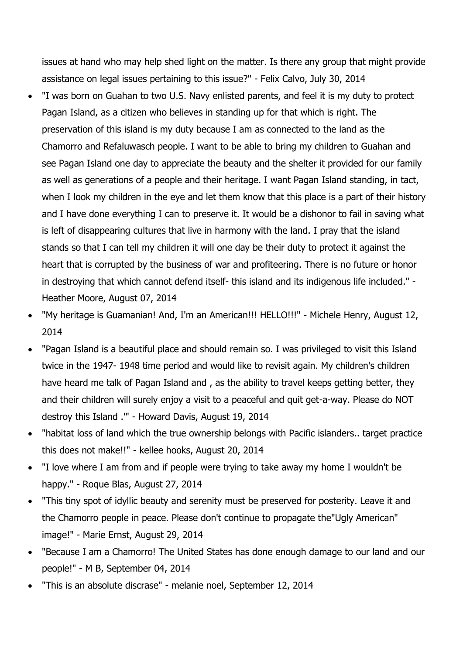issues at hand who may help shed light on the matter. Is there any group that might provide assistance on legal issues pertaining to this issue?" - Felix Calvo, July 30, 2014

- "I was born on Guahan to two U.S. Navy enlisted parents, and feel it is my duty to protect Pagan Island, as a citizen who believes in standing up for that which is right. The preservation of this island is my duty because I am as connected to the land as the Chamorro and Refaluwasch people. I want to be able to bring my children to Guahan and see Pagan Island one day to appreciate the beauty and the shelter it provided for our family as well as generations of a people and their heritage. I want Pagan Island standing, in tact, when I look my children in the eye and let them know that this place is a part of their history and I have done everything I can to preserve it. It would be a dishonor to fail in saving what is left of disappearing cultures that live in harmony with the land. I pray that the island stands so that I can tell my children it will one day be their duty to protect it against the heart that is corrupted by the business of war and profiteering. There is no future or honor in destroying that which cannot defend itself- this island and its indigenous life included." - Heather Moore, August 07, 2014
- "My heritage is Guamanian! And, I'm an American!!! HELLO!!!" Michele Henry, August 12, 2014
- "Pagan Island is a beautiful place and should remain so. I was privileged to visit this Island twice in the 1947- 1948 time period and would like to revisit again. My children's children have heard me talk of Pagan Island and , as the ability to travel keeps getting better, they and their children will surely enjoy a visit to a peaceful and quit get-a-way. Please do NOT destroy this Island .'" - Howard Davis, August 19, 2014
- "habitat loss of land which the true ownership belongs with Pacific islanders.. target practice this does not make!!" - kellee hooks, August 20, 2014
- "I love where I am from and if people were trying to take away my home I wouldn't be happy." - Roque Blas, August 27, 2014
- "This tiny spot of idyllic beauty and serenity must be preserved for posterity. Leave it and the Chamorro people in peace. Please don't continue to propagate the"Ugly American" image!" - Marie Ernst, August 29, 2014
- "Because I am a Chamorro! The United States has done enough damage to our land and our people!" - M B, September 04, 2014
- "This is an absolute discrase" melanie noel, September 12, 2014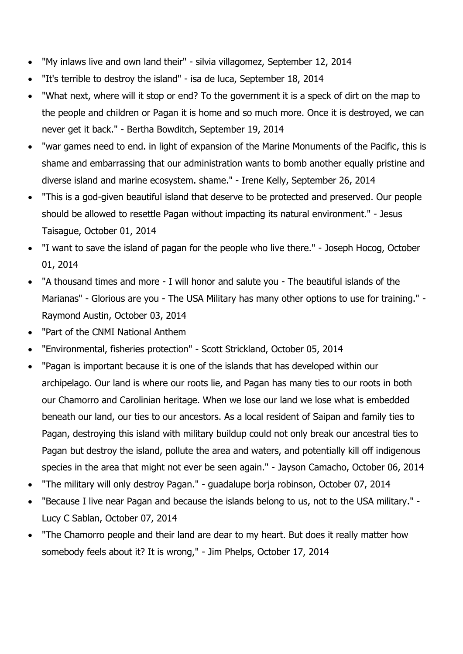- "My inlaws live and own land their" silvia villagomez, September 12, 2014
- "It's terrible to destroy the island" isa de luca, September 18, 2014
- "What next, where will it stop or end? To the government it is a speck of dirt on the map to the people and children or Pagan it is home and so much more. Once it is destroyed, we can never get it back." - Bertha Bowditch, September 19, 2014
- "war games need to end. in light of expansion of the Marine Monuments of the Pacific, this is shame and embarrassing that our administration wants to bomb another equally pristine and diverse island and marine ecosystem. shame." - Irene Kelly, September 26, 2014
- "This is a god-given beautiful island that deserve to be protected and preserved. Our people should be allowed to resettle Pagan without impacting its natural environment." - Jesus Taisague, October 01, 2014
- "I want to save the island of pagan for the people who live there." Joseph Hocog, October 01, 2014
- "A thousand times and more I will honor and salute you The beautiful islands of the Marianas" - Glorious are you - The USA Military has many other options to use for training." - Raymond Austin, October 03, 2014
- "Part of the CNMI National Anthem
- "Environmental, fisheries protection" Scott Strickland, October 05, 2014
- "Pagan is important because it is one of the islands that has developed within our archipelago. Our land is where our roots lie, and Pagan has many ties to our roots in both our Chamorro and Carolinian heritage. When we lose our land we lose what is embedded beneath our land, our ties to our ancestors. As a local resident of Saipan and family ties to Pagan, destroying this island with military buildup could not only break our ancestral ties to Pagan but destroy the island, pollute the area and waters, and potentially kill off indigenous species in the area that might not ever be seen again." - Jayson Camacho, October 06, 2014
- "The military will only destroy Pagan." guadalupe borja robinson, October 07, 2014
- "Because I live near Pagan and because the islands belong to us, not to the USA military." Lucy C Sablan, October 07, 2014
- "The Chamorro people and their land are dear to my heart. But does it really matter how somebody feels about it? It is wrong," - Jim Phelps, October 17, 2014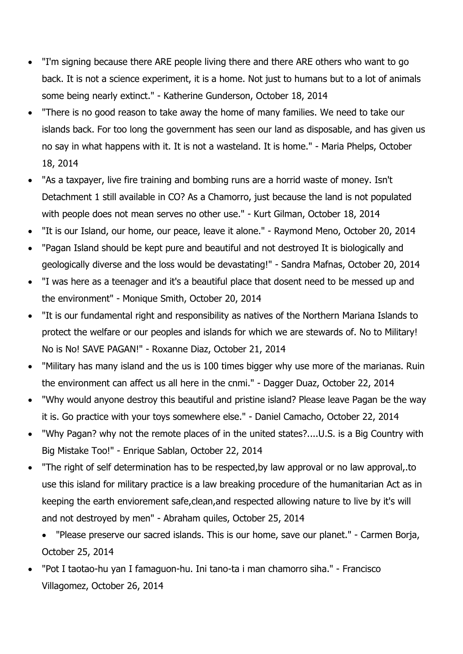- "I'm signing because there ARE people living there and there ARE others who want to go back. It is not a science experiment, it is a home. Not just to humans but to a lot of animals some being nearly extinct." - Katherine Gunderson, October 18, 2014
- "There is no good reason to take away the home of many families. We need to take our islands back. For too long the government has seen our land as disposable, and has given us no say in what happens with it. It is not a wasteland. It is home." - Maria Phelps, October 18, 2014
- "As a taxpayer, live fire training and bombing runs are a horrid waste of money. Isn't Detachment 1 still available in CO? As a Chamorro, just because the land is not populated with people does not mean serves no other use." - Kurt Gilman, October 18, 2014
- "It is our Island, our home, our peace, leave it alone." Raymond Meno, October 20, 2014
- "Pagan Island should be kept pure and beautiful and not destroyed It is biologically and geologically diverse and the loss would be devastating!" - Sandra Mafnas, October 20, 2014
- "I was here as a teenager and it's a beautiful place that dosent need to be messed up and the environment" - Monique Smith, October 20, 2014
- "It is our fundamental right and responsibility as natives of the Northern Mariana Islands to protect the welfare or our peoples and islands for which we are stewards of. No to Military! No is No! SAVE PAGAN!" - Roxanne Diaz, October 21, 2014
- "Military has many island and the us is 100 times bigger why use more of the marianas. Ruin the environment can affect us all here in the cnmi." - Dagger Duaz, October 22, 2014
- "Why would anyone destroy this beautiful and pristine island? Please leave Pagan be the way it is. Go practice with your toys somewhere else." - Daniel Camacho, October 22, 2014
- "Why Pagan? why not the remote places of in the united states?....U.S. is a Big Country with Big Mistake Too!" - Enrique Sablan, October 22, 2014
- "The right of self determination has to be respected,by law approval or no law approval,.to use this island for military practice is a law breaking procedure of the humanitarian Act as in keeping the earth enviorement safe,clean,and respected allowing nature to live by it's will and not destroyed by men" - Abraham quiles, October 25, 2014
	- "Please preserve our sacred islands. This is our home, save our planet." Carmen Borja, October 25, 2014
- "Pot I taotao-hu yan I famaguon-hu. Ini tano-ta i man chamorro siha." Francisco Villagomez, October 26, 2014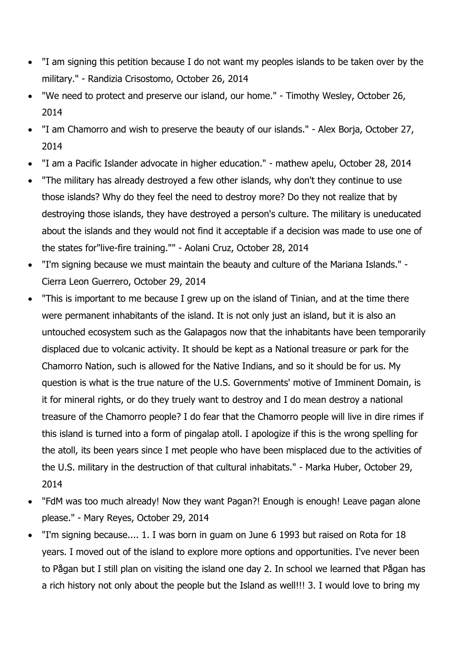- "I am signing this petition because I do not want my peoples islands to be taken over by the military." - Randizia Crisostomo, October 26, 2014
- "We need to protect and preserve our island, our home." Timothy Wesley, October 26, 2014
- "I am Chamorro and wish to preserve the beauty of our islands." Alex Borja, October 27, 2014
- "I am a Pacific Islander advocate in higher education." mathew apelu, October 28, 2014
- "The military has already destroyed a few other islands, why don't they continue to use those islands? Why do they feel the need to destroy more? Do they not realize that by destroying those islands, they have destroyed a person's culture. The military is uneducated about the islands and they would not find it acceptable if a decision was made to use one of the states for"live-fire training."" - Aolani Cruz, October 28, 2014
- "I'm signing because we must maintain the beauty and culture of the Mariana Islands." Cierra Leon Guerrero, October 29, 2014
- "This is important to me because I grew up on the island of Tinian, and at the time there were permanent inhabitants of the island. It is not only just an island, but it is also an untouched ecosystem such as the Galapagos now that the inhabitants have been temporarily displaced due to volcanic activity. It should be kept as a National treasure or park for the Chamorro Nation, such is allowed for the Native Indians, and so it should be for us. My question is what is the true nature of the U.S. Governments' motive of Imminent Domain, is it for mineral rights, or do they truely want to destroy and I do mean destroy a national treasure of the Chamorro people? I do fear that the Chamorro people will live in dire rimes if this island is turned into a form of pingalap atoll. I apologize if this is the wrong spelling for the atoll, its been years since I met people who have been misplaced due to the activities of the U.S. military in the destruction of that cultural inhabitats." - Marka Huber, October 29, 2014
- "FdM was too much already! Now they want Pagan?! Enough is enough! Leave pagan alone please." - Mary Reyes, October 29, 2014
- "I'm signing because.... 1. I was born in guam on June 6 1993 but raised on Rota for 18 years. I moved out of the island to explore more options and opportunities. I've never been to Pågan but I still plan on visiting the island one day 2. In school we learned that Pågan has a rich history not only about the people but the Island as well!!! 3. I would love to bring my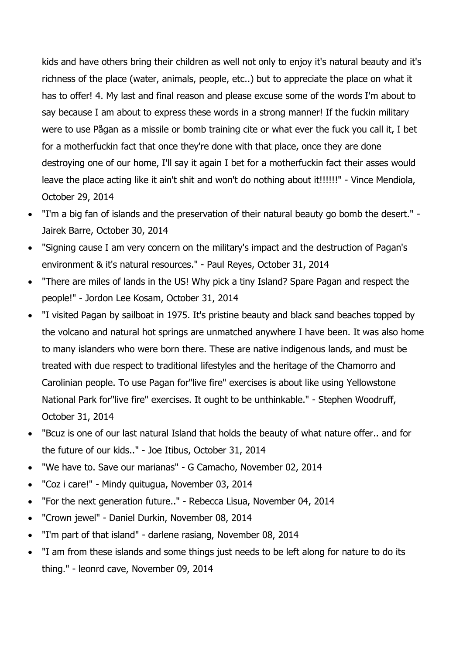kids and have others bring their children as well not only to enjoy it's natural beauty and it's richness of the place (water, animals, people, etc..) but to appreciate the place on what it has to offer! 4. My last and final reason and please excuse some of the words I'm about to say because I am about to express these words in a strong manner! If the fuckin military were to use Pågan as a missile or bomb training cite or what ever the fuck you call it, I bet for a motherfuckin fact that once they're done with that place, once they are done destroying one of our home, I'll say it again I bet for a motherfuckin fact their asses would leave the place acting like it ain't shit and won't do nothing about it!!!!!!" - Vince Mendiola, October 29, 2014

- "I'm a big fan of islands and the preservation of their natural beauty go bomb the desert." Jairek Barre, October 30, 2014
- "Signing cause I am very concern on the military's impact and the destruction of Pagan's environment & it's natural resources." - Paul Reyes, October 31, 2014
- "There are miles of lands in the US! Why pick a tiny Island? Spare Pagan and respect the people!" - Jordon Lee Kosam, October 31, 2014
- "I visited Pagan by sailboat in 1975. It's pristine beauty and black sand beaches topped by the volcano and natural hot springs are unmatched anywhere I have been. It was also home to many islanders who were born there. These are native indigenous lands, and must be treated with due respect to traditional lifestyles and the heritage of the Chamorro and Carolinian people. To use Pagan for"live fire" exercises is about like using Yellowstone National Park for"live fire" exercises. It ought to be unthinkable." - Stephen Woodruff, October 31, 2014
- "Bcuz is one of our last natural Island that holds the beauty of what nature offer.. and for the future of our kids.." - Joe Itibus, October 31, 2014
- "We have to. Save our marianas" G Camacho, November 02, 2014
- "Coz i care!" Mindy quitugua, November 03, 2014
- "For the next generation future.." Rebecca Lisua, November 04, 2014
- "Crown jewel" Daniel Durkin, November 08, 2014
- "I'm part of that island" darlene rasiang, November 08, 2014
- "I am from these islands and some things just needs to be left along for nature to do its thing." - leonrd cave, November 09, 2014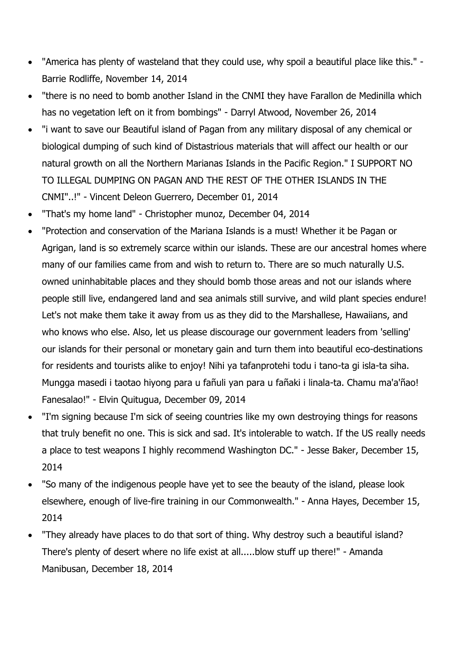- "America has plenty of wasteland that they could use, why spoil a beautiful place like this." Barrie Rodliffe, November 14, 2014
- "there is no need to bomb another Island in the CNMI they have Farallon de Medinilla which has no vegetation left on it from bombings" - Darryl Atwood, November 26, 2014
- "i want to save our Beautiful island of Pagan from any military disposal of any chemical or biological dumping of such kind of Distastrious materials that will affect our health or our natural growth on all the Northern Marianas Islands in the Pacific Region." I SUPPORT NO TO ILLEGAL DUMPING ON PAGAN AND THE REST OF THE OTHER ISLANDS IN THE CNMI"..!" - Vincent Deleon Guerrero, December 01, 2014
- "That's my home land" Christopher munoz, December 04, 2014
- "Protection and conservation of the Mariana Islands is a must! Whether it be Pagan or Agrigan, land is so extremely scarce within our islands. These are our ancestral homes where many of our families came from and wish to return to. There are so much naturally U.S. owned uninhabitable places and they should bomb those areas and not our islands where people still live, endangered land and sea animals still survive, and wild plant species endure! Let's not make them take it away from us as they did to the Marshallese, Hawaiians, and who knows who else. Also, let us please discourage our government leaders from 'selling' our islands for their personal or monetary gain and turn them into beautiful eco-destinations for residents and tourists alike to enjoy! Nihi ya tafanprotehi todu i tano-ta gi isla-ta siha. Mungga masedi i taotao hiyong para u fañuli yan para u fañaki i linala-ta. Chamu ma'a'ñao! Fanesalao!" - Elvin Quitugua, December 09, 2014
- "I'm signing because I'm sick of seeing countries like my own destroying things for reasons that truly benefit no one. This is sick and sad. It's intolerable to watch. If the US really needs a place to test weapons I highly recommend Washington DC." - Jesse Baker, December 15, 2014
- "So many of the indigenous people have yet to see the beauty of the island, please look elsewhere, enough of live-fire training in our Commonwealth." - Anna Hayes, December 15, 2014
- "They already have places to do that sort of thing. Why destroy such a beautiful island? There's plenty of desert where no life exist at all.....blow stuff up there!" - Amanda Manibusan, December 18, 2014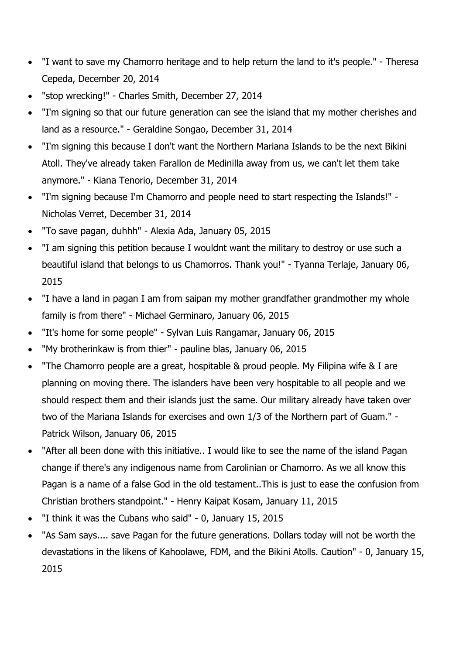- "I want to save my Chamorro heritage and to help return the land to it's people." Theresa Cepeda, December 20, 2014
- "stop wrecking!" Charles Smith, December 27, 2014
- "I'm signing so that our future generation can see the island that my mother cherishes and land as a resource." - Geraldine Songao, December 31, 2014
- "I'm signing this because I don't want the Northern Mariana Islands to be the next Bikini Atoll. They've already taken Farallon de Medinilla away from us, we can't let them take anymore." - Kiana Tenorio, December 31, 2014
- "I'm signing because I'm Chamorro and people need to start respecting the Islands!" Nicholas Verret, December 31, 2014
- "To save pagan, duhhh" Alexia Ada, January 05, 2015
- "I am signing this petition because I wouldnt want the military to destroy or use such a beautiful island that belongs to us Chamorros. Thank you!" - Tyanna Terlaje, January 06, 2015
- "I have a land in pagan I am from saipan my mother grandfather grandmother my whole family is from there" - Michael Germinaro, January 06, 2015
- "It's home for some people" Sylvan Luis Rangamar, January 06, 2015
- "My brotherinkaw is from thier" pauline blas, January 06, 2015
- "The Chamorro people are a great, hospitable & proud people. My Filipina wife & I are planning on moving there. The islanders have been very hospitable to all people and we should respect them and their islands just the same. Our military already have taken over two of the Mariana Islands for exercises and own 1/3 of the Northern part of Guam." - Patrick Wilson, January 06, 2015
- "After all been done with this initiative.. I would like to see the name of the island Pagan change if there's any indigenous name from Carolinian or Chamorro. As we all know this Pagan is a name of a false God in the old testament..This is just to ease the confusion from Christian brothers standpoint." - Henry Kaipat Kosam, January 11, 2015
- "I think it was the Cubans who said" 0, January 15, 2015
- "As Sam says.... save Pagan for the future generations. Dollars today will not be worth the devastations in the likens of Kahoolawe, FDM, and the Bikini Atolls. Caution" - 0, January 15, 2015